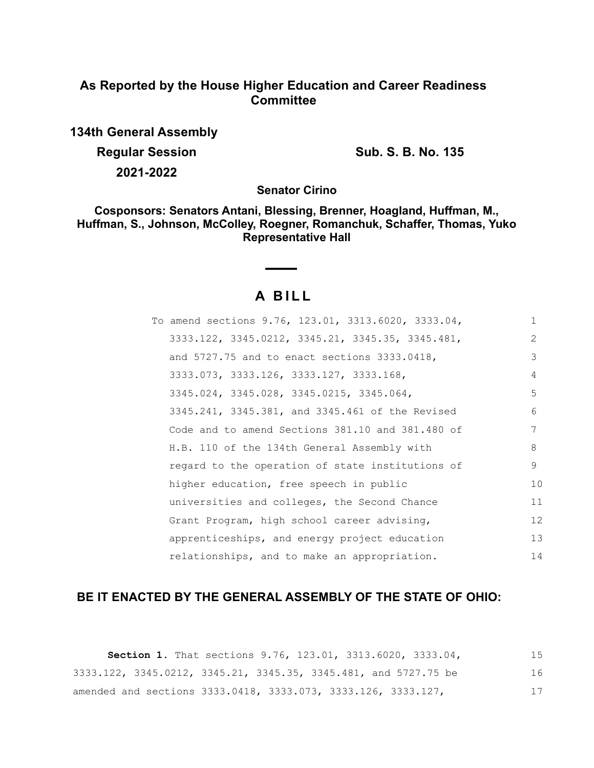# **As Reported by the House Higher Education and Career Readiness Committee**

**134th General Assembly**

**Regular Session Sub. S. B. No. 135** 

**2021-2022**

**Senator Cirino**

**Cosponsors: Senators Antani, Blessing, Brenner, Hoagland, Huffman, M., Huffman, S., Johnson, McColley, Roegner, Romanchuk, Schaffer, Thomas, Yuko Representative Hall**

# **A B I L L**

| To amend sections 9.76, 123.01, 3313.6020, 3333.04, | $\mathbf{1}$      |
|-----------------------------------------------------|-------------------|
| 3333.122, 3345.0212, 3345.21, 3345.35, 3345.481,    | 2                 |
| and 5727.75 and to enact sections 3333.0418,        | 3                 |
| 3333.073, 3333.126, 3333.127, 3333.168,             | 4                 |
| 3345.024, 3345.028, 3345.0215, 3345.064,            | 5                 |
| 3345.241, 3345.381, and 3345.461 of the Revised     | 6                 |
| Code and to amend Sections 381.10 and 381.480 of    | 7                 |
| H.B. 110 of the 134th General Assembly with         | 8                 |
| regard to the operation of state institutions of    | 9                 |
| higher education, free speech in public             | 10                |
| universities and colleges, the Second Chance        | 11                |
| Grant Program, high school career advising,         | $12 \overline{ }$ |
| apprenticeships, and energy project education       | 13                |
| relationships, and to make an appropriation.        | 14                |

# **BE IT ENACTED BY THE GENERAL ASSEMBLY OF THE STATE OF OHIO:**

**Section 1.** That sections 9.76, 123.01, 3313.6020, 3333.04, 3333.122, 3345.0212, 3345.21, 3345.35, 3345.481, and 5727.75 be amended and sections 3333.0418, 3333.073, 3333.126, 3333.127, 15 16 17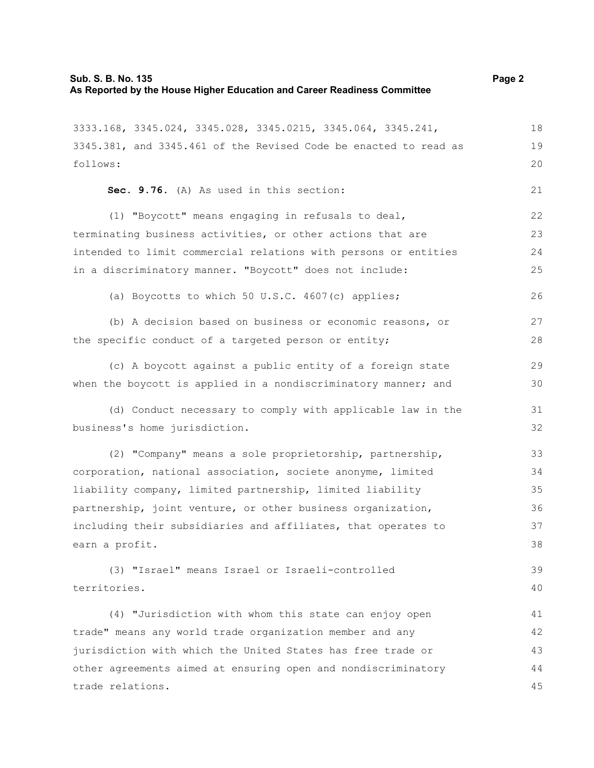3333.168, 3345.024, 3345.028, 3345.0215, 3345.064, 3345.241,

3345.381, and 3345.461 of the Revised Code be enacted to read as follows: **Sec. 9.76.** (A) As used in this section: (1) "Boycott" means engaging in refusals to deal, terminating business activities, or other actions that are intended to limit commercial relations with persons or entities in a discriminatory manner. "Boycott" does not include: (a) Boycotts to which 50 U.S.C. 4607(c) applies; (b) A decision based on business or economic reasons, or the specific conduct of a targeted person or entity; (c) A boycott against a public entity of a foreign state when the boycott is applied in a nondiscriminatory manner; and (d) Conduct necessary to comply with applicable law in the business's home jurisdiction. (2) "Company" means a sole proprietorship, partnership, corporation, national association, societe anonyme, limited liability company, limited partnership, limited liability partnership, joint venture, or other business organization, including their subsidiaries and affiliates, that operates to 19 20 21 22 23 24 25 26 27 28 29 30 31 32 33 34 35 36 37

(3) "Israel" means Israel or Israeli-controlled territories. 39 40

earn a profit.

(4) "Jurisdiction with whom this state can enjoy open trade" means any world trade organization member and any jurisdiction with which the United States has free trade or other agreements aimed at ensuring open and nondiscriminatory trade relations. 41 42 43 44 45

18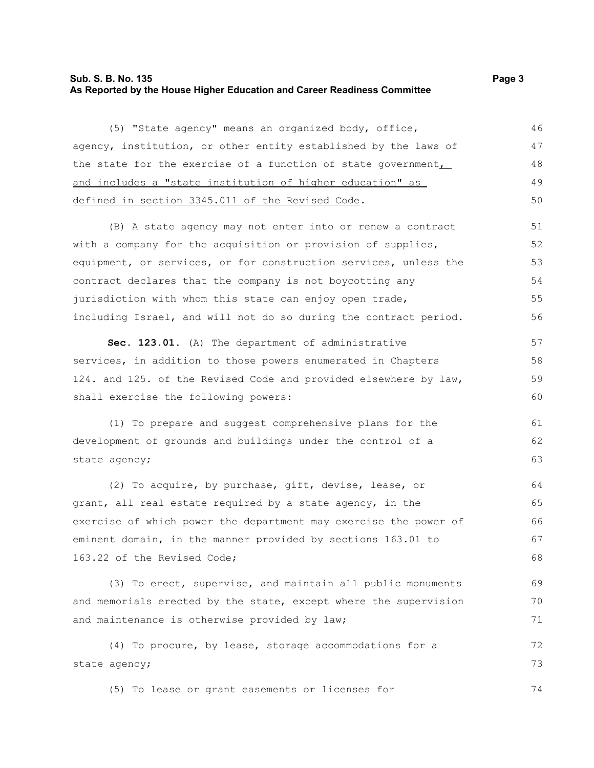# **Sub. S. B. No. 135** Page 3 **As Reported by the House Higher Education and Career Readiness Committee**

(5) "State agency" means an organized body, office, agency, institution, or other entity established by the laws of the state for the exercise of a function of state government, and includes a "state institution of higher education" as defined in section 3345.011 of the Revised Code. 46 47 48 49 50

(B) A state agency may not enter into or renew a contract with a company for the acquisition or provision of supplies, equipment, or services, or for construction services, unless the contract declares that the company is not boycotting any jurisdiction with whom this state can enjoy open trade, including Israel, and will not do so during the contract period. 51 52 53 54 55 56

**Sec. 123.01.** (A) The department of administrative services, in addition to those powers enumerated in Chapters 124. and 125. of the Revised Code and provided elsewhere by law, shall exercise the following powers: 57 58 59 60

(1) To prepare and suggest comprehensive plans for the development of grounds and buildings under the control of a state agency;

(2) To acquire, by purchase, gift, devise, lease, or grant, all real estate required by a state agency, in the exercise of which power the department may exercise the power of eminent domain, in the manner provided by sections 163.01 to 163.22 of the Revised Code; 64 65 66 67 68

(3) To erect, supervise, and maintain all public monuments and memorials erected by the state, except where the supervision and maintenance is otherwise provided by law; 70 71

(4) To procure, by lease, storage accommodations for a state agency; 72 73

(5) To lease or grant easements or licenses for 74

61 62 63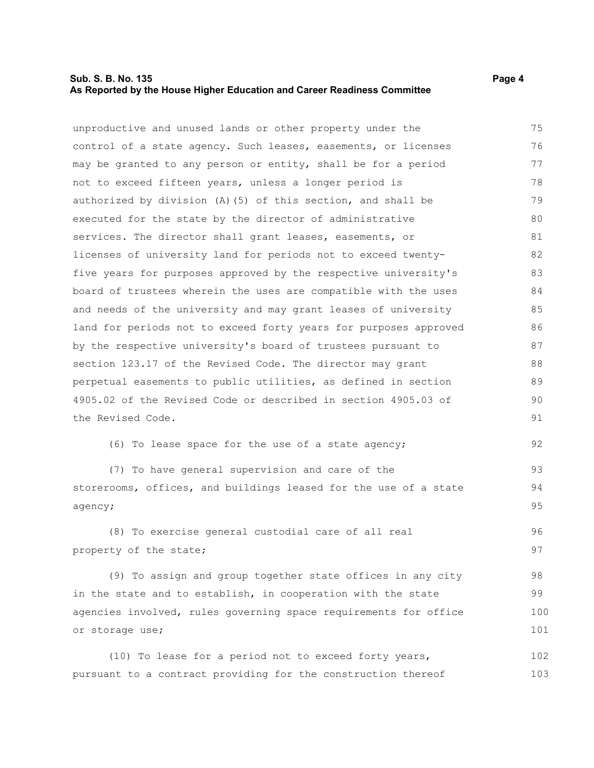# **Sub. S. B. No. 135** Page 4 **As Reported by the House Higher Education and Career Readiness Committee**

unproductive and unused lands or other property under the control of a state agency. Such leases, easements, or licenses may be granted to any person or entity, shall be for a period not to exceed fifteen years, unless a longer period is authorized by division (A)(5) of this section, and shall be executed for the state by the director of administrative services. The director shall grant leases, easements, or licenses of university land for periods not to exceed twentyfive years for purposes approved by the respective university's board of trustees wherein the uses are compatible with the uses and needs of the university and may grant leases of university land for periods not to exceed forty years for purposes approved by the respective university's board of trustees pursuant to section 123.17 of the Revised Code. The director may grant perpetual easements to public utilities, as defined in section 4905.02 of the Revised Code or described in section 4905.03 of the Revised Code. 75 76 77 78 79 80 81 82 83 84 85 86 87 88 89  $90$ 91

(6) To lease space for the use of a state agency;

(7) To have general supervision and care of the storerooms, offices, and buildings leased for the use of a state agency; 93 94 95

(8) To exercise general custodial care of all real property of the state; 96 97

(9) To assign and group together state offices in any city in the state and to establish, in cooperation with the state agencies involved, rules governing space requirements for office or storage use; 98 99 100 101

(10) To lease for a period not to exceed forty years, pursuant to a contract providing for the construction thereof 102 103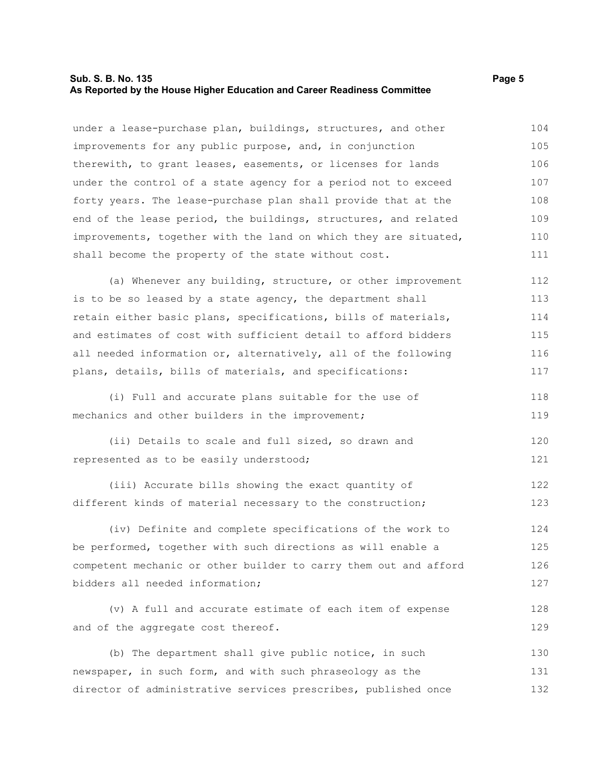# **Sub. S. B. No. 135** Page 5 **As Reported by the House Higher Education and Career Readiness Committee**

under a lease-purchase plan, buildings, structures, and other improvements for any public purpose, and, in conjunction therewith, to grant leases, easements, or licenses for lands under the control of a state agency for a period not to exceed forty years. The lease-purchase plan shall provide that at the end of the lease period, the buildings, structures, and related improvements, together with the land on which they are situated, shall become the property of the state without cost. 104 105 106 107 108 109 110 111

(a) Whenever any building, structure, or other improvement is to be so leased by a state agency, the department shall retain either basic plans, specifications, bills of materials, and estimates of cost with sufficient detail to afford bidders all needed information or, alternatively, all of the following plans, details, bills of materials, and specifications: 112 113 114 115 116 117

(i) Full and accurate plans suitable for the use of mechanics and other builders in the improvement; 118 119

(ii) Details to scale and full sized, so drawn and represented as to be easily understood; 120 121

(iii) Accurate bills showing the exact quantity of different kinds of material necessary to the construction; 122 123

(iv) Definite and complete specifications of the work to be performed, together with such directions as will enable a competent mechanic or other builder to carry them out and afford bidders all needed information; 124 125 126 127

(v) A full and accurate estimate of each item of expense and of the aggregate cost thereof. 128 129

(b) The department shall give public notice, in such newspaper, in such form, and with such phraseology as the director of administrative services prescribes, published once 130 131 132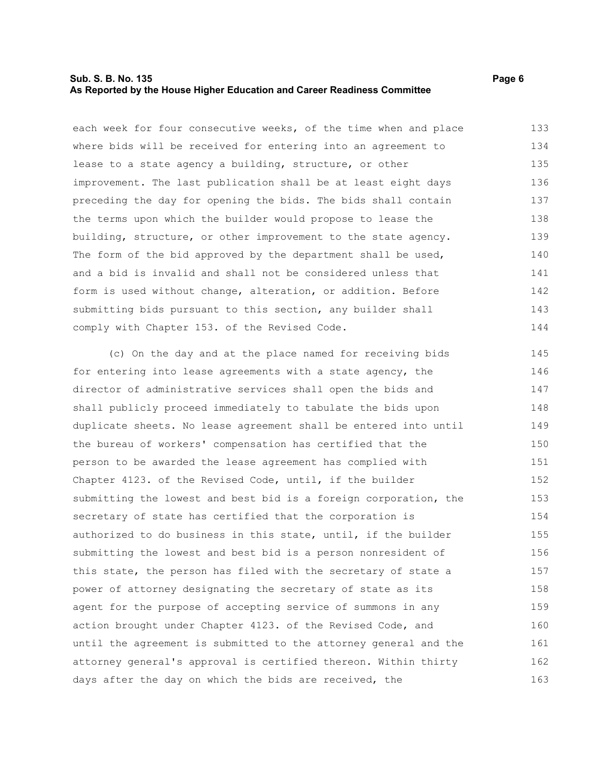# **Sub. S. B. No. 135** Page 6 **As Reported by the House Higher Education and Career Readiness Committee**

each week for four consecutive weeks, of the time when and place where bids will be received for entering into an agreement to lease to a state agency a building, structure, or other improvement. The last publication shall be at least eight days preceding the day for opening the bids. The bids shall contain the terms upon which the builder would propose to lease the building, structure, or other improvement to the state agency. The form of the bid approved by the department shall be used, and a bid is invalid and shall not be considered unless that form is used without change, alteration, or addition. Before submitting bids pursuant to this section, any builder shall comply with Chapter 153. of the Revised Code. 133 134 135 136 137 138 139 140 141 142 143 144

(c) On the day and at the place named for receiving bids for entering into lease agreements with a state agency, the director of administrative services shall open the bids and shall publicly proceed immediately to tabulate the bids upon duplicate sheets. No lease agreement shall be entered into until the bureau of workers' compensation has certified that the person to be awarded the lease agreement has complied with Chapter 4123. of the Revised Code, until, if the builder submitting the lowest and best bid is a foreign corporation, the secretary of state has certified that the corporation is authorized to do business in this state, until, if the builder submitting the lowest and best bid is a person nonresident of this state, the person has filed with the secretary of state a power of attorney designating the secretary of state as its agent for the purpose of accepting service of summons in any action brought under Chapter 4123. of the Revised Code, and until the agreement is submitted to the attorney general and the attorney general's approval is certified thereon. Within thirty days after the day on which the bids are received, the 145 146 147 148 149 150 151 152 153 154 155 156 157 158 159 160 161 162 163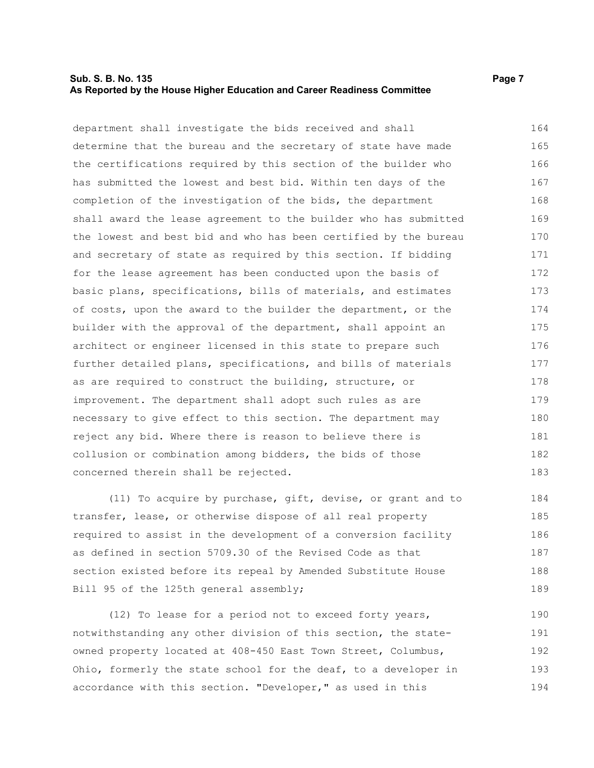# **Sub. S. B. No. 135** Page 7 **As Reported by the House Higher Education and Career Readiness Committee**

department shall investigate the bids received and shall determine that the bureau and the secretary of state have made the certifications required by this section of the builder who has submitted the lowest and best bid. Within ten days of the completion of the investigation of the bids, the department shall award the lease agreement to the builder who has submitted the lowest and best bid and who has been certified by the bureau and secretary of state as required by this section. If bidding for the lease agreement has been conducted upon the basis of basic plans, specifications, bills of materials, and estimates of costs, upon the award to the builder the department, or the builder with the approval of the department, shall appoint an architect or engineer licensed in this state to prepare such further detailed plans, specifications, and bills of materials as are required to construct the building, structure, or improvement. The department shall adopt such rules as are necessary to give effect to this section. The department may reject any bid. Where there is reason to believe there is collusion or combination among bidders, the bids of those concerned therein shall be rejected. 164 165 166 167 168 169 170 171 172 173 174 175 176 177 178 179 180 181 182 183

(11) To acquire by purchase, gift, devise, or grant and to transfer, lease, or otherwise dispose of all real property required to assist in the development of a conversion facility as defined in section 5709.30 of the Revised Code as that section existed before its repeal by Amended Substitute House Bill 95 of the 125th general assembly; 184 185 186 187 188 189

(12) To lease for a period not to exceed forty years, notwithstanding any other division of this section, the stateowned property located at 408-450 East Town Street, Columbus, Ohio, formerly the state school for the deaf, to a developer in accordance with this section. "Developer," as used in this 190 191 192 193 194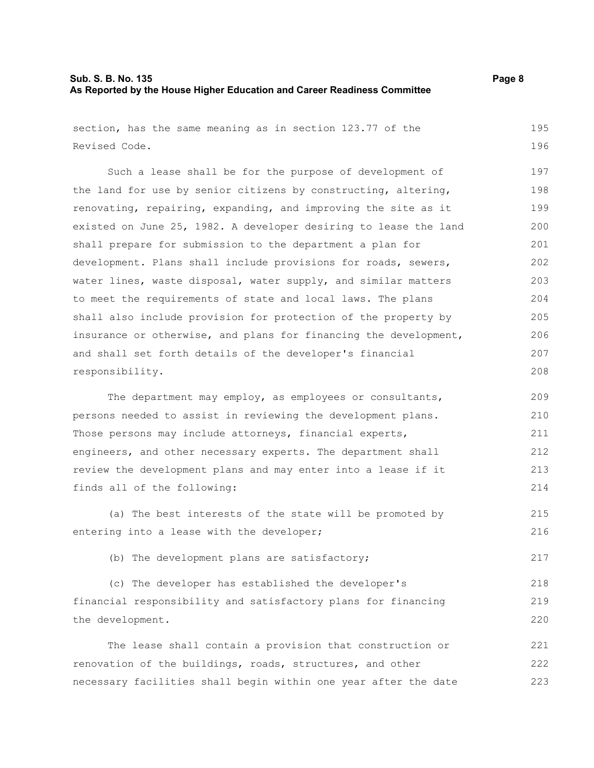# **Sub. S. B. No. 135 Page 8 As Reported by the House Higher Education and Career Readiness Committee**

| section, has the same meaning as in section 123.77 of the        | 195 |
|------------------------------------------------------------------|-----|
| Revised Code.                                                    | 196 |
| Such a lease shall be for the purpose of development of          | 197 |
| the land for use by senior citizens by constructing, altering,   | 198 |
| renovating, repairing, expanding, and improving the site as it   | 199 |
| existed on June 25, 1982. A developer desiring to lease the land | 200 |
| shall prepare for submission to the department a plan for        | 201 |
| development. Plans shall include provisions for roads, sewers,   | 202 |
| water lines, waste disposal, water supply, and similar matters   | 203 |
| to meet the requirements of state and local laws. The plans      | 204 |
| shall also include provision for protection of the property by   | 205 |
| insurance or otherwise, and plans for financing the development, | 206 |
| and shall set forth details of the developer's financial         | 207 |
| responsibility.                                                  | 208 |
| The department may employ, as employees or consultants,          | 209 |
| persons needed to assist in reviewing the development plans.     | 210 |
| Those persons may include attorneys, financial experts,          | 211 |
| engineers, and other necessary experts. The department shall     | 212 |
| review the development plans and may enter into a lease if it    | 213 |
| finds all of the following:                                      | 214 |
| (a) The best interests of the state will be promoted by          | 215 |
| entering into a lease with the developer;                        | 216 |
| (b) The development plans are satisfactory;                      | 217 |
| (c) The developer has established the developer's                | 218 |
| financial responsibility and satisfactory plans for financing    | 219 |
| the development.                                                 | 220 |
| The lease shall contain a provision that construction or         | 221 |
| renovation of the buildings, roads, structures, and other        | 222 |
| necessary facilities shall begin within one year after the date  | 223 |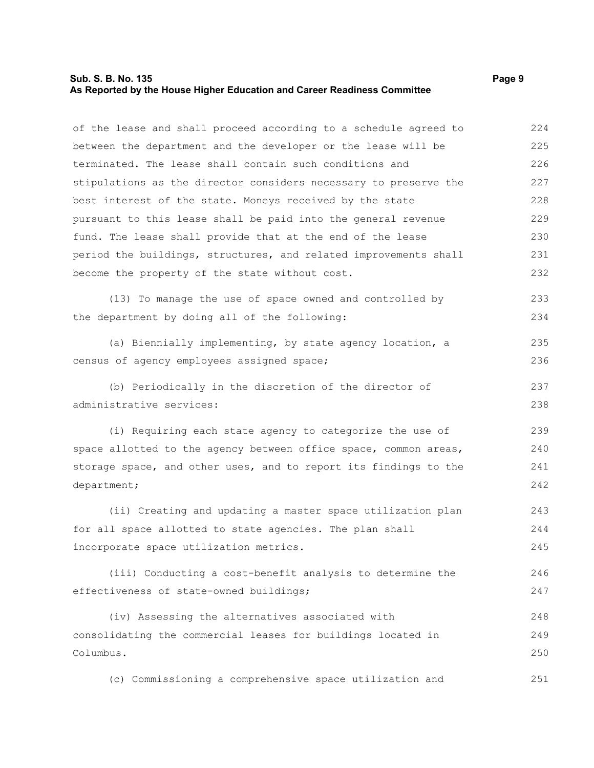# **Sub. S. B. No. 135** Page 9 **As Reported by the House Higher Education and Career Readiness Committee**

of the lease and shall proceed according to a schedule agreed to between the department and the developer or the lease will be terminated. The lease shall contain such conditions and stipulations as the director considers necessary to preserve the best interest of the state. Moneys received by the state pursuant to this lease shall be paid into the general revenue fund. The lease shall provide that at the end of the lease period the buildings, structures, and related improvements shall become the property of the state without cost. 224 225 226 227 228 229 230 231 232

(13) To manage the use of space owned and controlled by the department by doing all of the following: 233 234

(a) Biennially implementing, by state agency location, a census of agency employees assigned space; 235 236

(b) Periodically in the discretion of the director of administrative services:

(i) Requiring each state agency to categorize the use of space allotted to the agency between office space, common areas, storage space, and other uses, and to report its findings to the department; 239 240 241 242

(ii) Creating and updating a master space utilization plan for all space allotted to state agencies. The plan shall incorporate space utilization metrics. 243 244 245

(iii) Conducting a cost-benefit analysis to determine the effectiveness of state-owned buildings; 246 247

(iv) Assessing the alternatives associated with consolidating the commercial leases for buildings located in Columbus. 248 249 250

(c) Commissioning a comprehensive space utilization and 251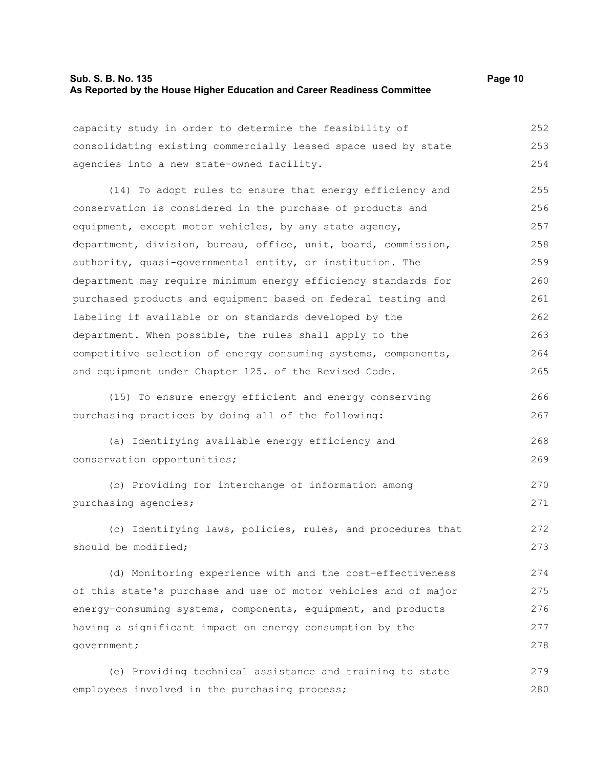# **Sub. S. B. No. 135 Page 10 As Reported by the House Higher Education and Career Readiness Committee**

capacity study in order to determine the feasibility of consolidating existing commercially leased space used by state agencies into a new state-owned facility. 252 253 254

(14) To adopt rules to ensure that energy efficiency and conservation is considered in the purchase of products and equipment, except motor vehicles, by any state agency, department, division, bureau, office, unit, board, commission, authority, quasi-governmental entity, or institution. The department may require minimum energy efficiency standards for purchased products and equipment based on federal testing and labeling if available or on standards developed by the department. When possible, the rules shall apply to the competitive selection of energy consuming systems, components, and equipment under Chapter 125. of the Revised Code. 255 256 257 258 259 260 261 262 263 264 265

(15) To ensure energy efficient and energy conserving purchasing practices by doing all of the following:

- (a) Identifying available energy efficiency and conservation opportunities; 268 269
- (b) Providing for interchange of information among purchasing agencies; 270 271

(c) Identifying laws, policies, rules, and procedures that should be modified; 272 273

(d) Monitoring experience with and the cost-effectiveness of this state's purchase and use of motor vehicles and of major energy-consuming systems, components, equipment, and products having a significant impact on energy consumption by the government; 274 275 276 277 278

(e) Providing technical assistance and training to state employees involved in the purchasing process; 279 280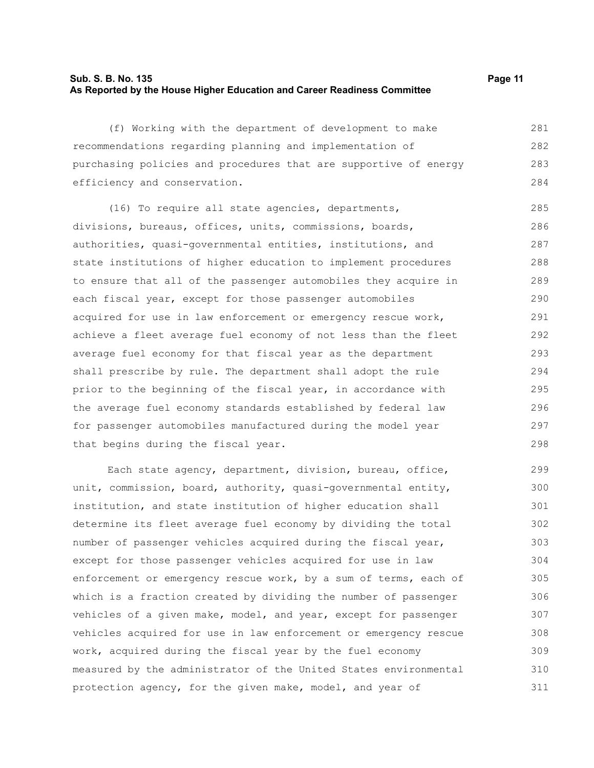# **Sub. S. B. No. 135 Page 11 As Reported by the House Higher Education and Career Readiness Committee**

(f) Working with the department of development to make recommendations regarding planning and implementation of purchasing policies and procedures that are supportive of energy efficiency and conservation. 281 282 283 284

(16) To require all state agencies, departments, divisions, bureaus, offices, units, commissions, boards, authorities, quasi-governmental entities, institutions, and state institutions of higher education to implement procedures to ensure that all of the passenger automobiles they acquire in each fiscal year, except for those passenger automobiles acquired for use in law enforcement or emergency rescue work, achieve a fleet average fuel economy of not less than the fleet average fuel economy for that fiscal year as the department shall prescribe by rule. The department shall adopt the rule prior to the beginning of the fiscal year, in accordance with the average fuel economy standards established by federal law for passenger automobiles manufactured during the model year that begins during the fiscal year. 285 286 287 288 289 290 291 292 293 294 295 296 297 298

Each state agency, department, division, bureau, office, unit, commission, board, authority, quasi-governmental entity, institution, and state institution of higher education shall determine its fleet average fuel economy by dividing the total number of passenger vehicles acquired during the fiscal year, except for those passenger vehicles acquired for use in law enforcement or emergency rescue work, by a sum of terms, each of which is a fraction created by dividing the number of passenger vehicles of a given make, model, and year, except for passenger vehicles acquired for use in law enforcement or emergency rescue work, acquired during the fiscal year by the fuel economy measured by the administrator of the United States environmental protection agency, for the given make, model, and year of 299 300 301 302 303 304 305 306 307 308 309 310 311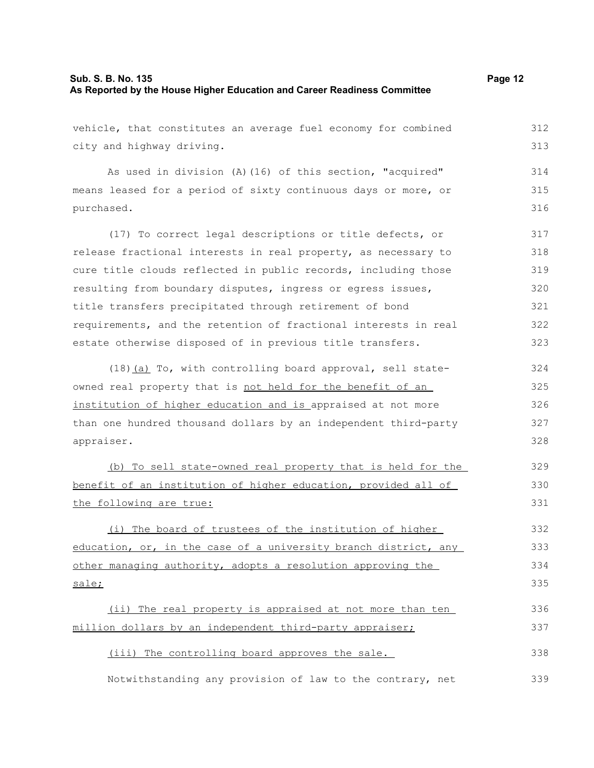# **Sub. S. B. No. 135 Page 12 As Reported by the House Higher Education and Career Readiness Committee**

vehicle, that constitutes an average fuel economy for combined city and highway driving. As used in division (A)(16) of this section, "acquired" means leased for a period of sixty continuous days or more, or purchased. (17) To correct legal descriptions or title defects, or release fractional interests in real property, as necessary to cure title clouds reflected in public records, including those resulting from boundary disputes, ingress or egress issues, title transfers precipitated through retirement of bond requirements, and the retention of fractional interests in real estate otherwise disposed of in previous title transfers. (18)(a) To, with controlling board approval, sell state-312 313 314 315 316 317 318 319 320 321 322 323 324

owned real property that is not held for the benefit of an institution of higher education and is appraised at not more than one hundred thousand dollars by an independent third-party appraiser. 325 326 327 328

(b) To sell state-owned real property that is held for the benefit of an institution of higher education, provided all of the following are true: 329 330 331

(i) The board of trustees of the institution of higher education, or, in the case of a university branch district, any other managing authority, adopts a resolution approving the sale; 332 333 334 335

(ii) The real property is appraised at not more than ten million dollars by an independent third-party appraiser; 336 337

(iii) The controlling board approves the sale. 338

Notwithstanding any provision of law to the contrary, net 339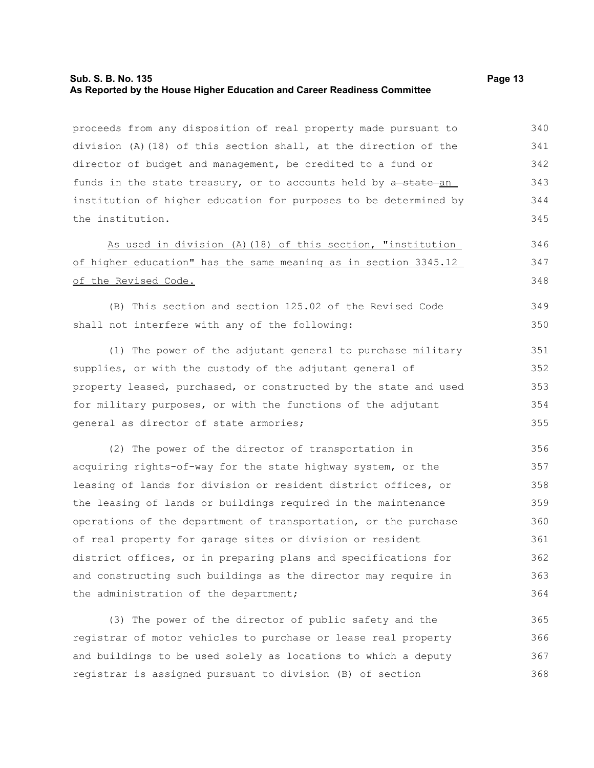# **Sub. S. B. No. 135 Page 13 As Reported by the House Higher Education and Career Readiness Committee**

proceeds from any disposition of real property made pursuant to division (A)(18) of this section shall, at the direction of the director of budget and management, be credited to a fund or funds in the state treasury, or to accounts held by a state an institution of higher education for purposes to be determined by the institution. 340 341 342 343 344 345

As used in division (A)(18) of this section, "institution of higher education" has the same meaning as in section 3345.12 of the Revised Code.

(B) This section and section 125.02 of the Revised Code shall not interfere with any of the following: 349 350

(1) The power of the adjutant general to purchase military supplies, or with the custody of the adjutant general of property leased, purchased, or constructed by the state and used for military purposes, or with the functions of the adjutant general as director of state armories;

(2) The power of the director of transportation in acquiring rights-of-way for the state highway system, or the leasing of lands for division or resident district offices, or the leasing of lands or buildings required in the maintenance operations of the department of transportation, or the purchase of real property for garage sites or division or resident district offices, or in preparing plans and specifications for and constructing such buildings as the director may require in the administration of the department; 356 357 358 359 360 361 362 363 364

(3) The power of the director of public safety and the registrar of motor vehicles to purchase or lease real property and buildings to be used solely as locations to which a deputy registrar is assigned pursuant to division (B) of section 365 366 367 368

346 347 348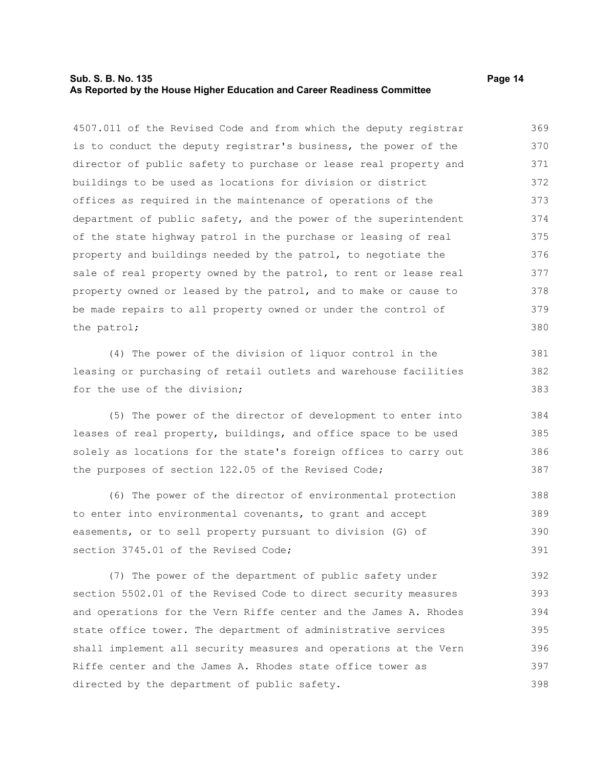# **Sub. S. B. No. 135 Page 14 As Reported by the House Higher Education and Career Readiness Committee**

4507.011 of the Revised Code and from which the deputy registrar is to conduct the deputy registrar's business, the power of the director of public safety to purchase or lease real property and buildings to be used as locations for division or district offices as required in the maintenance of operations of the department of public safety, and the power of the superintendent of the state highway patrol in the purchase or leasing of real property and buildings needed by the patrol, to negotiate the sale of real property owned by the patrol, to rent or lease real property owned or leased by the patrol, and to make or cause to be made repairs to all property owned or under the control of the patrol; 369 370 371 372 373 374 375 376 377 378 379 380

(4) The power of the division of liquor control in the leasing or purchasing of retail outlets and warehouse facilities for the use of the division;

(5) The power of the director of development to enter into leases of real property, buildings, and office space to be used solely as locations for the state's foreign offices to carry out the purposes of section 122.05 of the Revised Code; 384 385 386 387

(6) The power of the director of environmental protection to enter into environmental covenants, to grant and accept easements, or to sell property pursuant to division (G) of section 3745.01 of the Revised Code; 388 389 390 391

(7) The power of the department of public safety under section 5502.01 of the Revised Code to direct security measures and operations for the Vern Riffe center and the James A. Rhodes state office tower. The department of administrative services shall implement all security measures and operations at the Vern Riffe center and the James A. Rhodes state office tower as directed by the department of public safety. 392 393 394 395 396 397 398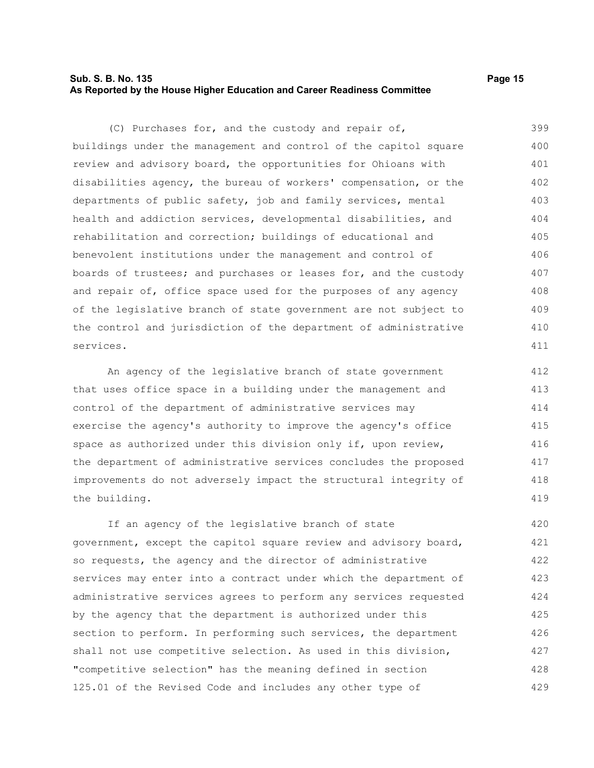# **Sub. S. B. No. 135 Page 15 As Reported by the House Higher Education and Career Readiness Committee**

(C) Purchases for, and the custody and repair of, buildings under the management and control of the capitol square review and advisory board, the opportunities for Ohioans with disabilities agency, the bureau of workers' compensation, or the departments of public safety, job and family services, mental health and addiction services, developmental disabilities, and rehabilitation and correction; buildings of educational and benevolent institutions under the management and control of boards of trustees; and purchases or leases for, and the custody and repair of, office space used for the purposes of any agency of the legislative branch of state government are not subject to the control and jurisdiction of the department of administrative services. 399 400 401 402 403 404 405 406 407 408 409 410 411

An agency of the legislative branch of state government that uses office space in a building under the management and control of the department of administrative services may exercise the agency's authority to improve the agency's office space as authorized under this division only if, upon review, the department of administrative services concludes the proposed improvements do not adversely impact the structural integrity of the building. 412 413 414 415 416 417 418 419

If an agency of the legislative branch of state government, except the capitol square review and advisory board, so requests, the agency and the director of administrative services may enter into a contract under which the department of administrative services agrees to perform any services requested by the agency that the department is authorized under this section to perform. In performing such services, the department shall not use competitive selection. As used in this division, "competitive selection" has the meaning defined in section 125.01 of the Revised Code and includes any other type of 420 421 422 423 424 425 426 427 428 429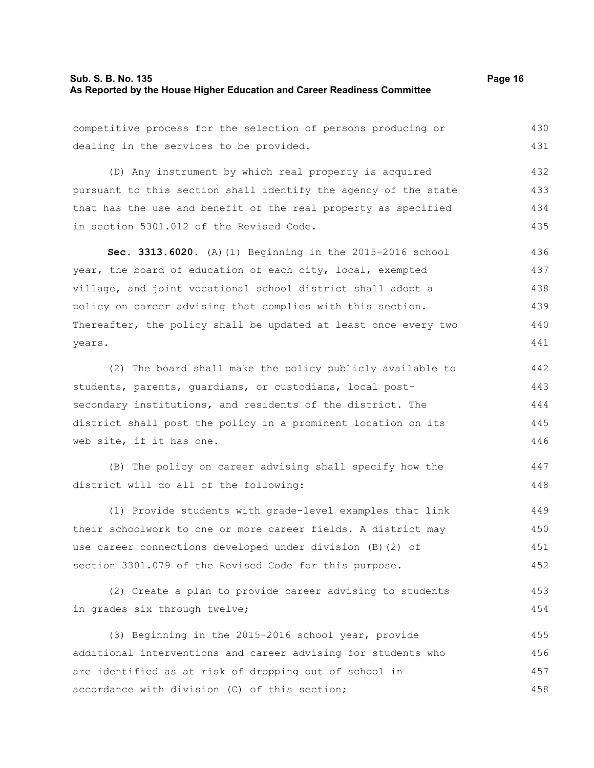# **Sub. S. B. No. 135 Page 16 As Reported by the House Higher Education and Career Readiness Committee**

competitive process for the selection of persons producing or dealing in the services to be provided. (D) Any instrument by which real property is acquired pursuant to this section shall identify the agency of the state that has the use and benefit of the real property as specified in section 5301.012 of the Revised Code. **Sec. 3313.6020.** (A)(1) Beginning in the 2015-2016 school year, the board of education of each city, local, exempted village, and joint vocational school district shall adopt a policy on career advising that complies with this section. Thereafter, the policy shall be updated at least once every two years. (2) The board shall make the policy publicly available to students, parents, guardians, or custodians, local postsecondary institutions, and residents of the district. The district shall post the policy in a prominent location on its web site, if it has one. (B) The policy on career advising shall specify how the district will do all of the following: (1) Provide students with grade-level examples that link their schoolwork to one or more career fields. A district may use career connections developed under division (B)(2) of section 3301.079 of the Revised Code for this purpose. 430 431 432 433 434 435 436 437 438 439 440 441 442 443 444 445 446 447 448 449 450 451 452

(2) Create a plan to provide career advising to students in grades six through twelve; 453 454

(3) Beginning in the 2015-2016 school year, provide additional interventions and career advising for students who are identified as at risk of dropping out of school in accordance with division (C) of this section; 455 456 457 458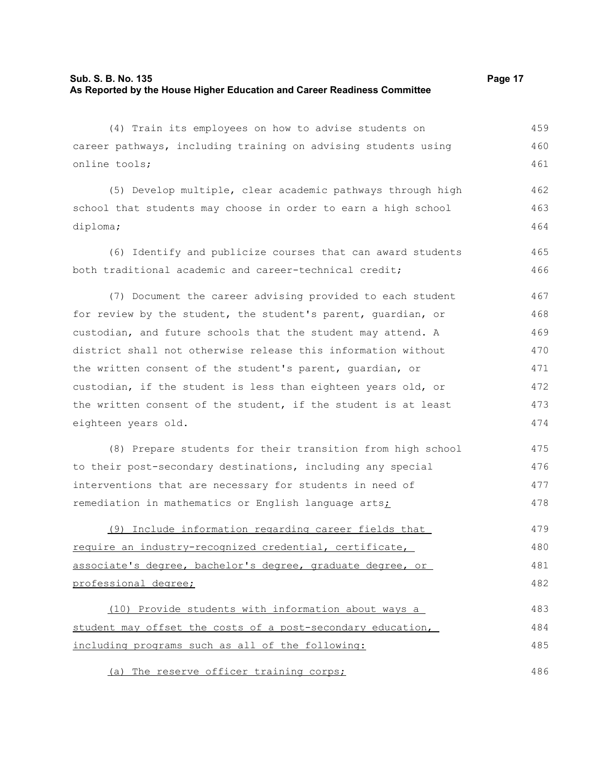(4) Train its employees on how to advise students on career pathways, including training on advising students using online tools; 459 460 461

(5) Develop multiple, clear academic pathways through high school that students may choose in order to earn a high school diploma; 462 463 464

(6) Identify and publicize courses that can award students both traditional academic and career-technical credit; 465 466

(7) Document the career advising provided to each student for review by the student, the student's parent, guardian, or custodian, and future schools that the student may attend. A district shall not otherwise release this information without the written consent of the student's parent, guardian, or custodian, if the student is less than eighteen years old, or the written consent of the student, if the student is at least eighteen years old. 467 468 469 470 471 472 473 474

(8) Prepare students for their transition from high school to their post-secondary destinations, including any special interventions that are necessary for students in need of remediation in mathematics or English language arts; 475 476 477 478

(9) Include information regarding career fields that require an industry-recognized credential, certificate, associate's degree, bachelor's degree, graduate degree, or professional degree; 479 480 481 482

(10) Provide students with information about ways a student may offset the costs of a post-secondary education, including programs such as all of the following: 483 484 485

(a) The reserve officer training corps;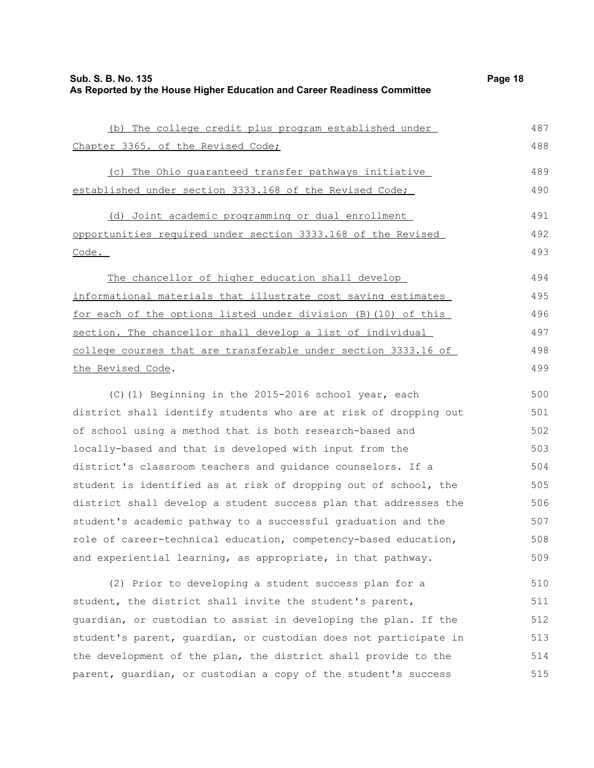| (b) The college credit plus program established under            | 487 |
|------------------------------------------------------------------|-----|
| Chapter 3365. of the Revised Code;                               | 488 |
| (c) The Ohio quaranteed transfer pathways initiative             | 489 |
| established under section 3333.168 of the Revised Code;          | 490 |
| (d) Joint academic programming or dual enrollment                | 491 |
| opportunities required under section 3333.168 of the Revised     | 492 |
| Code.                                                            | 493 |
| The chancellor of higher education shall develop                 | 494 |
| informational materials that illustrate cost saving estimates    | 495 |
| for each of the options listed under division (B) (10) of this   | 496 |
| section. The chancellor shall develop a list of individual       | 497 |
| college courses that are transferable under section 3333.16 of   | 498 |
| the Revised Code.                                                | 499 |
| (C)(1) Beginning in the 2015-2016 school year, each              | 500 |
| district shall identify students who are at risk of dropping out | 501 |
| of school using a method that is both research-based and         | 502 |
| locally-based and that is developed with input from the          | 503 |
| district's classroom teachers and guidance counselors. If a      | 504 |
| student is identified as at risk of dropping out of school, the  | 505 |
| district shall develop a student success plan that addresses the | 506 |
| student's academic pathway to a successful graduation and the    | 507 |
| role of career-technical education, competency-based education,  | 508 |
| and experiential learning, as appropriate, in that pathway.      | 509 |
| (2) Prior to developing a student success plan for a             | 510 |
| student, the district shall invite the student's parent,         | 511 |
| guardian, or custodian to assist in developing the plan. If the  | 512 |
| student's parent, guardian, or custodian does not participate in | 513 |
| the development of the plan, the district shall provide to the   | 514 |
| parent, guardian, or custodian a copy of the student's success   | 515 |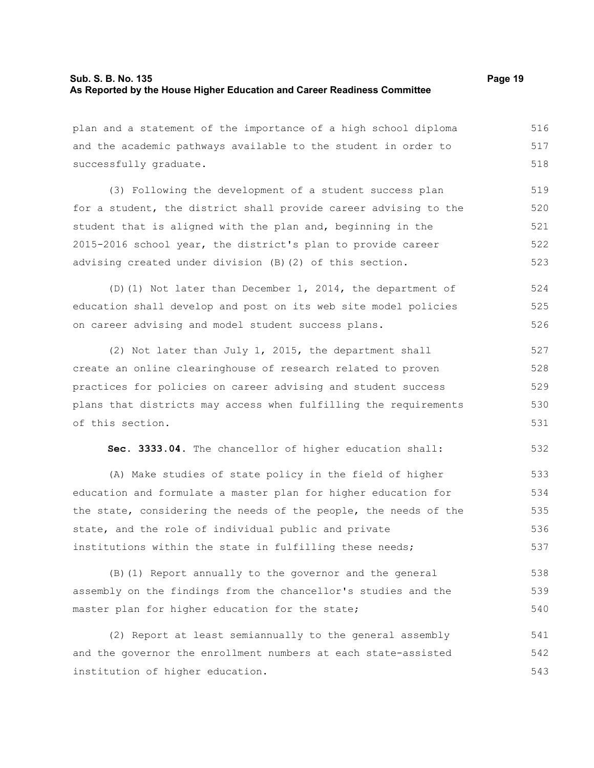plan and a statement of the importance of a high school diploma and the academic pathways available to the student in order to successfully graduate. 516 517 518

(3) Following the development of a student success plan for a student, the district shall provide career advising to the student that is aligned with the plan and, beginning in the 2015-2016 school year, the district's plan to provide career advising created under division (B)(2) of this section. 519 520 521 522 523

(D)(1) Not later than December 1, 2014, the department of education shall develop and post on its web site model policies on career advising and model student success plans. 524 525 526

(2) Not later than July 1, 2015, the department shall create an online clearinghouse of research related to proven practices for policies on career advising and student success plans that districts may access when fulfilling the requirements of this section. 527 528 529 530 531

**Sec. 3333.04.** The chancellor of higher education shall: 532

(A) Make studies of state policy in the field of higher education and formulate a master plan for higher education for the state, considering the needs of the people, the needs of the state, and the role of individual public and private institutions within the state in fulfilling these needs; 533 534 535 536 537

(B)(1) Report annually to the governor and the general assembly on the findings from the chancellor's studies and the master plan for higher education for the state; 538 539 540

(2) Report at least semiannually to the general assembly and the governor the enrollment numbers at each state-assisted institution of higher education. 541 542 543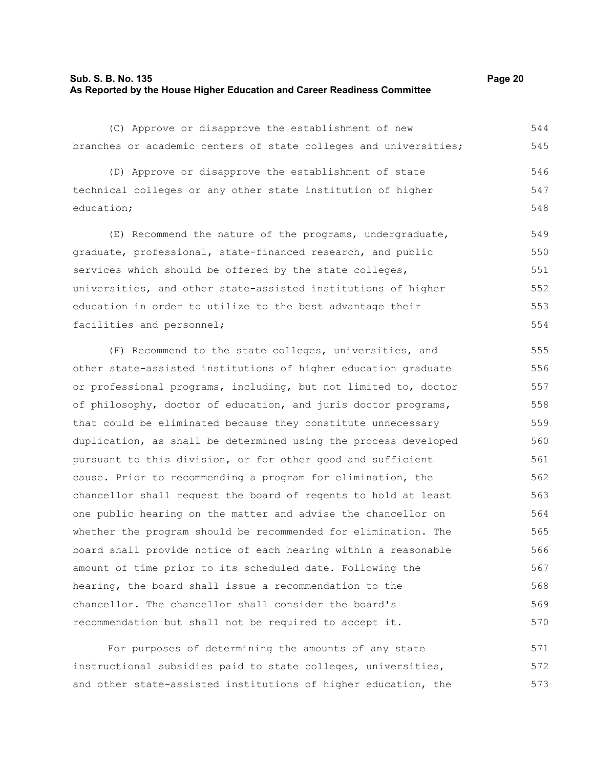# **Sub. S. B. No. 135 Page 20 As Reported by the House Higher Education and Career Readiness Committee**

(C) Approve or disapprove the establishment of new branches or academic centers of state colleges and universities; 544 545

(D) Approve or disapprove the establishment of state technical colleges or any other state institution of higher education; 546 547 548

(E) Recommend the nature of the programs, undergraduate, graduate, professional, state-financed research, and public services which should be offered by the state colleges, universities, and other state-assisted institutions of higher education in order to utilize to the best advantage their facilities and personnel; 549 550 551 552 553 554

(F) Recommend to the state colleges, universities, and other state-assisted institutions of higher education graduate or professional programs, including, but not limited to, doctor of philosophy, doctor of education, and juris doctor programs, that could be eliminated because they constitute unnecessary duplication, as shall be determined using the process developed pursuant to this division, or for other good and sufficient cause. Prior to recommending a program for elimination, the chancellor shall request the board of regents to hold at least one public hearing on the matter and advise the chancellor on whether the program should be recommended for elimination. The board shall provide notice of each hearing within a reasonable amount of time prior to its scheduled date. Following the hearing, the board shall issue a recommendation to the chancellor. The chancellor shall consider the board's recommendation but shall not be required to accept it. 555 556 557 558 559 560 561 562 563 564 565 566 567 568 569 570

For purposes of determining the amounts of any state instructional subsidies paid to state colleges, universities, and other state-assisted institutions of higher education, the 571 572 573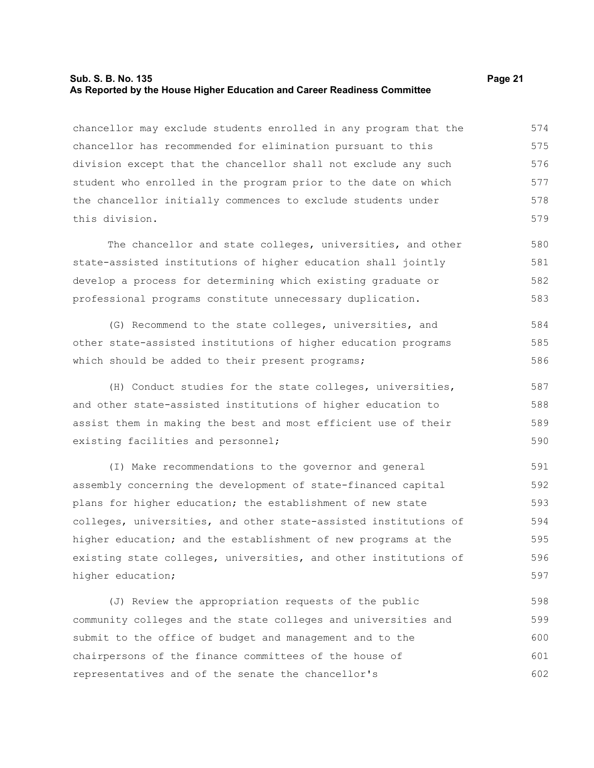# **Sub. S. B. No. 135 Page 21 As Reported by the House Higher Education and Career Readiness Committee**

chancellor may exclude students enrolled in any program that the chancellor has recommended for elimination pursuant to this division except that the chancellor shall not exclude any such student who enrolled in the program prior to the date on which the chancellor initially commences to exclude students under this division. 574 575 576 577 578 579

The chancellor and state colleges, universities, and other state-assisted institutions of higher education shall jointly develop a process for determining which existing graduate or professional programs constitute unnecessary duplication. 580 581 582 583

(G) Recommend to the state colleges, universities, and other state-assisted institutions of higher education programs which should be added to their present programs; 584 585 586

(H) Conduct studies for the state colleges, universities, and other state-assisted institutions of higher education to assist them in making the best and most efficient use of their existing facilities and personnel; 587 588 589 590

(I) Make recommendations to the governor and general assembly concerning the development of state-financed capital plans for higher education; the establishment of new state colleges, universities, and other state-assisted institutions of higher education; and the establishment of new programs at the existing state colleges, universities, and other institutions of higher education; 591 592 593 594 595 596 597

(J) Review the appropriation requests of the public community colleges and the state colleges and universities and submit to the office of budget and management and to the chairpersons of the finance committees of the house of representatives and of the senate the chancellor's 598 599 600 601 602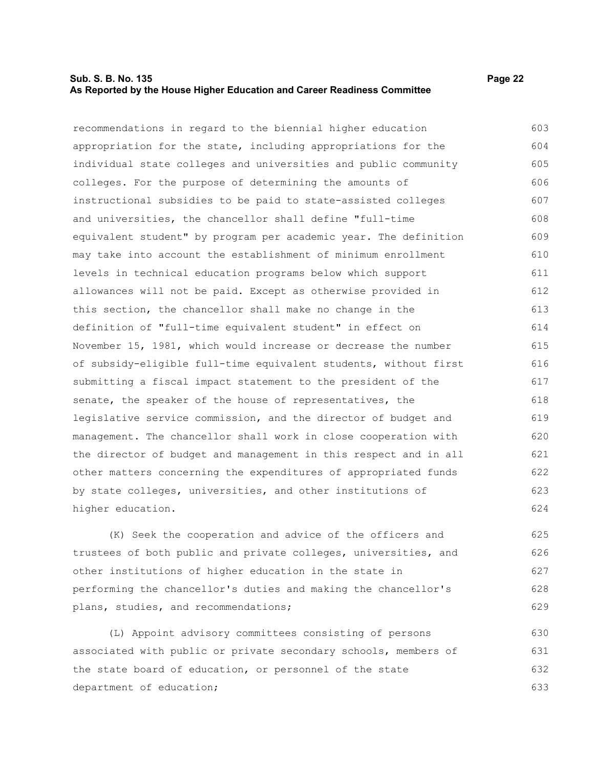### **Sub. S. B. No. 135 Page 22 As Reported by the House Higher Education and Career Readiness Committee**

recommendations in regard to the biennial higher education appropriation for the state, including appropriations for the

individual state colleges and universities and public community colleges. For the purpose of determining the amounts of instructional subsidies to be paid to state-assisted colleges and universities, the chancellor shall define "full-time equivalent student" by program per academic year. The definition may take into account the establishment of minimum enrollment levels in technical education programs below which support allowances will not be paid. Except as otherwise provided in this section, the chancellor shall make no change in the definition of "full-time equivalent student" in effect on November 15, 1981, which would increase or decrease the number of subsidy-eligible full-time equivalent students, without first submitting a fiscal impact statement to the president of the senate, the speaker of the house of representatives, the legislative service commission, and the director of budget and management. The chancellor shall work in close cooperation with the director of budget and management in this respect and in all other matters concerning the expenditures of appropriated funds by state colleges, universities, and other institutions of higher education. 605 606 607 608 609 610 611 612 613 614 615 616 617 618 619 620 621 622 623 624

(K) Seek the cooperation and advice of the officers and trustees of both public and private colleges, universities, and other institutions of higher education in the state in performing the chancellor's duties and making the chancellor's plans, studies, and recommendations;

(L) Appoint advisory committees consisting of persons associated with public or private secondary schools, members of the state board of education, or personnel of the state department of education; 630 631 632 633

603 604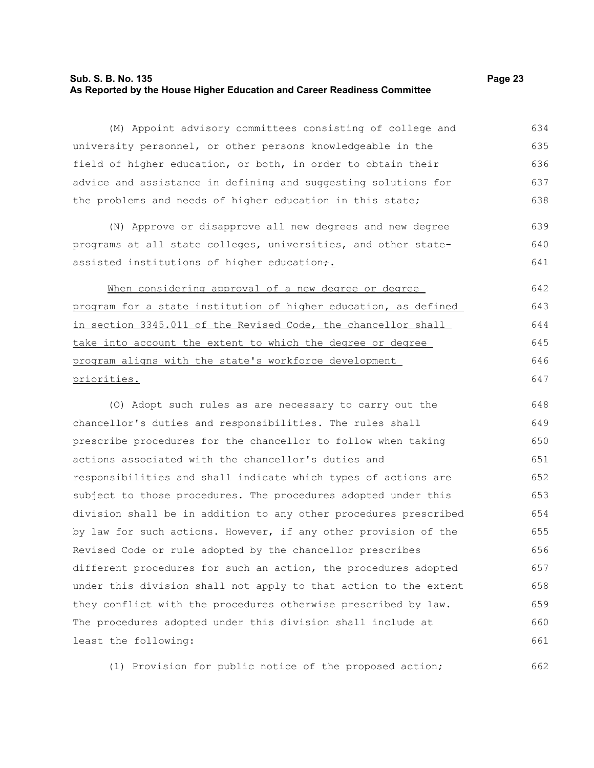# **Sub. S. B. No. 135 Page 23 As Reported by the House Higher Education and Career Readiness Committee**

(M) Appoint advisory committees consisting of college and university personnel, or other persons knowledgeable in the field of higher education, or both, in order to obtain their advice and assistance in defining and suggesting solutions for the problems and needs of higher education in this state; 634 635 636 637 638

(N) Approve or disapprove all new degrees and new degree programs at all state colleges, universities, and other stateassisted institutions of higher education $\div$ . 639 640 641

When considering approval of a new degree or degree program for a state institution of higher education, as defined in section 3345.011 of the Revised Code, the chancellor shall take into account the extent to which the degree or degree program aligns with the state's workforce development priorities.

(O) Adopt such rules as are necessary to carry out the chancellor's duties and responsibilities. The rules shall prescribe procedures for the chancellor to follow when taking actions associated with the chancellor's duties and responsibilities and shall indicate which types of actions are subject to those procedures. The procedures adopted under this division shall be in addition to any other procedures prescribed by law for such actions. However, if any other provision of the Revised Code or rule adopted by the chancellor prescribes different procedures for such an action, the procedures adopted under this division shall not apply to that action to the extent they conflict with the procedures otherwise prescribed by law. The procedures adopted under this division shall include at least the following: 648 649 650 651 652 653 654 655 656 657 658 659 660 661

(1) Provision for public notice of the proposed action; 662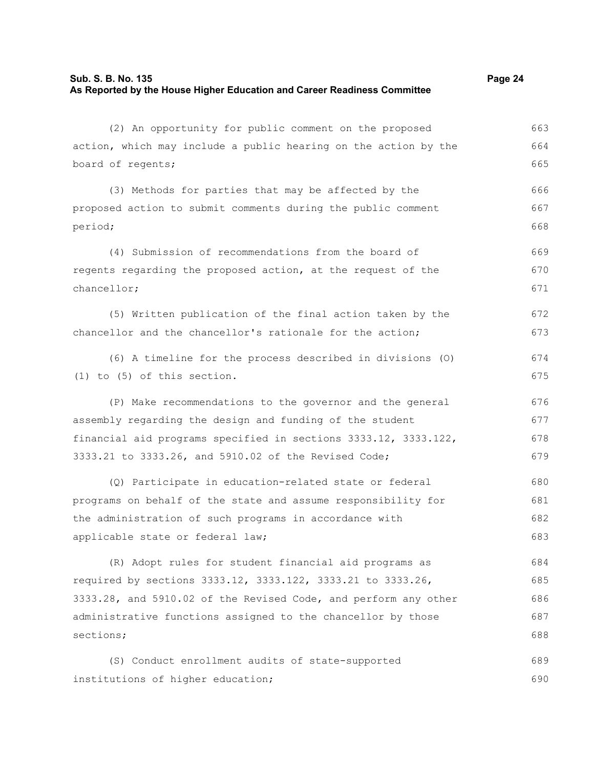# **Sub. S. B. No. 135 Page 24 As Reported by the House Higher Education and Career Readiness Committee**

| (2) An opportunity for public comment on the proposed           | 663 |
|-----------------------------------------------------------------|-----|
| action, which may include a public hearing on the action by the | 664 |
| board of regents;                                               | 665 |
| (3) Methods for parties that may be affected by the             | 666 |
| proposed action to submit comments during the public comment    | 667 |
| period;                                                         | 668 |
| (4) Submission of recommendations from the board of             | 669 |
| regents regarding the proposed action, at the request of the    | 670 |
| chancellor;                                                     | 671 |
| (5) Written publication of the final action taken by the        | 672 |
| chancellor and the chancellor's rationale for the action;       | 673 |
| (6) A timeline for the process described in divisions (0)       | 674 |
| $(1)$ to $(5)$ of this section.                                 | 675 |
| (P) Make recommendations to the governor and the general        | 676 |
| assembly regarding the design and funding of the student        | 677 |
| financial aid programs specified in sections 3333.12, 3333.122, | 678 |
| 3333.21 to 3333.26, and 5910.02 of the Revised Code;            | 679 |
| (Q) Participate in education-related state or federal           | 680 |
| programs on behalf of the state and assume responsibility for   | 681 |
| the administration of such programs in accordance with          | 682 |
| applicable state or federal law;                                | 683 |
| (R) Adopt rules for student financial aid programs as           | 684 |
| required by sections 3333.12, 3333.122, 3333.21 to 3333.26,     | 685 |
| 3333.28, and 5910.02 of the Revised Code, and perform any other | 686 |
| administrative functions assigned to the chancellor by those    | 687 |
| sections;                                                       | 688 |
| (S) Conduct enrollment audits of state-supported                | 689 |
| institutions of higher education;                               | 690 |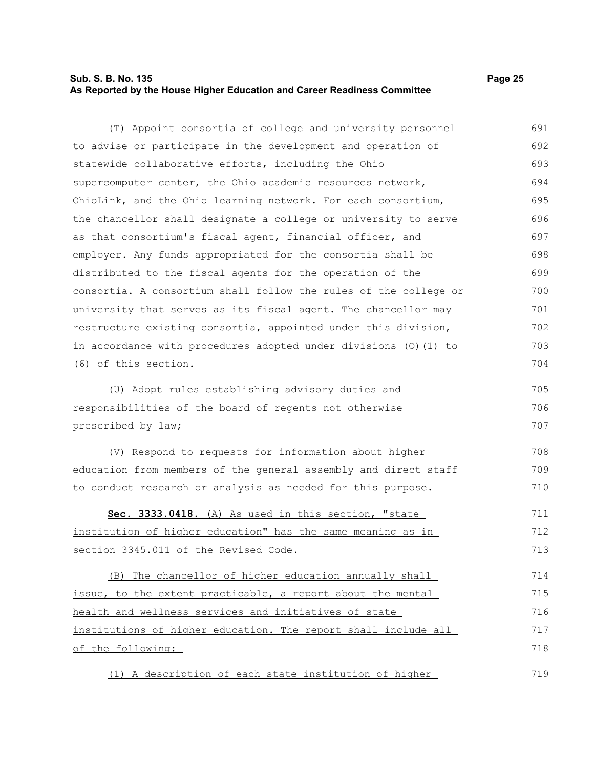# **Sub. S. B. No. 135 Page 25 As Reported by the House Higher Education and Career Readiness Committee**

| (T) Appoint consortia of college and university personnel        | 691 |
|------------------------------------------------------------------|-----|
| to advise or participate in the development and operation of     | 692 |
| statewide collaborative efforts, including the Ohio              | 693 |
| supercomputer center, the Ohio academic resources network,       | 694 |
| OhioLink, and the Ohio learning network. For each consortium,    | 695 |
| the chancellor shall designate a college or university to serve  | 696 |
| as that consortium's fiscal agent, financial officer, and        | 697 |
| employer. Any funds appropriated for the consortia shall be      | 698 |
| distributed to the fiscal agents for the operation of the        | 699 |
| consortia. A consortium shall follow the rules of the college or | 700 |
| university that serves as its fiscal agent. The chancellor may   | 701 |
| restructure existing consortia, appointed under this division,   | 702 |
| in accordance with procedures adopted under divisions (0) (1) to | 703 |
| (6) of this section.                                             | 704 |
| (U) Adopt rules establishing advisory duties and                 | 705 |
| responsibilities of the board of regents not otherwise           | 706 |
| prescribed by law;                                               | 707 |
| (V) Respond to requests for information about higher             | 708 |
| education from members of the general assembly and direct staff  | 709 |
| to conduct research or analysis as needed for this purpose.      | 710 |
| Sec. 3333.0418. (A) As used in this section, "state              | 711 |
| institution of higher education" has the same meaning as in      | 712 |
| section 3345.011 of the Revised Code.                            | 713 |
| (B) The chancellor of higher education annually shall            | 714 |
| issue, to the extent practicable, a report about the mental      | 715 |
| health and wellness services and initiatives of state            | 716 |
| institutions of higher education. The report shall include all   | 717 |
| of the following:                                                | 718 |
| (1) A description of each state institution of higher            | 719 |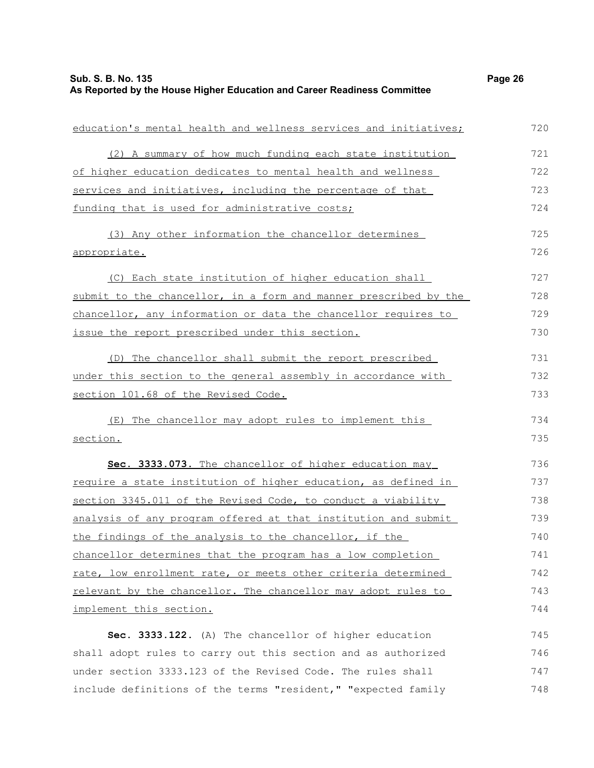| education's mental health and wellness services and initiatives; | 720 |
|------------------------------------------------------------------|-----|
| (2) A summary of how much funding each state institution         | 721 |
| of higher education dedicates to mental health and wellness      | 722 |
| services and initiatives, including the percentage of that       | 723 |
| funding that is used for administrative costs;                   | 724 |
| (3) Any other information the chancellor determines              | 725 |
| appropriate.                                                     | 726 |
| (C) Each state institution of higher education shall             | 727 |
| submit to the chancellor, in a form and manner prescribed by the | 728 |
| chancellor, any information or data the chancellor requires to   | 729 |
| issue the report prescribed under this section.                  | 730 |
| (D) The chancellor shall submit the report prescribed            | 731 |
| under this section to the general assembly in accordance with    | 732 |
| section 101.68 of the Revised Code.                              | 733 |
| The chancellor may adopt rules to implement this<br>(E)          | 734 |
| section.                                                         | 735 |
| Sec. 3333.073. The chancellor of higher education may            | 736 |
| require a state institution of higher education, as defined in   | 737 |
| section 3345.011 of the Revised Code, to conduct a viability     | 738 |
| analysis of any program offered at that institution and submit   | 739 |
| the findings of the analysis to the chancellor, if the           | 740 |
| chancellor determines that the program has a low completion      | 741 |
| rate, low enrollment rate, or meets other criteria determined    | 742 |
| relevant by the chancellor. The chancellor may adopt rules to    | 743 |
| implement this section.                                          | 744 |
| Sec. 3333.122. (A) The chancellor of higher education            | 745 |
| shall adopt rules to carry out this section and as authorized    | 746 |
| under section 3333.123 of the Revised Code. The rules shall      | 747 |
| include definitions of the terms "resident," "expected family    | 748 |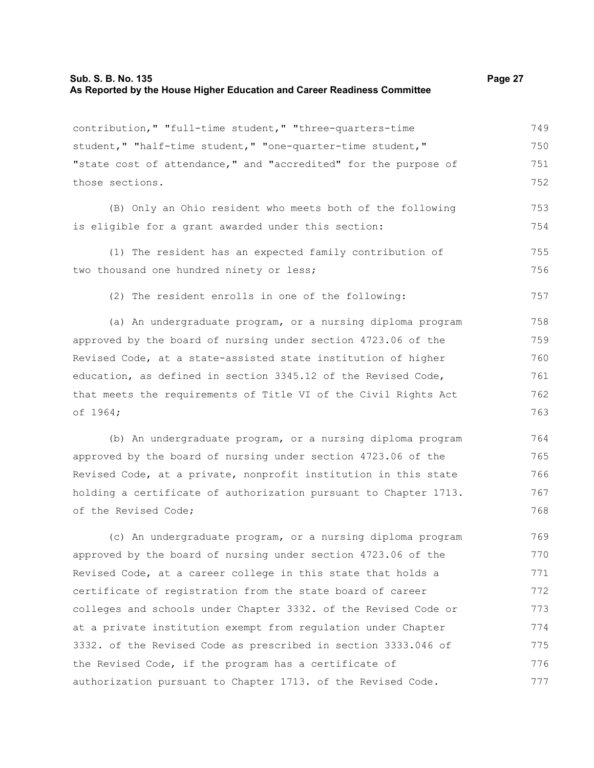# **Sub. S. B. No. 135 Page 27 As Reported by the House Higher Education and Career Readiness Committee**

contribution," "full-time student," "three-quarters-time student," "half-time student," "one-quarter-time student," "state cost of attendance," and "accredited" for the purpose of those sections. 749 750 751 752

(B) Only an Ohio resident who meets both of the following is eligible for a grant awarded under this section: 753 754

(1) The resident has an expected family contribution of two thousand one hundred ninety or less; 755 756

(2) The resident enrolls in one of the following:

(a) An undergraduate program, or a nursing diploma program approved by the board of nursing under section 4723.06 of the Revised Code, at a state-assisted state institution of higher education, as defined in section 3345.12 of the Revised Code, that meets the requirements of Title VI of the Civil Rights Act of 1964; 758 759 760 761 762 763

(b) An undergraduate program, or a nursing diploma program approved by the board of nursing under section 4723.06 of the Revised Code, at a private, nonprofit institution in this state holding a certificate of authorization pursuant to Chapter 1713. of the Revised Code; 764 765 766 767 768

(c) An undergraduate program, or a nursing diploma program approved by the board of nursing under section 4723.06 of the Revised Code, at a career college in this state that holds a certificate of registration from the state board of career colleges and schools under Chapter 3332. of the Revised Code or at a private institution exempt from regulation under Chapter 3332. of the Revised Code as prescribed in section 3333.046 of the Revised Code, if the program has a certificate of authorization pursuant to Chapter 1713. of the Revised Code. 769 770 771 772 773 774 775 776 777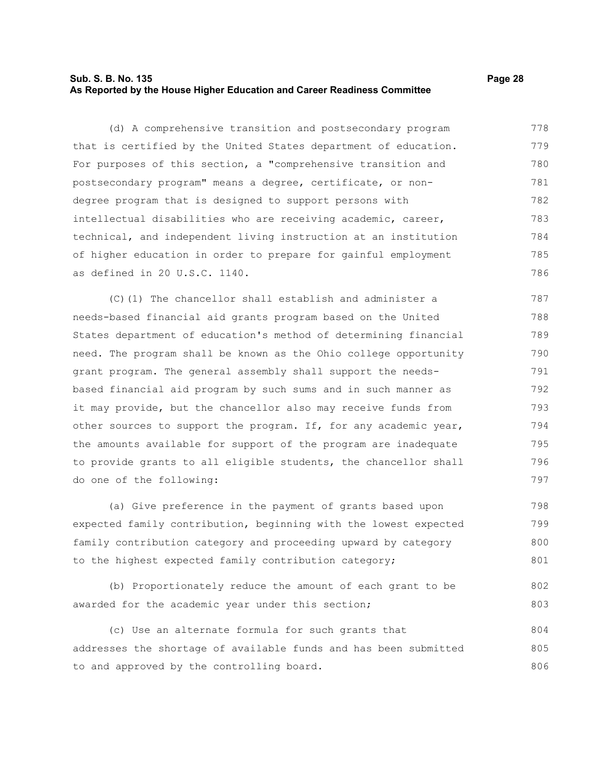# **Sub. S. B. No. 135 Page 28 As Reported by the House Higher Education and Career Readiness Committee**

(d) A comprehensive transition and postsecondary program that is certified by the United States department of education. For purposes of this section, a "comprehensive transition and postsecondary program" means a degree, certificate, or nondegree program that is designed to support persons with intellectual disabilities who are receiving academic, career, technical, and independent living instruction at an institution of higher education in order to prepare for gainful employment as defined in 20 U.S.C. 1140. 778 779 780 781 782 783 784 785 786

(C)(1) The chancellor shall establish and administer a needs-based financial aid grants program based on the United States department of education's method of determining financial need. The program shall be known as the Ohio college opportunity grant program. The general assembly shall support the needsbased financial aid program by such sums and in such manner as it may provide, but the chancellor also may receive funds from other sources to support the program. If, for any academic year, the amounts available for support of the program are inadequate to provide grants to all eligible students, the chancellor shall do one of the following: 787 788 789 790 791 792 793 794 795 796 797

(a) Give preference in the payment of grants based upon expected family contribution, beginning with the lowest expected family contribution category and proceeding upward by category to the highest expected family contribution category; 798 799 800 801

(b) Proportionately reduce the amount of each grant to be awarded for the academic year under this section; 802 803

(c) Use an alternate formula for such grants that addresses the shortage of available funds and has been submitted to and approved by the controlling board. 804 805 806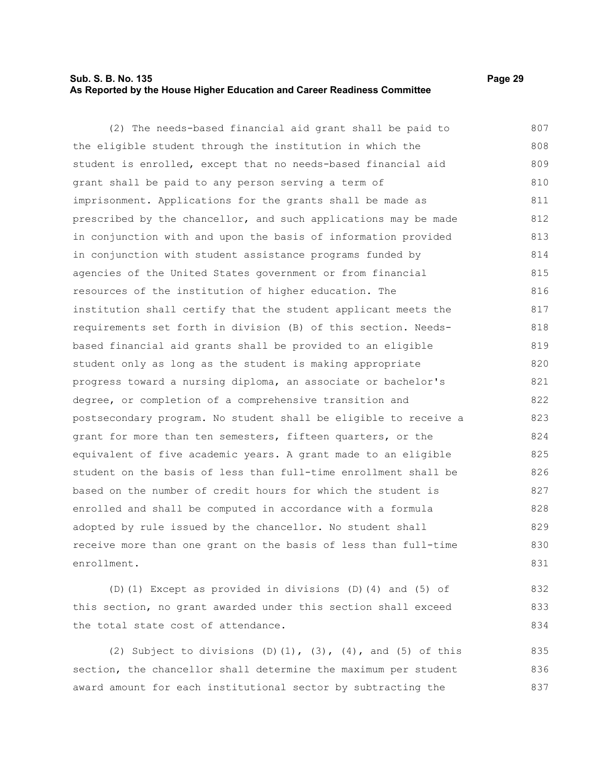# **Sub. S. B. No. 135 Page 29 As Reported by the House Higher Education and Career Readiness Committee**

832 833 834

(2) The needs-based financial aid grant shall be paid to the eligible student through the institution in which the student is enrolled, except that no needs-based financial aid grant shall be paid to any person serving a term of imprisonment. Applications for the grants shall be made as prescribed by the chancellor, and such applications may be made in conjunction with and upon the basis of information provided in conjunction with student assistance programs funded by agencies of the United States government or from financial resources of the institution of higher education. The institution shall certify that the student applicant meets the requirements set forth in division (B) of this section. Needsbased financial aid grants shall be provided to an eligible student only as long as the student is making appropriate progress toward a nursing diploma, an associate or bachelor's degree, or completion of a comprehensive transition and postsecondary program. No student shall be eligible to receive a grant for more than ten semesters, fifteen quarters, or the equivalent of five academic years. A grant made to an eligible student on the basis of less than full-time enrollment shall be based on the number of credit hours for which the student is enrolled and shall be computed in accordance with a formula adopted by rule issued by the chancellor. No student shall receive more than one grant on the basis of less than full-time enrollment. 807 808 809 810 811 812 813 814 815 816 817 818 819 820 821 822 823 824 825 826 827 828 829 830 831

(D)(1) Except as provided in divisions (D)(4) and (5) of this section, no grant awarded under this section shall exceed the total state cost of attendance.

(2) Subject to divisions (D)(1),  $(3)$ ,  $(4)$ , and  $(5)$  of this section, the chancellor shall determine the maximum per student award amount for each institutional sector by subtracting the 835 836 837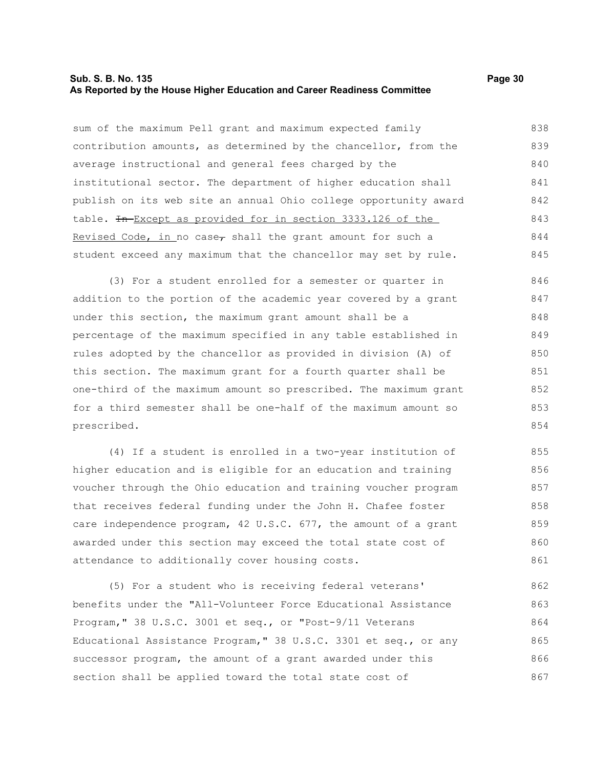# **Sub. S. B. No. 135 Page 30 As Reported by the House Higher Education and Career Readiness Committee**

sum of the maximum Pell grant and maximum expected family contribution amounts, as determined by the chancellor, from the average instructional and general fees charged by the institutional sector. The department of higher education shall publish on its web site an annual Ohio college opportunity award table. In Except as provided for in section 3333.126 of the Revised Code, in no case, shall the grant amount for such a student exceed any maximum that the chancellor may set by rule. 838 839 840 841 842 843 844 845

(3) For a student enrolled for a semester or quarter in addition to the portion of the academic year covered by a grant under this section, the maximum grant amount shall be a percentage of the maximum specified in any table established in rules adopted by the chancellor as provided in division (A) of this section. The maximum grant for a fourth quarter shall be one-third of the maximum amount so prescribed. The maximum grant for a third semester shall be one-half of the maximum amount so prescribed. 846 847 848 849 850 851 852 853 854

(4) If a student is enrolled in a two-year institution of higher education and is eligible for an education and training voucher through the Ohio education and training voucher program that receives federal funding under the John H. Chafee foster care independence program, 42 U.S.C. 677, the amount of a grant awarded under this section may exceed the total state cost of attendance to additionally cover housing costs. 855 856 857 858 859 860 861

(5) For a student who is receiving federal veterans' benefits under the "All-Volunteer Force Educational Assistance Program," 38 U.S.C. 3001 et seq., or "Post-9/11 Veterans Educational Assistance Program," 38 U.S.C. 3301 et seq., or any successor program, the amount of a grant awarded under this section shall be applied toward the total state cost of 862 863 864 865 866 867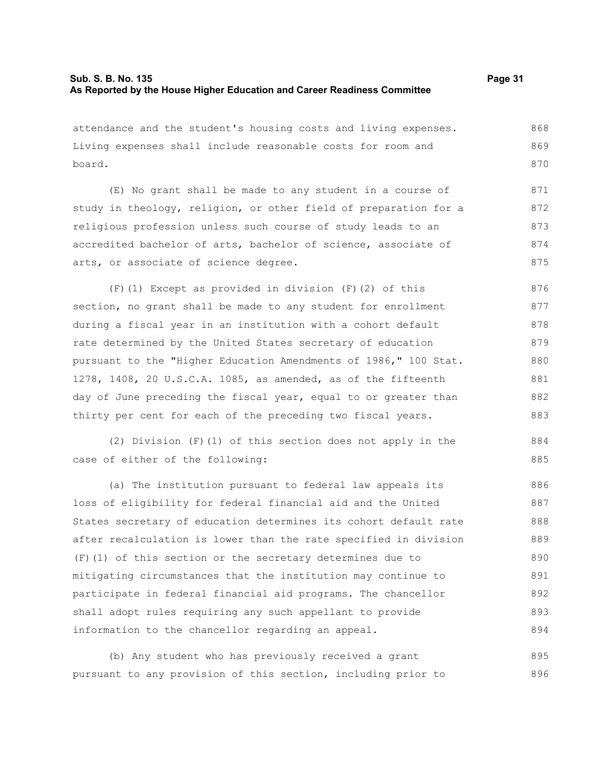attendance and the student's housing costs and living expenses. Living expenses shall include reasonable costs for room and board. 868 869 870

(E) No grant shall be made to any student in a course of study in theology, religion, or other field of preparation for a religious profession unless such course of study leads to an accredited bachelor of arts, bachelor of science, associate of arts, or associate of science degree. 871 872 873 874 875

(F)(1) Except as provided in division (F)(2) of this section, no grant shall be made to any student for enrollment during a fiscal year in an institution with a cohort default rate determined by the United States secretary of education pursuant to the "Higher Education Amendments of 1986," 100 Stat. 1278, 1408, 20 U.S.C.A. 1085, as amended, as of the fifteenth day of June preceding the fiscal year, equal to or greater than thirty per cent for each of the preceding two fiscal years. 876 877 878 879 880 881 882 883

(2) Division (F)(1) of this section does not apply in the case of either of the following:

(a) The institution pursuant to federal law appeals its loss of eligibility for federal financial aid and the United States secretary of education determines its cohort default rate after recalculation is lower than the rate specified in division (F)(1) of this section or the secretary determines due to mitigating circumstances that the institution may continue to participate in federal financial aid programs. The chancellor shall adopt rules requiring any such appellant to provide information to the chancellor regarding an appeal. 886 887 888 889 890 891 892 893 894

(b) Any student who has previously received a grant pursuant to any provision of this section, including prior to 895 896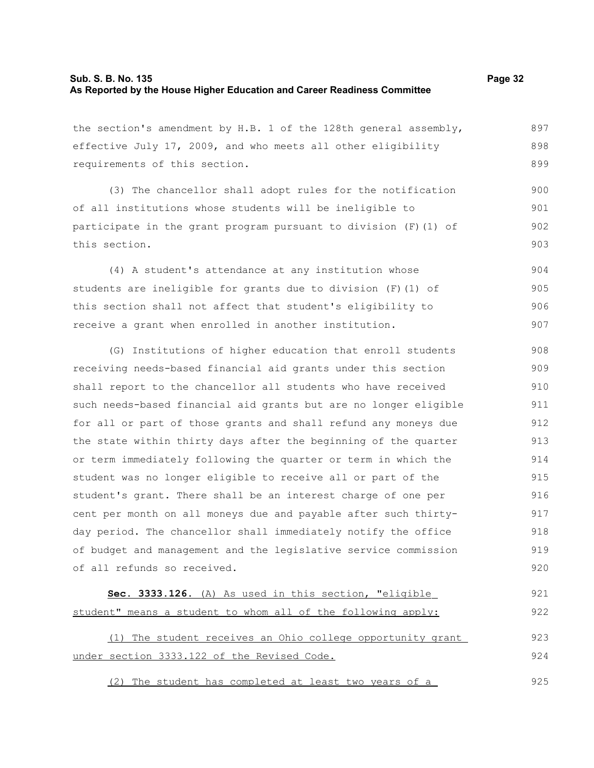# **Sub. S. B. No. 135 Page 32 As Reported by the House Higher Education and Career Readiness Committee**

the section's amendment by H.B. 1 of the 128th general assembly, effective July 17, 2009, and who meets all other eligibility requirements of this section.

(3) The chancellor shall adopt rules for the notification of all institutions whose students will be ineligible to participate in the grant program pursuant to division (F)(1) of this section. 900 901 902 903

(4) A student's attendance at any institution whose students are ineligible for grants due to division (F)(1) of this section shall not affect that student's eligibility to receive a grant when enrolled in another institution. 904 905 906 907

(G) Institutions of higher education that enroll students receiving needs-based financial aid grants under this section shall report to the chancellor all students who have received such needs-based financial aid grants but are no longer eligible for all or part of those grants and shall refund any moneys due the state within thirty days after the beginning of the quarter or term immediately following the quarter or term in which the student was no longer eligible to receive all or part of the student's grant. There shall be an interest charge of one per cent per month on all moneys due and payable after such thirtyday period. The chancellor shall immediately notify the office of budget and management and the legislative service commission of all refunds so received. 908 909 910 911 912 913 914 915 916 917 918 919 920

| Sec. 3333.126. (A) As used in this section, "eligible        | 921 |
|--------------------------------------------------------------|-----|
| student" means a student to whom all of the following apply: | 922 |
| (1) The student receives an Ohio college opportunity grant   | 923 |
| under section 3333.122 of the Revised Code.                  | 924 |

(2) The student has completed at least two years of a 925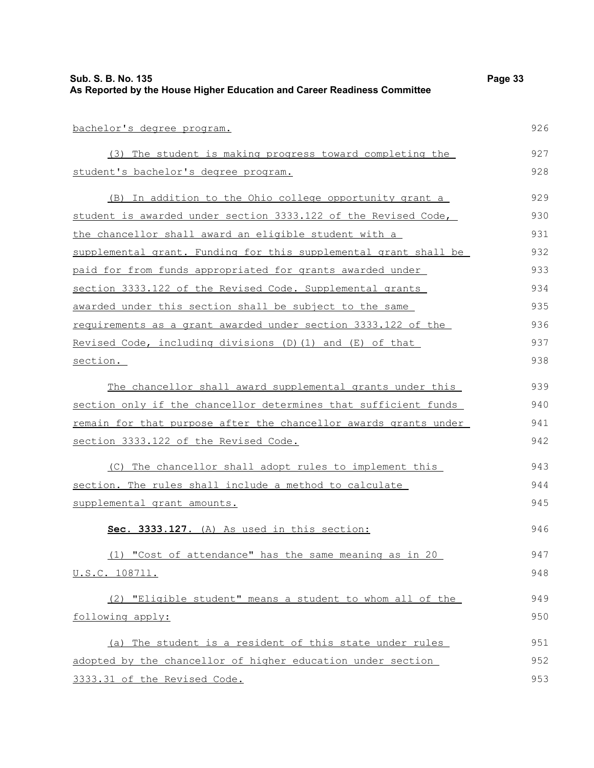| Sub. S. B. No. 135<br>As Reported by the House Higher Education and Career Readiness Committee | Page 33 |
|------------------------------------------------------------------------------------------------|---------|
|                                                                                                |         |
| bachelor's degree program.                                                                     | 926     |
| (3) The student is making progress toward completing the                                       | 927     |
| student's bachelor's degree program.                                                           | 928     |
| (B) In addition to the Ohio college opportunity grant a                                        | 929     |
| student is awarded under section 3333.122 of the Revised Code,                                 | 930     |
| the chancellor shall award an eligible student with a                                          | 931     |
| supplemental grant. Funding for this supplemental grant shall be                               | 932     |
| paid for from funds appropriated for grants awarded under                                      | 933     |
| section 3333.122 of the Revised Code. Supplemental grants                                      | 934     |
| awarded under this section shall be subject to the same                                        | 935     |
| <u>requirements</u> as a grant awarded under section 3333.122 of the                           | 936     |
| Revised Code, including divisions (D) (1) and (E) of that                                      | 937     |
| section.                                                                                       | 938     |
| The chancellor shall award supplemental grants under this                                      | 939     |
| section only if the chancellor determines that sufficient funds                                | 940     |
| remain for that purpose after the chancellor awards grants under                               | 941     |
| section 3333.122 of the Revised Code.                                                          | 942     |
| (C) The chancellor shall adopt rules to implement this                                         | 943     |
| section. The rules shall include a method to calculate                                         | 944     |
| supplemental grant amounts.                                                                    | 945     |
| Sec. 3333.127. (A) As used in this section:                                                    | 946     |
| (1) "Cost of attendance" has the same meaning as in 20                                         | 947     |
| <u>U.S.C. 108711.</u>                                                                          | 948     |
| (2) "Eligible student" means a student to whom all of the                                      | 949     |
| following apply:                                                                               | 950     |
| (a) The student is a resident of this state under rules                                        | 951     |
| adopted by the chancellor of higher education under section                                    | 952     |
| 3333.31 of the Revised Code.                                                                   | 953     |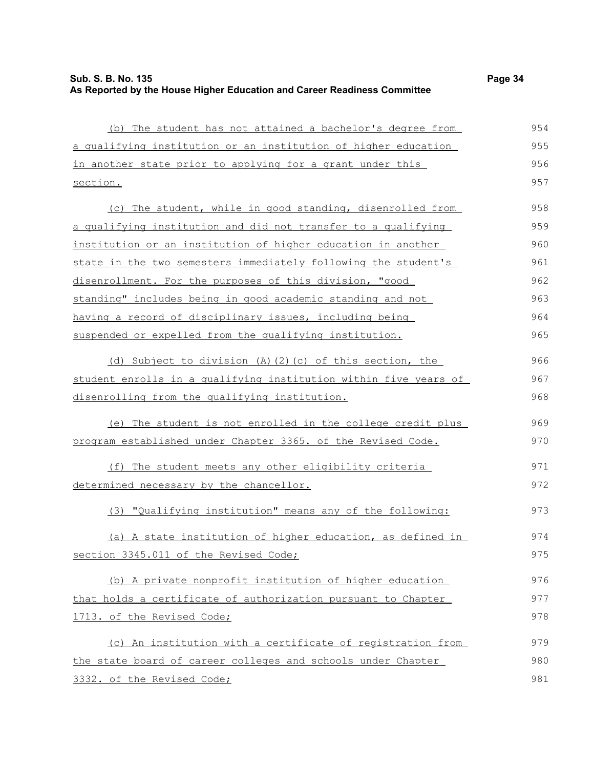| (b) The student has not attained a bachelor's degree from        | 954 |
|------------------------------------------------------------------|-----|
| a qualifying institution or an institution of higher education   | 955 |
| in another state prior to applying for a grant under this        | 956 |
| section.                                                         | 957 |
| (c) The student, while in good standing, disenrolled from        | 958 |
| a qualifying institution and did not transfer to a qualifying    | 959 |
| institution or an institution of higher education in another     | 960 |
| state in the two semesters immediately following the student's   | 961 |
| disenrollment. For the purposes of this division, "good          | 962 |
| standing" includes being in good academic standing and not       | 963 |
| having a record of disciplinary issues, including being          | 964 |
| suspended or expelled from the qualifying institution.           | 965 |
| (d) Subject to division (A)(2)(c) of this section, the           | 966 |
| student enrolls in a qualifying institution within five years of | 967 |
| disenrolling from the qualifying institution.                    | 968 |
| (e) The student is not enrolled in the college credit plus       | 969 |
| program established under Chapter 3365. of the Revised Code.     | 970 |
| (f) The student meets any other eligibility criteria             | 971 |
| determined necessary by the chancellor.                          | 972 |
| (3) "Qualifying institution" means any of the following:         | 973 |
| (a) A state institution of higher education, as defined in       | 974 |
| section 3345.011 of the Revised Code;                            | 975 |
| (b) A private nonprofit institution of higher education          | 976 |
| that holds a certificate of authorization pursuant to Chapter    | 977 |
| 1713. of the Revised Code;                                       | 978 |
| (c) An institution with a certificate of registration from       | 979 |
| the state board of career colleges and schools under Chapter     | 980 |
| 3332. of the Revised Code;                                       | 981 |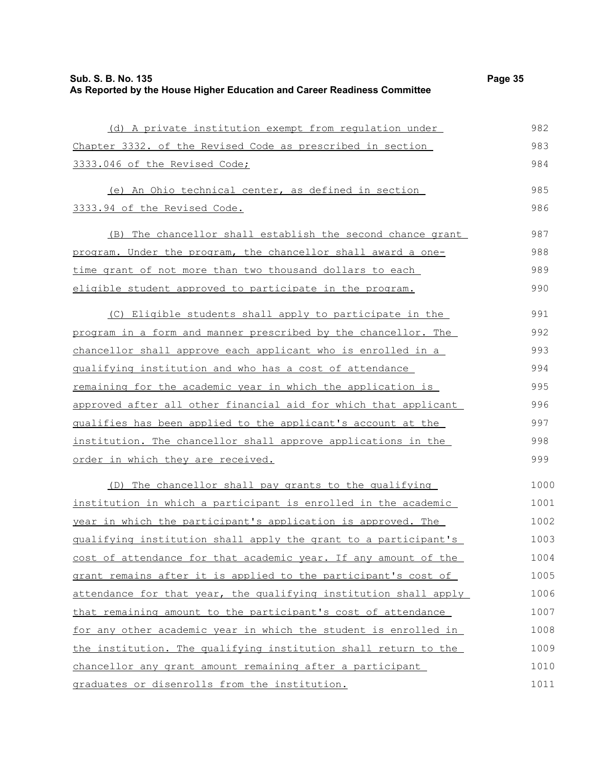| (d) A private institution exempt from regulation under           | 982  |
|------------------------------------------------------------------|------|
| Chapter 3332. of the Revised Code as prescribed in section       | 983  |
| 3333.046 of the Revised Code;                                    | 984  |
| (e) An Ohio technical center, as defined in section              | 985  |
| 3333.94 of the Revised Code.                                     | 986  |
| (B) The chancellor shall establish the second chance grant       | 987  |
| program. Under the program, the chancellor shall award a one-    | 988  |
| time grant of not more than two thousand dollars to each         | 989  |
| eligible student approved to participate in the program.         | 990  |
| (C) Eligible students shall apply to participate in the          | 991  |
| program in a form and manner prescribed by the chancellor. The   | 992  |
| chancellor shall approve each applicant who is enrolled in a     | 993  |
| qualifying institution and who has a cost of attendance          | 994  |
| remaining for the academic year in which the application is      | 995  |
| approved after all other financial aid for which that applicant  | 996  |
| qualifies has been applied to the applicant's account at the     | 997  |
| institution. The chancellor shall approve applications in the    | 998  |
| order in which they are received.                                | 999  |
| (D) The chancellor shall pay grants to the qualifying            | 1000 |
| institution in which a participant is enrolled in the academic   | 1001 |
| year in which the participant's application is approved. The     | 1002 |
| qualifying institution shall apply the grant to a participant's  | 1003 |
| cost of attendance for that academic year. If any amount of the  | 1004 |
| grant remains after it is applied to the participant's cost of   | 1005 |
| attendance for that year, the qualifying institution shall apply | 1006 |
| that remaining amount to the participant's cost of attendance    | 1007 |
| for any other academic year in which the student is enrolled in  | 1008 |
| the institution. The qualifying institution shall return to the  | 1009 |
| chancellor any grant amount remaining after a participant        | 1010 |
| graduates or disenrolls from the institution.                    | 1011 |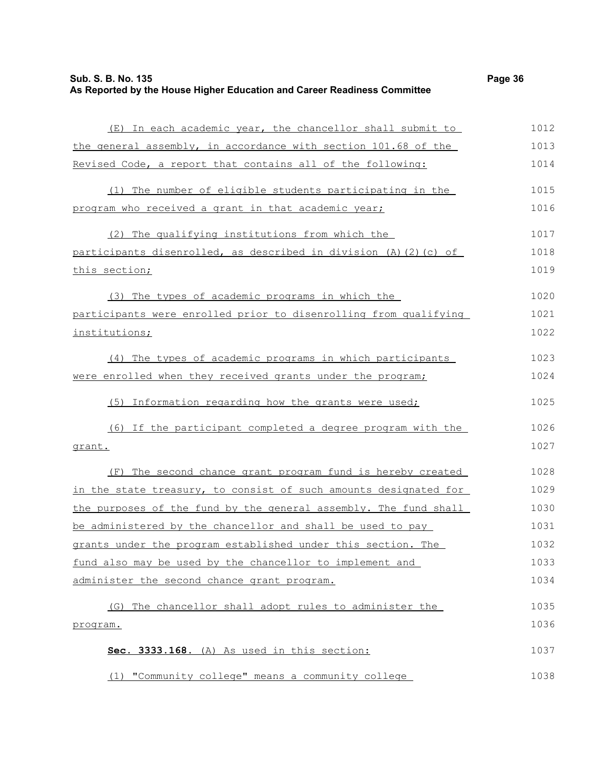| Sub. S. B. No. 135                                                       | Page 36 |
|--------------------------------------------------------------------------|---------|
| As Reported by the House Higher Education and Career Readiness Committee |         |

| (E) In each academic year, the chancellor shall submit to        | 1012 |
|------------------------------------------------------------------|------|
| the general assembly, in accordance with section 101.68 of the   | 1013 |
| Revised Code, a report that contains all of the following:       | 1014 |
| (1) The number of eligible students participating in the         | 1015 |
| program who received a grant in that academic year;              | 1016 |
| (2) The qualifying institutions from which the                   | 1017 |
| participants disenrolled, as described in division (A)(2)(c) of  | 1018 |
| this section;                                                    | 1019 |
| (3) The types of academic programs in which the                  | 1020 |
| participants were enrolled prior to disenrolling from qualifying | 1021 |
| institutions;                                                    | 1022 |
| (4) The types of academic programs in which participants         | 1023 |
| were enrolled when they received grants under the program;       | 1024 |
| (5) Information regarding how the grants were used;              | 1025 |
| (6) If the participant completed a degree program with the       | 1026 |
| <u>grant.</u>                                                    | 1027 |
| (F) The second chance grant program fund is hereby created       | 1028 |
| in the state treasury, to consist of such amounts designated for | 1029 |
| the purposes of the fund by the general assembly. The fund shall | 1030 |
| be administered by the chancellor and shall be used to pay       | 1031 |
| grants under the program established under this section. The     | 1032 |
| fund also may be used by the chancellor to implement and         | 1033 |
| administer the second chance grant program.                      | 1034 |
| (G) The chancellor shall adopt rules to administer the           | 1035 |

|  | Sec. 3333.168. (A) As used in this section:       | 1037 |
|--|---------------------------------------------------|------|
|  |                                                   |      |
|  | (1) "Community college" means a community college | 1038 |

program.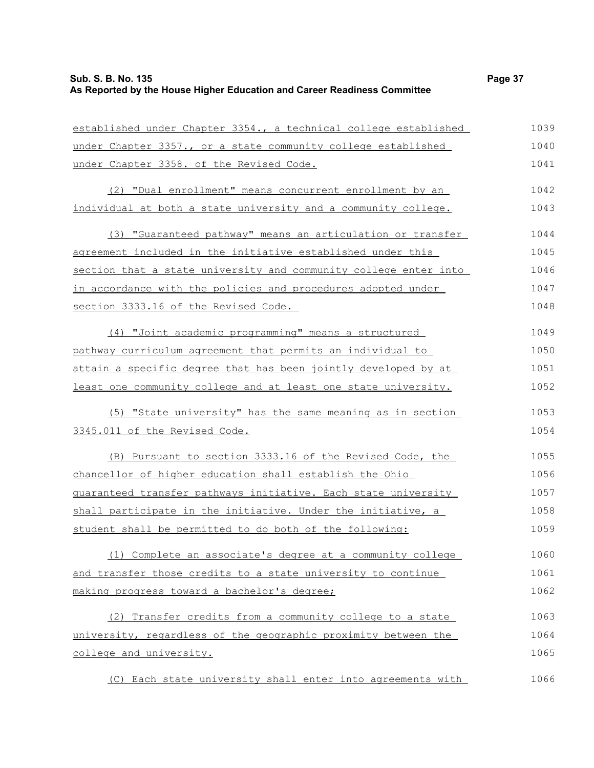### **Sub. S. B. No. 135 Page 37 As Reported by the House Higher Education and Career Readiness Committee**

established under Chapter 3354., a technical college established

under Chapter 3357., or a state community college established under Chapter 3358. of the Revised Code. (2) "Dual enrollment" means concurrent enrollment by an individual at both a state university and a community college. (3) "Guaranteed pathway" means an articulation or transfer agreement included in the initiative established under this section that a state university and community college enter into in accordance with the policies and procedures adopted under section 3333.16 of the Revised Code. (4) "Joint academic programming" means a structured pathway curriculum agreement that permits an individual to attain a specific degree that has been jointly developed by at least one community college and at least one state university. (5) "State university" has the same meaning as in section 3345.011 of the Revised Code. (B) Pursuant to section 3333.16 of the Revised Code, the chancellor of higher education shall establish the Ohio guaranteed transfer pathways initiative. Each state university shall participate in the initiative. Under the initiative, a student shall be permitted to do both of the following: (1) Complete an associate's degree at a community college and transfer those credits to a state university to continue making progress toward a bachelor's degree; (2) Transfer credits from a community college to a state university, regardless of the geographic proximity between the college and university. 1040 1041 1042 1043 1044 1045 1046 1047 1048 1049 1050 1051 1052 1053 1054 1055 1056 1057 1058 1059 1060 1061 1062 1063 1064 1065

(C) Each state university shall enter into agreements with 1066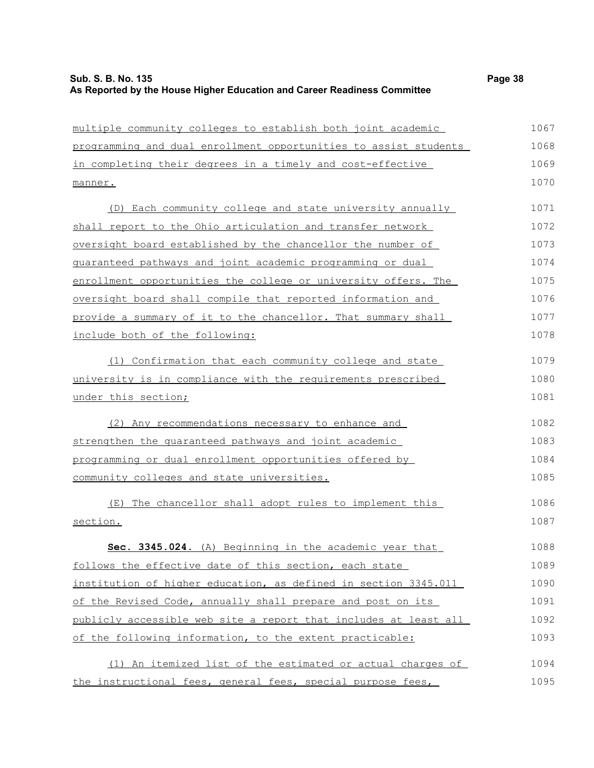| multiple community colleges to establish both joint academic     | 1067 |
|------------------------------------------------------------------|------|
| programming and dual enrollment opportunities to assist students | 1068 |
| in completing their degrees in a timely and cost-effective       | 1069 |
| manner.                                                          | 1070 |
| (D) Each community college and state university annually         | 1071 |
| shall report to the Ohio articulation and transfer network       | 1072 |
| oversight board established by the chancellor the number of      | 1073 |
| guaranteed pathways and joint academic programming or dual       | 1074 |
| enrollment opportunities the college or university offers. The   | 1075 |
| oversight board shall compile that reported information and      | 1076 |
| provide a summary of it to the chancellor. That summary shall    | 1077 |
| include both of the following:                                   | 1078 |
| (1) Confirmation that each community college and state           | 1079 |
| university is in compliance with the requirements prescribed     | 1080 |
| under this section;                                              | 1081 |
| (2) Any recommendations necessary to enhance and                 | 1082 |
| strengthen the quaranteed pathways and joint academic            | 1083 |
| programming or dual enrollment opportunities offered by          | 1084 |
| community colleges and state universities.                       | 1085 |
| The chancellor shall adopt rules to implement this<br>(E)        | 1086 |
| section.                                                         | 1087 |
| Sec. 3345.024. (A) Beginning in the academic year that           | 1088 |
| follows the effective date of this section, each state           | 1089 |
| institution of higher education, as defined in section 3345.011  | 1090 |
| of the Revised Code, annually shall prepare and post on its      | 1091 |
| publicly accessible web site a report that includes at least all | 1092 |
| of the following information, to the extent practicable:         | 1093 |
| (1) An itemized list of the estimated or actual charges of       | 1094 |
| the instructional fees, general fees, special purpose fees,      | 1095 |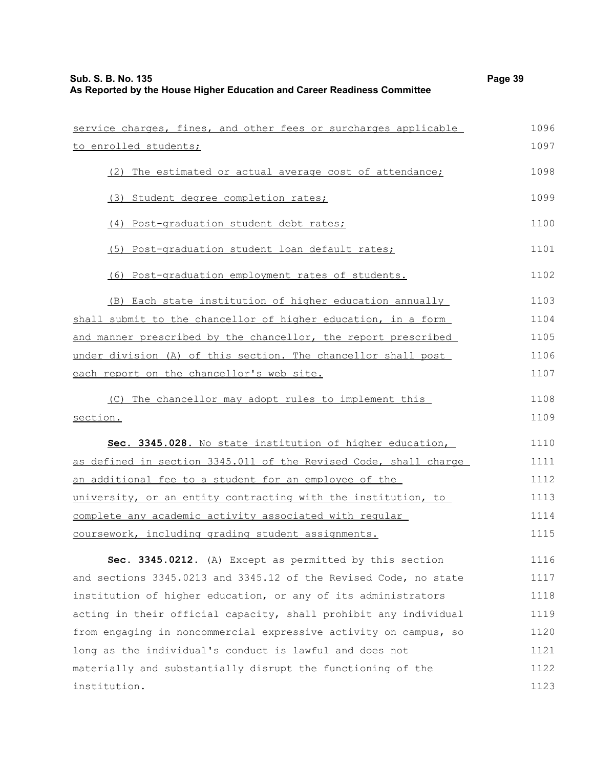| service charges, fines, and other fees or surcharges applicable  | 1096 |
|------------------------------------------------------------------|------|
| to enrolled students;                                            | 1097 |
| (2) The estimated or actual average cost of attendance;          | 1098 |
| (3) Student degree completion rates;                             | 1099 |
| (4) Post-graduation student debt rates;                          | 1100 |
| (5) Post-graduation student loan default rates;                  | 1101 |
| (6) Post-graduation employment rates of students.                | 1102 |
| Each state institution of higher education annually<br>(B)       | 1103 |
| shall submit to the chancellor of higher education, in a form    | 1104 |
| and manner prescribed by the chancellor, the report prescribed   | 1105 |
| under division (A) of this section. The chancellor shall post    | 1106 |
| each report on the chancellor's web site.                        | 1107 |
| The chancellor may adopt rules to implement this<br>(C)          | 1108 |
| section.                                                         | 1109 |
| Sec. 3345.028. No state institution of higher education,         | 1110 |
| as defined in section 3345.011 of the Revised Code, shall charge | 1111 |
| an additional fee to a student for an employee of the            | 1112 |
| university, or an entity contracting with the institution, to    | 1113 |
| complete any academic activity associated with regular           | 1114 |
| coursework, including grading student assignments.               | 1115 |
| Sec. 3345.0212. (A) Except as permitted by this section          | 1116 |
| and sections 3345.0213 and 3345.12 of the Revised Code, no state | 1117 |
| institution of higher education, or any of its administrators    | 1118 |
| acting in their official capacity, shall prohibit any individual | 1119 |
| from engaging in noncommercial expressive activity on campus, so | 1120 |
| long as the individual's conduct is lawful and does not          | 1121 |
| materially and substantially disrupt the functioning of the      | 1122 |
| institution.                                                     | 1123 |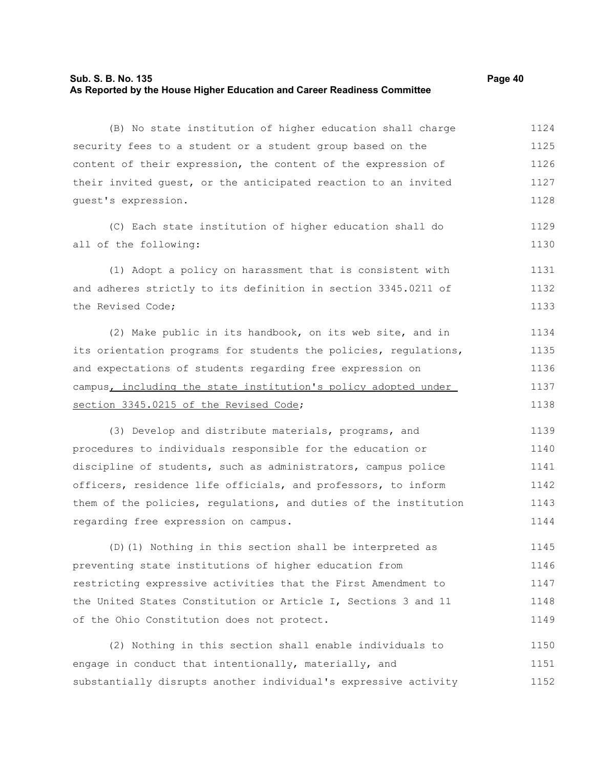### **Sub. S. B. No. 135 Page 40 As Reported by the House Higher Education and Career Readiness Committee**

(B) No state institution of higher education shall charge security fees to a student or a student group based on the content of their expression, the content of the expression of their invited guest, or the anticipated reaction to an invited guest's expression. 1124 1125 1126 1127 1128

(C) Each state institution of higher education shall do all of the following:

(1) Adopt a policy on harassment that is consistent with and adheres strictly to its definition in section 3345.0211 of the Revised Code; 1131 1132 1133

(2) Make public in its handbook, on its web site, and in its orientation programs for students the policies, regulations, and expectations of students regarding free expression on campus, including the state institution's policy adopted under section 3345.0215 of the Revised Code; 1134 1135 1136 1137 1138

(3) Develop and distribute materials, programs, and procedures to individuals responsible for the education or discipline of students, such as administrators, campus police officers, residence life officials, and professors, to inform them of the policies, regulations, and duties of the institution regarding free expression on campus. 1139 1140 1141 1142 1143 1144

(D)(1) Nothing in this section shall be interpreted as preventing state institutions of higher education from restricting expressive activities that the First Amendment to the United States Constitution or Article I, Sections 3 and 11 of the Ohio Constitution does not protect. 1145 1146 1147 1148 1149

(2) Nothing in this section shall enable individuals to engage in conduct that intentionally, materially, and substantially disrupts another individual's expressive activity 1150 1151 1152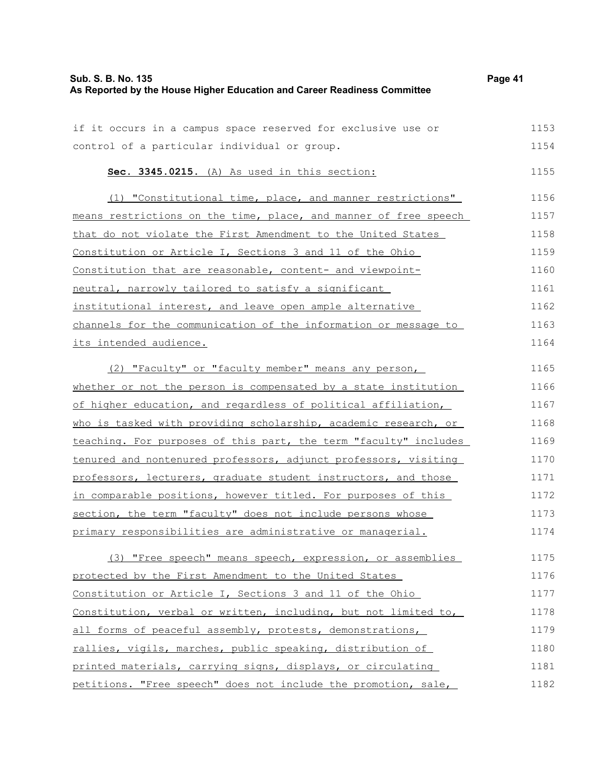| Sub. S. B. No. 135                                                       | Page 41 |
|--------------------------------------------------------------------------|---------|
| As Reported by the House Higher Education and Career Readiness Committee |         |

| if it occurs in a campus space reserved for exclusive use or     | 1153 |
|------------------------------------------------------------------|------|
| control of a particular individual or group.                     | 1154 |
| Sec. 3345.0215. (A) As used in this section:                     | 1155 |
| (1) "Constitutional time, place, and manner restrictions"        | 1156 |
| means restrictions on the time, place, and manner of free speech | 1157 |
| that do not violate the First Amendment to the United States     | 1158 |
| Constitution or Article I, Sections 3 and 11 of the Ohio         | 1159 |
| Constitution that are reasonable, content- and viewpoint-        | 1160 |
| neutral, narrowly tailored to satisfy a significant              | 1161 |
| institutional interest, and leave open ample alternative         | 1162 |
| channels for the communication of the information or message to  | 1163 |
| its intended audience.                                           | 1164 |
| (2) "Faculty" or "faculty member" means any person,              | 1165 |
| whether or not the person is compensated by a state institution  | 1166 |
| of higher education, and regardless of political affiliation,    | 1167 |
| who is tasked with providing scholarship, academic research, or  | 1168 |
| teaching. For purposes of this part, the term "faculty" includes | 1169 |
| tenured and nontenured professors, adjunct professors, visiting  | 1170 |
| professors, lecturers, graduate student instructors, and those   | 1171 |
| in comparable positions, however titled. For purposes of this    | 1172 |
| section, the term "faculty" does not include persons whose       | 1173 |
| primary responsibilities are administrative or managerial.       | 1174 |
| (3) "Free speech" means speech, expression, or assemblies        | 1175 |
| protected by the First Amendment to the United States            | 1176 |
| Constitution or Article I, Sections 3 and 11 of the Ohio         | 1177 |
| Constitution, verbal or written, including, but not limited to,  | 1178 |
| all forms of peaceful assembly, protests, demonstrations,        | 1179 |
| rallies, vigils, marches, public speaking, distribution of       | 1180 |
| printed materials, carrying signs, displays, or circulating      | 1181 |

printed materials, carrying signs, displays, or circulating petitions. "Free speech" does not include the promotion, sale,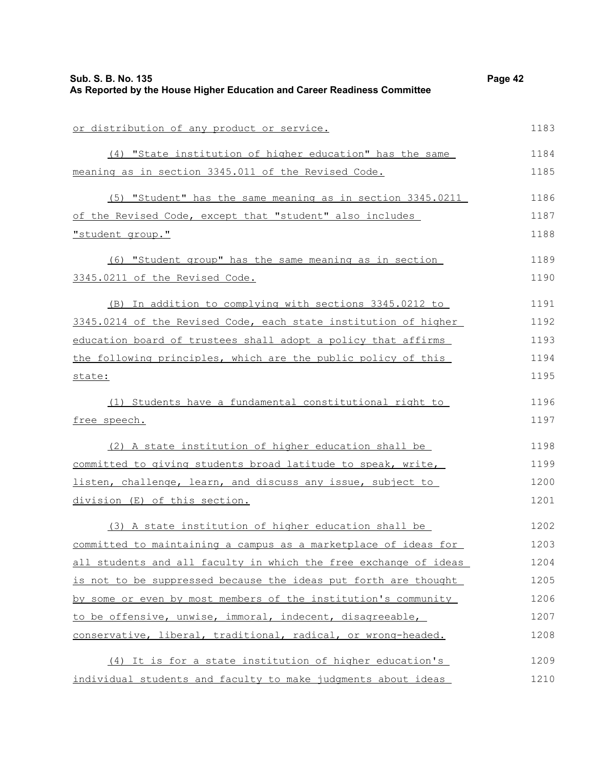| Sub. S. B. No. 135<br>As Reported by the House Higher Education and Career Readiness Committee | Page 42 |
|------------------------------------------------------------------------------------------------|---------|
|                                                                                                |         |
| or distribution of any product or service.                                                     | 1183    |
| (4) "State institution of higher education" has the same                                       | 1184    |
| meaning as in section 3345.011 of the Revised Code.                                            | 1185    |
| (5) "Student" has the same meaning as in section 3345.0211                                     | 1186    |
| of the Revised Code, except that "student" also includes                                       | 1187    |
| "student group."                                                                               | 1188    |
| (6) "Student group" has the same meaning as in section                                         | 1189    |
| 3345.0211 of the Revised Code.                                                                 | 1190    |
| (B) In addition to complying with sections 3345.0212 to                                        | 1191    |
| 3345.0214 of the Revised Code, each state institution of higher                                | 1192    |
| education board of trustees shall adopt a policy that affirms                                  | 1193    |
| the following principles, which are the public policy of this                                  | 1194    |
| state:                                                                                         | 1195    |
| (1) Students have a fundamental constitutional right to                                        | 1196    |
| free speech.                                                                                   | 1197    |
| (2) A state institution of higher education shall be                                           | 1198    |
| committed to giving students broad latitude to speak, write,                                   | 1199    |
| listen, challenge, learn, and discuss any issue, subject to                                    | 1200    |
| division (E) of this section.                                                                  | 1201    |
| (3) A state institution of higher education shall be                                           | 1202    |
| committed to maintaining a campus as a marketplace of ideas for                                | 1203    |
| all students and all faculty in which the free exchange of ideas                               | 1204    |
| is not to be suppressed because the ideas put forth are thought                                | 1205    |
| by some or even by most members of the institution's community                                 | 1206    |
| to be offensive, unwise, immoral, indecent, disagreeable,                                      | 1207    |
| conservative, liberal, traditional, radical, or wrong-headed.                                  | 1208    |
| (4) It is for a state institution of higher education's                                        | 1209    |
| individual students and faculty to make judgments about ideas                                  | 1210    |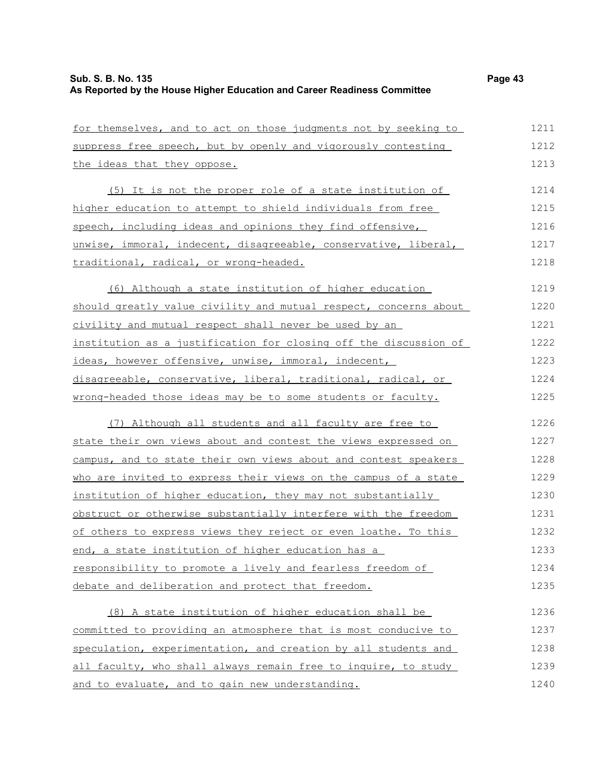| for themselves, and to act on those judgments not by seeking to  | 1211 |
|------------------------------------------------------------------|------|
| suppress free speech, but by openly and vigorously contesting    | 1212 |
| the ideas that they oppose.                                      | 1213 |
| (5) It is not the proper role of a state institution of          | 1214 |
| higher education to attempt to shield individuals from free      | 1215 |
| speech, including ideas and opinions they find offensive,        | 1216 |
| unwise, immoral, indecent, disagreeable, conservative, liberal,  | 1217 |
| traditional, radical, or wrong-headed.                           | 1218 |
| (6) Although a state institution of higher education             | 1219 |
| should greatly value civility and mutual respect, concerns about | 1220 |
| civility and mutual respect shall never be used by an            | 1221 |
| institution as a justification for closing off the discussion of | 1222 |
| ideas, however offensive, unwise, immoral, indecent,             | 1223 |
| disagreeable, conservative, liberal, traditional, radical, or    | 1224 |
| wrong-headed those ideas may be to some students or faculty.     | 1225 |
| (7) Although all students and all faculty are free to            | 1226 |
| state their own views about and contest the views expressed on   | 1227 |
| campus, and to state their own views about and contest speakers  | 1228 |
| who are invited to express their views on the campus of a state  | 1229 |
| institution of higher education, they may not substantially      | 1230 |
| obstruct or otherwise substantially interfere with the freedom   | 1231 |
| of others to express views they reject or even loathe. To this   | 1232 |
| end, a state institution of higher education has a               | 1233 |
| responsibility to promote a lively and fearless freedom of       | 1234 |
| debate and deliberation and protect that freedom.                | 1235 |
| (8) A state institution of higher education shall be             | 1236 |
| committed to providing an atmosphere that is most conducive to   | 1237 |
| speculation, experimentation, and creation by all students and   | 1238 |
| all faculty, who shall always remain free to inquire, to study   | 1239 |
| and to evaluate, and to gain new understanding.                  | 1240 |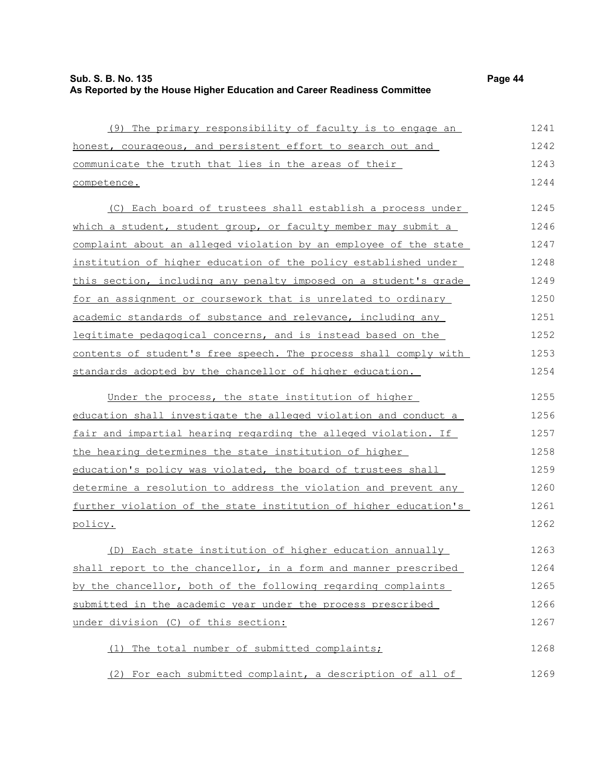| Sub. S. B. No. 135                                                       | Page 44 |
|--------------------------------------------------------------------------|---------|
| As Reported by the House Higher Education and Career Readiness Committee |         |

| (9) The primary responsibility of faculty is to engage an            | 1241 |
|----------------------------------------------------------------------|------|
| honest, courageous, and persistent effort to search out and          | 1242 |
| communicate the truth that lies in the areas of their                | 1243 |
| competence.                                                          | 1244 |
| (C) Each board of trustees shall establish a process under           | 1245 |
| which a student, student group, or faculty member may submit a       | 1246 |
| complaint about an alleged violation by an employee of the state     | 1247 |
| institution of higher education of the policy established under      | 1248 |
| this section, including any penalty imposed on a student's grade     | 1249 |
| <u>for an assignment or coursework that is unrelated to ordinary</u> | 1250 |
| academic standards of substance and relevance, including any         | 1251 |
| legitimate pedagogical concerns, and is instead based on the         | 1252 |
| contents of student's free speech. The process shall comply with     | 1253 |
| standards adopted by the chancellor of higher education.             | 1254 |
| Under the process, the state institution of higher                   | 1255 |
| education shall investigate the alleged violation and conduct a      | 1256 |
| fair and impartial hearing regarding the alleged violation. If       | 1257 |
| the hearing determines the state institution of higher               | 1258 |
| education's policy was violated, the board of trustees shall         | 1259 |
| determine a resolution to address the violation and prevent any      | 1260 |
| further violation of the state institution of higher education's     | 1261 |
| policy.                                                              | 1262 |
| (D) Each state institution of higher education annually              | 1263 |
| shall report to the chancellor, in a form and manner prescribed      | 1264 |
| by the chancellor, both of the following regarding complaints        | 1265 |
| submitted in the academic year under the process prescribed          | 1266 |
| under division (C) of this section:                                  | 1267 |
| The total number of submitted complaints;<br>(1)                     | 1268 |
| (2) For each submitted complaint, a description of all of            | 1269 |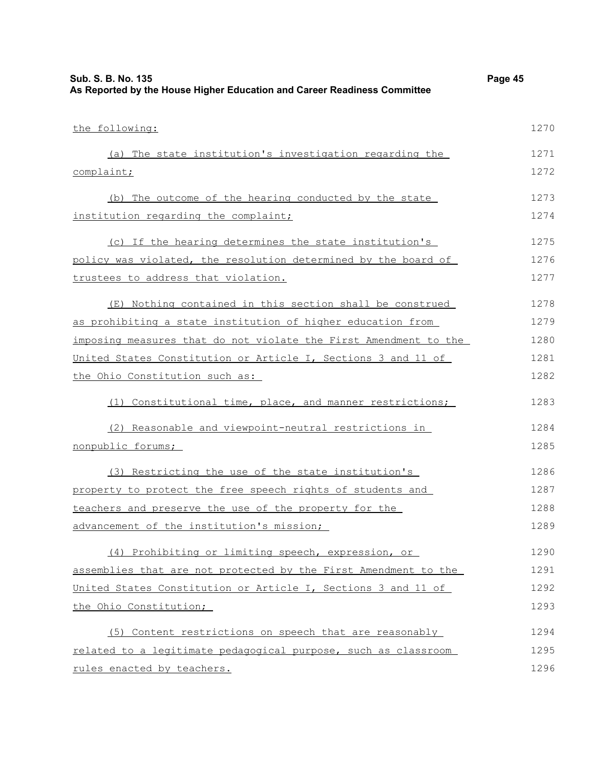| Sub. S. B. No. 135<br>As Reported by the House Higher Education and Career Readiness Committee | Page 45 |
|------------------------------------------------------------------------------------------------|---------|
| the following:                                                                                 | 1270    |
| (a) The state institution's investigation regarding the                                        | 1271    |
| complaint;                                                                                     | 1272    |
| (b) The outcome of the hearing conducted by the state                                          | 1273    |
| institution regarding the complaint;                                                           | 1274    |
| (c) If the hearing determines the state institution's                                          | 1275    |
| policy was violated, the resolution determined by the board of                                 | 1276    |
| trustees to address that violation.                                                            | 1277    |
| (E) Nothing contained in this section shall be construed                                       | 1278    |
| as prohibiting a state institution of higher education from                                    | 1279    |
| imposing measures that do not violate the First Amendment to the                               | 1280    |
| United States Constitution or Article I, Sections 3 and 11 of                                  | 1281    |
| the Ohio Constitution such as:                                                                 | 1282    |
| Constitutional time, place, and manner restrictions;<br>(1)                                    | 1283    |
| (2) Reasonable and viewpoint-neutral restrictions in                                           | 1284    |
| nonpublic forums;                                                                              | 1285    |
| (3) Restricting the use of the state institution's                                             | 1286    |
| property to protect the free speech rights of students and                                     | 1287    |
| teachers and preserve the use of the property for the                                          | 1288    |
| advancement of the institution's mission;                                                      | 1289    |
| (4) Prohibiting or limiting speech, expression, or                                             | 1290    |
| assemblies that are not protected by the First Amendment to the                                | 1291    |
| United States Constitution or Article I, Sections 3 and 11 of                                  | 1292    |
| the Ohio Constitution;                                                                         | 1293    |
| (5) Content restrictions on speech that are reasonably                                         | 1294    |
| related to a legitimate pedagogical purpose, such as classroom                                 | 1295    |
| rules enacted by teachers.                                                                     | 1296    |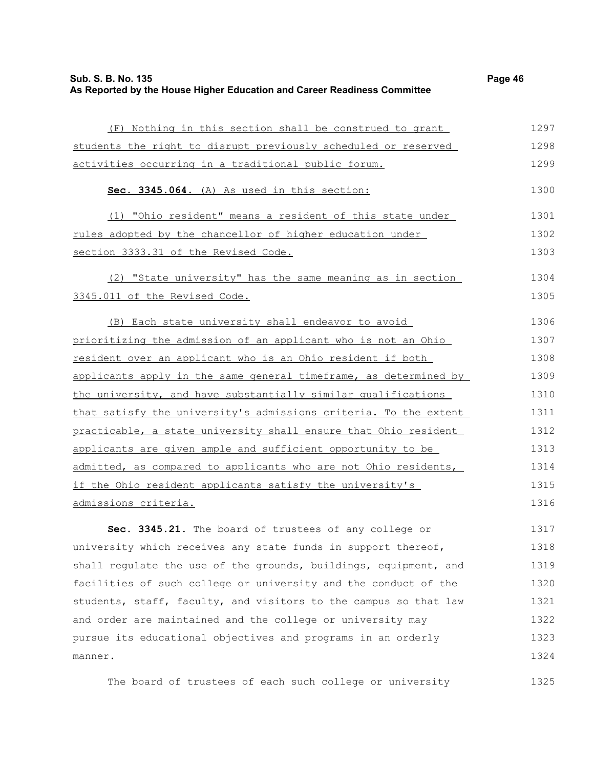| Sub. S. B. No. 135                                                       | Page 46 |
|--------------------------------------------------------------------------|---------|
| As Reported by the House Higher Education and Career Readiness Committee |         |

1324

| (F) Nothing in this section shall be construed to grant          | 1297 |
|------------------------------------------------------------------|------|
| students the right to disrupt previously scheduled or reserved   | 1298 |
| activities occurring in a traditional public forum.              | 1299 |
| Sec. 3345.064. (A) As used in this section:                      | 1300 |
| (1) "Ohio resident" means a resident of this state under         | 1301 |
| rules adopted by the chancellor of higher education under        | 1302 |
| section 3333.31 of the Revised Code.                             | 1303 |
| (2) "State university" has the same meaning as in section        | 1304 |
| 3345.011 of the Revised Code.                                    | 1305 |
| (B) Each state university shall endeavor to avoid                | 1306 |
| prioritizing the admission of an applicant who is not an Ohio    | 1307 |
| resident over an applicant who is an Ohio resident if both       | 1308 |
| applicants apply in the same general timeframe, as determined by | 1309 |
| the university, and have substantially similar qualifications    | 1310 |
| that satisfy the university's admissions criteria. To the extent | 1311 |
| practicable, a state university shall ensure that Ohio resident  | 1312 |
| applicants are given ample and sufficient opportunity to be      | 1313 |
| admitted, as compared to applicants who are not Ohio residents,  | 1314 |
| if the Ohio resident applicants satisfy the university's         | 1315 |
| admissions criteria.                                             | 1316 |
| Sec. 3345.21. The board of trustees of any college or            | 1317 |
| university which receives any state funds in support thereof,    | 1318 |
| shall regulate the use of the grounds, buildings, equipment, and | 1319 |
| facilities of such college or university and the conduct of the  | 1320 |
| students, staff, faculty, and visitors to the campus so that law | 1321 |
| and order are maintained and the college or university may       | 1322 |
| pursue its educational objectives and programs in an orderly     | 1323 |

The board of trustees of each such college or university 1325

manner.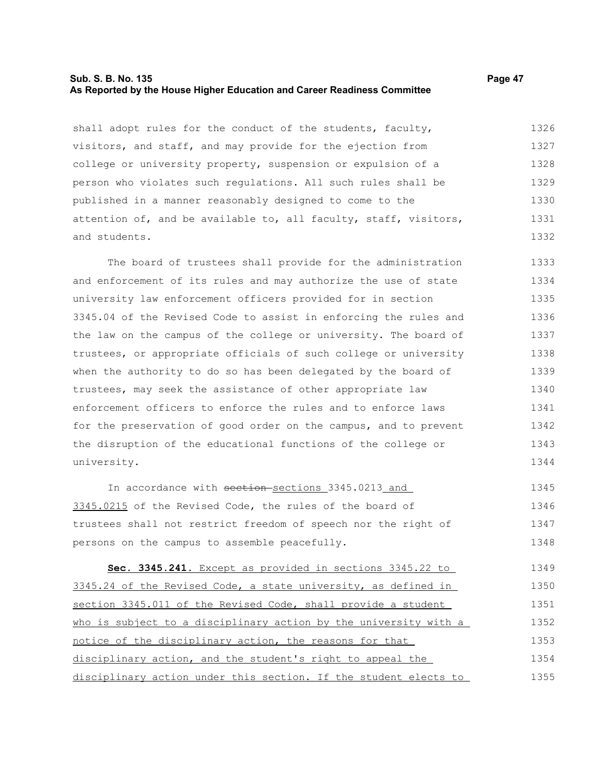#### **Sub. S. B. No. 135 Page 47 As Reported by the House Higher Education and Career Readiness Committee**

shall adopt rules for the conduct of the students, faculty, visitors, and staff, and may provide for the ejection from college or university property, suspension or expulsion of a person who violates such regulations. All such rules shall be published in a manner reasonably designed to come to the attention of, and be available to, all faculty, staff, visitors, and students. 1326 1327 1328 1329 1330 1331 1332

The board of trustees shall provide for the administration and enforcement of its rules and may authorize the use of state university law enforcement officers provided for in section 3345.04 of the Revised Code to assist in enforcing the rules and the law on the campus of the college or university. The board of trustees, or appropriate officials of such college or university when the authority to do so has been delegated by the board of trustees, may seek the assistance of other appropriate law enforcement officers to enforce the rules and to enforce laws for the preservation of good order on the campus, and to prevent the disruption of the educational functions of the college or university. 1333 1334 1335 1336 1337 1338 1339 1340 1341 1342 1343 1344

In accordance with section-sections 3345.0213 and 3345.0215 of the Revised Code, the rules of the board of trustees shall not restrict freedom of speech nor the right of persons on the campus to assemble peacefully. 1345 1346 1347 1348

 **Sec. 3345.241.** Except as provided in sections 3345.22 to 3345.24 of the Revised Code, a state university, as defined in section 3345.011 of the Revised Code, shall provide a student who is subject to a disciplinary action by the university with a notice of the disciplinary action, the reasons for that disciplinary action, and the student's right to appeal the disciplinary action under this section. If the student elects to 1349 1350 1351 1352 1353 1354 1355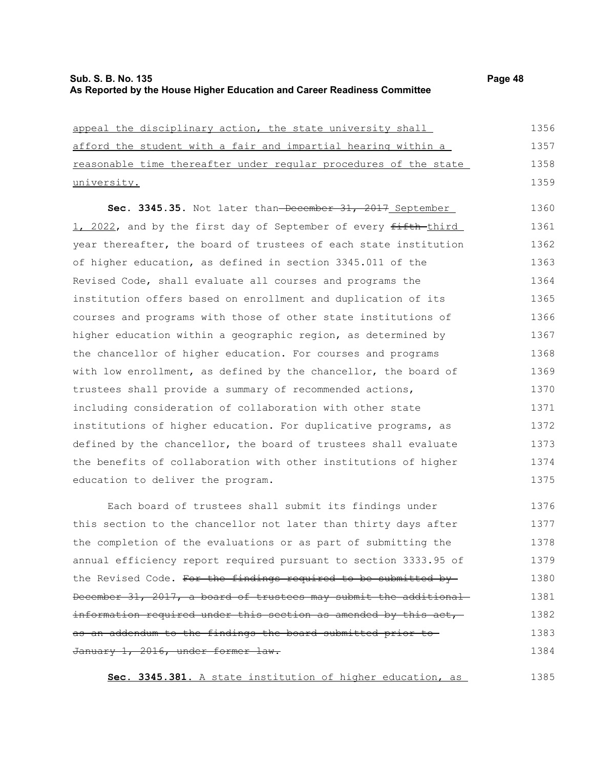| appeal the disciplinary action, the state university shall       | 1356 |
|------------------------------------------------------------------|------|
| afford the student with a fair and impartial hearing within a    | 1357 |
| reasonable time thereafter under regular procedures of the state | 1358 |
| university.                                                      | 1359 |
| Sec. 3345.35. Not later than-December 31, 2017 September         | 1360 |
| 1, 2022, and by the first day of September of every fifth-third  | 1361 |
| year thereafter, the board of trustees of each state institution | 1362 |
| of higher education, as defined in section 3345.011 of the       | 1363 |
| Revised Code, shall evaluate all courses and programs the        | 1364 |
| institution offers based on enrollment and duplication of its    | 1365 |
| courses and programs with those of other state institutions of   | 1366 |
| higher education within a geographic region, as determined by    | 1367 |
| the chancellor of higher education. For courses and programs     | 1368 |
| with low enrollment, as defined by the chancellor, the board of  | 1369 |
| trustees shall provide a summary of recommended actions,         | 1370 |
| including consideration of collaboration with other state        | 1371 |
| institutions of higher education. For duplicative programs, as   | 1372 |
| defined by the chancellor, the board of trustees shall evaluate  | 1373 |
| the benefits of collaboration with other institutions of higher  | 1374 |
| education to deliver the program.                                | 1375 |
| Each board of trustees shall submit its findings under           | 1376 |
| this section to the chancellor not later than thirty days after  | 1377 |
| the completion of the evaluations or as part of submitting the   | 1378 |
| annual efficiency report required pursuant to section 3333.95 of | 1379 |
| the Revised Code. For the findings required to be submitted by-  | 1380 |
| December 31, 2017, a board of trustees may submit the additional | 1381 |

information required under this section as amended by this act,

as an addendum to the findings the board submitted prior to

January 1, 2016, under former law.

**Sec. 3345.381.** A state institution of higher education, as

1385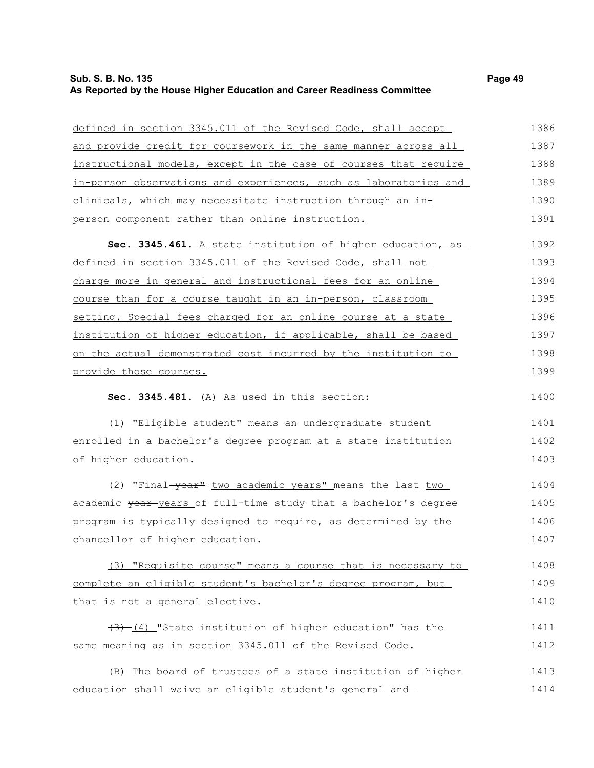# **Sub. S. B. No. 135** Page 49 **As Reported by the House Higher Education and Career Readiness Committee**

| defined in section 3345.011 of the Revised Code, shall accept    | 1386 |
|------------------------------------------------------------------|------|
| and provide credit for coursework in the same manner across all  | 1387 |
| instructional models, except in the case of courses that require | 1388 |
| in-person observations and experiences, such as laboratories and | 1389 |
| clinicals, which may necessitate instruction through an in-      | 1390 |
| person component rather than online instruction.                 | 1391 |
| Sec. 3345.461. A state institution of higher education, as       | 1392 |
| defined in section 3345.011 of the Revised Code, shall not       | 1393 |
| charge more in general and instructional fees for an online      | 1394 |
| course than for a course taught in an in-person, classroom       | 1395 |
| setting. Special fees charged for an online course at a state    | 1396 |
| institution of higher education, if applicable, shall be based   | 1397 |
| on the actual demonstrated cost incurred by the institution to   | 1398 |
| provide those courses.                                           | 1399 |
| Sec. 3345.481. (A) As used in this section:                      | 1400 |
| (1) "Eligible student" means an undergraduate student            | 1401 |
| enrolled in a bachelor's degree program at a state institution   | 1402 |
| of higher education.                                             | 1403 |
| (2) "Final-year" two academic years" means the last two          | 1404 |
| academic year years of full-time study that a bachelor's degree  | 1405 |
| program is typically designed to require, as determined by the   | 1406 |
| chancellor of higher education.                                  | 1407 |
| (3) "Requisite course" means a course that is necessary to       | 1408 |
| complete an eligible student's bachelor's degree program, but    | 1409 |
| that is not a general elective.                                  | 1410 |
| $(3)$ (4) "State institution of higher education" has the        | 1411 |
| same meaning as in section 3345.011 of the Revised Code.         | 1412 |
| (B) The board of trustees of a state institution of higher       | 1413 |
| education shall waive an eligible student's general and          | 1414 |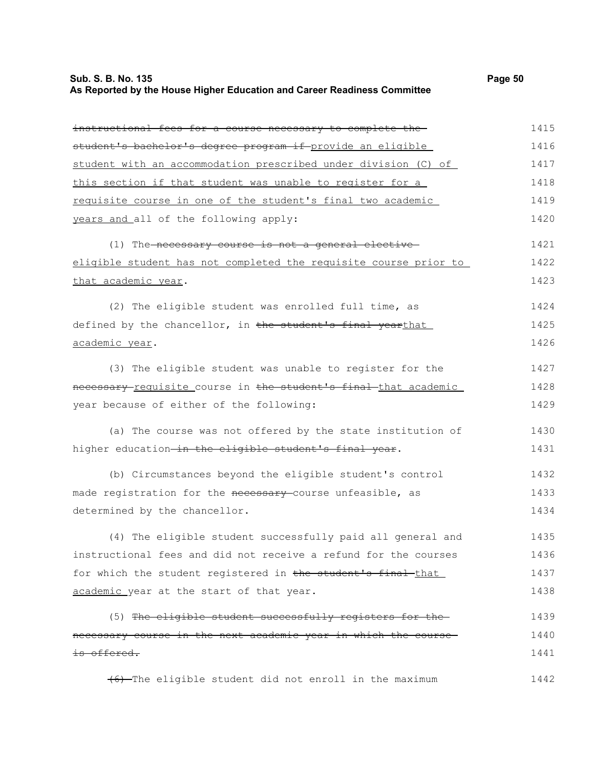# **Sub. S. B. No. 135** Page 50 **As Reported by the House Higher Education and Career Readiness Committee**

| instructional fees for a course necessary to complete the-       | 1415 |
|------------------------------------------------------------------|------|
| student's bachelor's degree program if provide an eligible       | 1416 |
| student with an accommodation prescribed under division (C) of   | 1417 |
| this section if that student was unable to register for a        | 1418 |
| requisite course in one of the student's final two academic      | 1419 |
| years and all of the following apply:                            | 1420 |
| (1) The necessary course is not a general elective               | 1421 |
| eligible student has not completed the requisite course prior to | 1422 |
| that academic year.                                              | 1423 |
| (2) The eligible student was enrolled full time, as              | 1424 |
| defined by the chancellor, in the student's final yearthat       | 1425 |
| academic year.                                                   | 1426 |
| (3) The eligible student was unable to register for the          | 1427 |
| necessary requisite course in the student's final that academic  | 1428 |
| year because of either of the following:                         | 1429 |
| (a) The course was not offered by the state institution of       | 1430 |
| higher education-in the eligible student's final year.           | 1431 |
| (b) Circumstances beyond the eligible student's control          | 1432 |
| made registration for the necessary course unfeasible, as        | 1433 |
| determined by the chancellor.                                    | 1434 |
| (4) The eligible student successfully paid all general and       | 1435 |
| instructional fees and did not receive a refund for the courses  | 1436 |
| for which the student registered in the student's final-that     | 1437 |
| academic year at the start of that year.                         | 1438 |
| (5) The eligible student successfully registers for the          | 1439 |
| necessary course in the next academic year in which the course-  | 1440 |
| is offered.                                                      | 1441 |
| (6) The eligible student did not enroll in the maximum           | 1442 |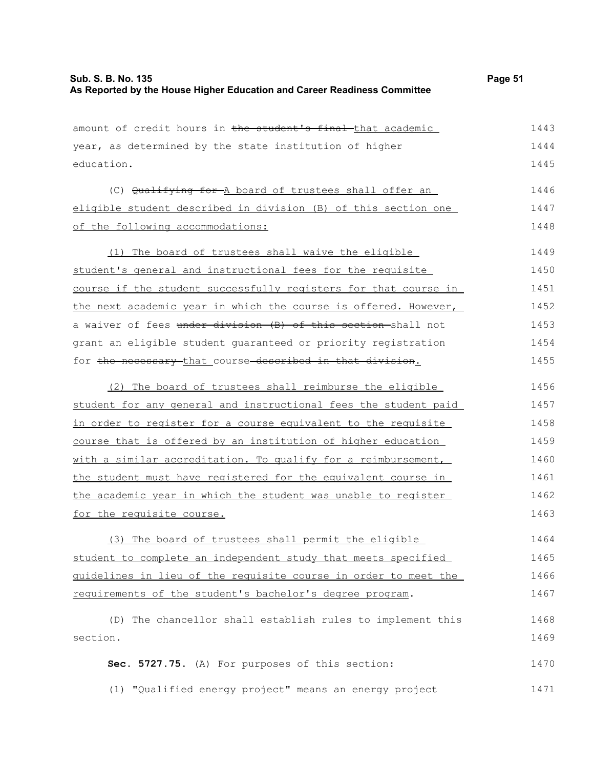| amount of credit hours in the student's final that academic     | 1443 |
|-----------------------------------------------------------------|------|
| year, as determined by the state institution of higher          | 1444 |
| education.                                                      | 1445 |
| (C) Qualifying for -A board of trustees shall offer an          | 1446 |
| eligible student described in division (B) of this section one  | 1447 |
| of the following accommodations:                                | 1448 |
|                                                                 |      |
| (1) The board of trustees shall waive the eligible              | 1449 |
| student's general and instructional fees for the requisite      | 1450 |
| course if the student successfully registers for that course in | 1451 |
| the next academic year in which the course is offered. However, | 1452 |
| a waiver of fees under division (B) of this section-shall not   | 1453 |
| grant an eligible student guaranteed or priority registration   | 1454 |
| for the necessary that course described in that division.       | 1455 |
| (2) The board of trustees shall reimburse the eligible          | 1456 |
| student for any general and instructional fees the student paid | 1457 |
| in order to register for a course equivalent to the requisite   | 1458 |
| course that is offered by an institution of higher education    | 1459 |
| with a similar accreditation. To qualify for a reimbursement,   | 1460 |
| the student must have registered for the equivalent course in   | 1461 |
| the academic year in which the student was unable to register   | 1462 |
| for the requisite course.                                       | 1463 |
| (3) The board of trustees shall permit the eligible             | 1464 |
| student to complete an independent study that meets specified   | 1465 |
| guidelines in lieu of the requisite course in order to meet the | 1466 |
| requirements of the student's bachelor's degree program.        | 1467 |
| (D) The chancellor shall establish rules to implement this      | 1468 |
| section.                                                        | 1469 |
| Sec. 5727.75. (A) For purposes of this section:                 | 1470 |
|                                                                 |      |
| (1) "Qualified energy project" means an energy project          | 1471 |
|                                                                 |      |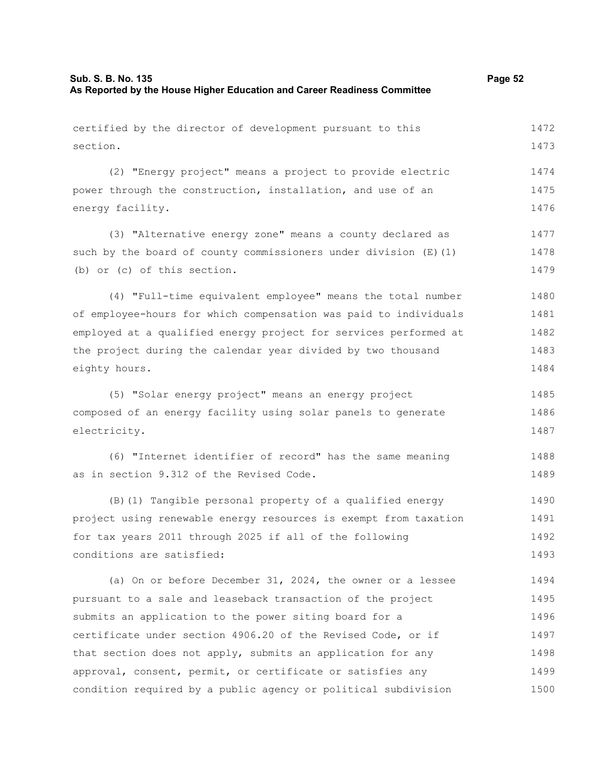certified by the director of development pursuant to this section. (2) "Energy project" means a project to provide electric power through the construction, installation, and use of an energy facility. (3) "Alternative energy zone" means a county declared as such by the board of county commissioners under division  $(E)$  (1) (b) or (c) of this section. (4) "Full-time equivalent employee" means the total number of employee-hours for which compensation was paid to individuals employed at a qualified energy project for services performed at the project during the calendar year divided by two thousand eighty hours. (5) "Solar energy project" means an energy project composed of an energy facility using solar panels to generate electricity. 1472 1473 1474 1475 1476 1477 1478 1479 1480 1481 1482 1483 1484 1485 1486 1487

(6) "Internet identifier of record" has the same meaning as in section 9.312 of the Revised Code. 1488 1489

(B)(1) Tangible personal property of a qualified energy project using renewable energy resources is exempt from taxation for tax years 2011 through 2025 if all of the following conditions are satisfied: 1490 1491 1492 1493

(a) On or before December 31, 2024, the owner or a lessee pursuant to a sale and leaseback transaction of the project submits an application to the power siting board for a certificate under section 4906.20 of the Revised Code, or if that section does not apply, submits an application for any approval, consent, permit, or certificate or satisfies any condition required by a public agency or political subdivision 1494 1495 1496 1497 1498 1499 1500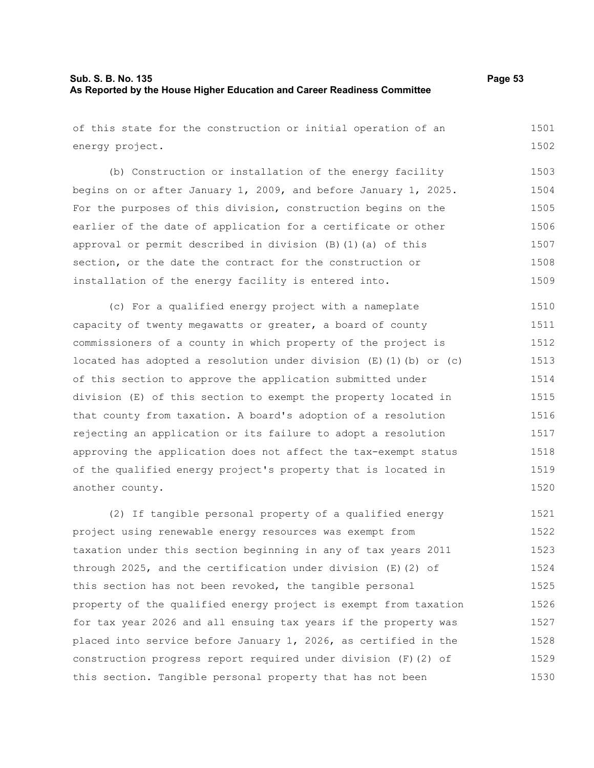of this state for the construction or initial operation of an energy project. 1501 1502

(b) Construction or installation of the energy facility begins on or after January 1, 2009, and before January 1, 2025. For the purposes of this division, construction begins on the earlier of the date of application for a certificate or other approval or permit described in division (B)(1)(a) of this section, or the date the contract for the construction or installation of the energy facility is entered into. 1503 1504 1505 1506 1507 1508 1509

(c) For a qualified energy project with a nameplate capacity of twenty megawatts or greater, a board of county commissioners of a county in which property of the project is located has adopted a resolution under division  $(E)$  (1)(b) or (c) of this section to approve the application submitted under division (E) of this section to exempt the property located in that county from taxation. A board's adoption of a resolution rejecting an application or its failure to adopt a resolution approving the application does not affect the tax-exempt status of the qualified energy project's property that is located in another county. 1510 1511 1512 1513 1514 1515 1516 1517 1518 1519 1520

(2) If tangible personal property of a qualified energy project using renewable energy resources was exempt from taxation under this section beginning in any of tax years 2011 through 2025, and the certification under division (E)(2) of this section has not been revoked, the tangible personal property of the qualified energy project is exempt from taxation for tax year 2026 and all ensuing tax years if the property was placed into service before January 1, 2026, as certified in the construction progress report required under division (F)(2) of this section. Tangible personal property that has not been 1521 1522 1523 1524 1525 1526 1527 1528 1529 1530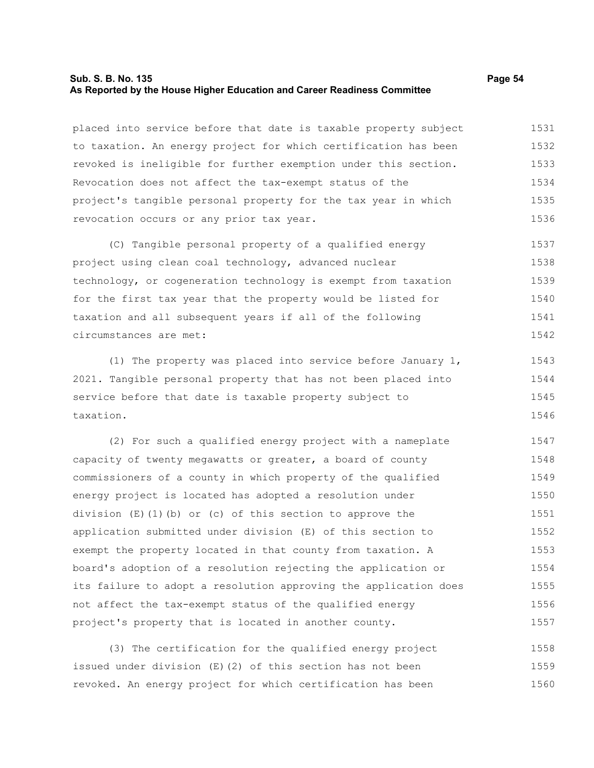#### **Sub. S. B. No. 135 Page 54 As Reported by the House Higher Education and Career Readiness Committee**

placed into service before that date is taxable property subject to taxation. An energy project for which certification has been revoked is ineligible for further exemption under this section. Revocation does not affect the tax-exempt status of the project's tangible personal property for the tax year in which revocation occurs or any prior tax year. 1531 1532 1533 1534 1535 1536

(C) Tangible personal property of a qualified energy project using clean coal technology, advanced nuclear technology, or cogeneration technology is exempt from taxation for the first tax year that the property would be listed for taxation and all subsequent years if all of the following circumstances are met: 1537 1538 1539 1540 1541 1542

(1) The property was placed into service before January 1, 2021. Tangible personal property that has not been placed into service before that date is taxable property subject to taxation. 1543 1544 1545 1546

(2) For such a qualified energy project with a nameplate capacity of twenty megawatts or greater, a board of county commissioners of a county in which property of the qualified energy project is located has adopted a resolution under division  $(E)(1)(b)$  or (c) of this section to approve the application submitted under division (E) of this section to exempt the property located in that county from taxation. A board's adoption of a resolution rejecting the application or its failure to adopt a resolution approving the application does not affect the tax-exempt status of the qualified energy project's property that is located in another county. 1547 1548 1549 1550 1551 1552 1553 1554 1555 1556 1557

(3) The certification for the qualified energy project issued under division (E)(2) of this section has not been revoked. An energy project for which certification has been 1558 1559 1560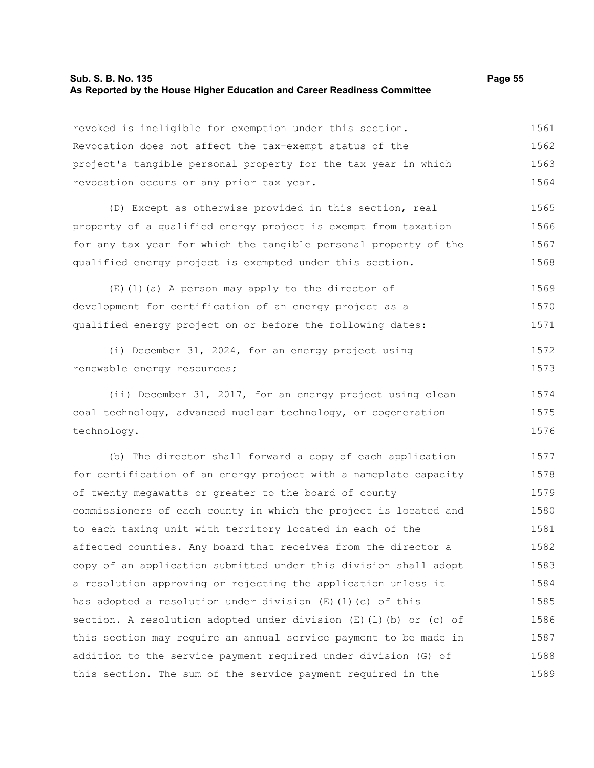revoked is ineligible for exemption under this section. Revocation does not affect the tax-exempt status of the project's tangible personal property for the tax year in which revocation occurs or any prior tax year. 1561 1562 1563 1564

(D) Except as otherwise provided in this section, real property of a qualified energy project is exempt from taxation for any tax year for which the tangible personal property of the qualified energy project is exempted under this section. 1565 1566 1567 1568

(E)(1)(a) A person may apply to the director of development for certification of an energy project as a qualified energy project on or before the following dates: 1569 1570 1571

(i) December 31, 2024, for an energy project using renewable energy resources; 1572 1573

(ii) December 31, 2017, for an energy project using clean coal technology, advanced nuclear technology, or cogeneration technology. 1574 1575 1576

(b) The director shall forward a copy of each application for certification of an energy project with a nameplate capacity of twenty megawatts or greater to the board of county commissioners of each county in which the project is located and to each taxing unit with territory located in each of the affected counties. Any board that receives from the director a copy of an application submitted under this division shall adopt a resolution approving or rejecting the application unless it has adopted a resolution under division  $(E)$  (1)(c) of this section. A resolution adopted under division  $(E)$  (1)(b) or (c) of this section may require an annual service payment to be made in addition to the service payment required under division (G) of this section. The sum of the service payment required in the 1577 1578 1579 1580 1581 1582 1583 1584 1585 1586 1587 1588 1589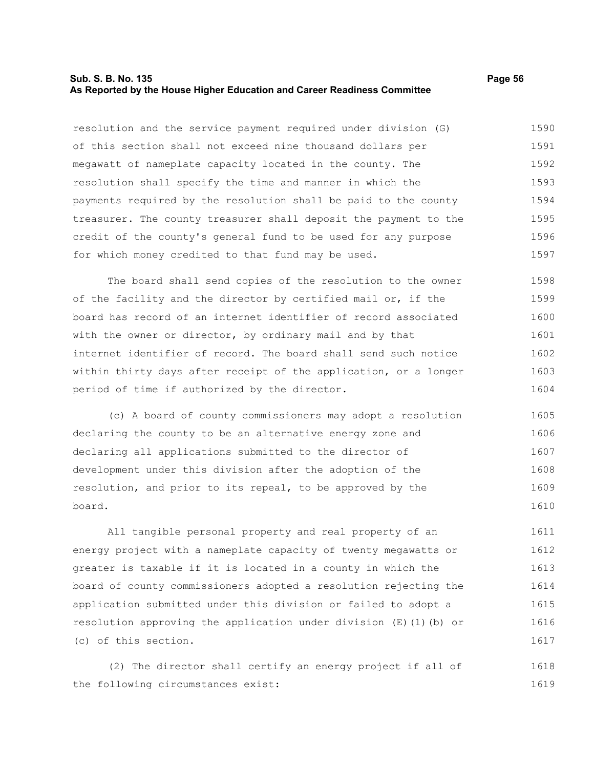#### **Sub. S. B. No. 135 Page 56 As Reported by the House Higher Education and Career Readiness Committee**

resolution and the service payment required under division (G) of this section shall not exceed nine thousand dollars per megawatt of nameplate capacity located in the county. The resolution shall specify the time and manner in which the payments required by the resolution shall be paid to the county treasurer. The county treasurer shall deposit the payment to the credit of the county's general fund to be used for any purpose for which money credited to that fund may be used. 1590 1591 1592 1593 1594 1595 1596 1597

The board shall send copies of the resolution to the owner of the facility and the director by certified mail or, if the board has record of an internet identifier of record associated with the owner or director, by ordinary mail and by that internet identifier of record. The board shall send such notice within thirty days after receipt of the application, or a longer period of time if authorized by the director. 1598 1599 1600 1601 1602 1603 1604

(c) A board of county commissioners may adopt a resolution declaring the county to be an alternative energy zone and declaring all applications submitted to the director of development under this division after the adoption of the resolution, and prior to its repeal, to be approved by the board. 1605 1606 1607 1608 1609 1610

All tangible personal property and real property of an energy project with a nameplate capacity of twenty megawatts or greater is taxable if it is located in a county in which the board of county commissioners adopted a resolution rejecting the application submitted under this division or failed to adopt a resolution approving the application under division (E)(1)(b) or (c) of this section. 1611 1612 1613 1614 1615 1616 1617

(2) The director shall certify an energy project if all of the following circumstances exist: 1618 1619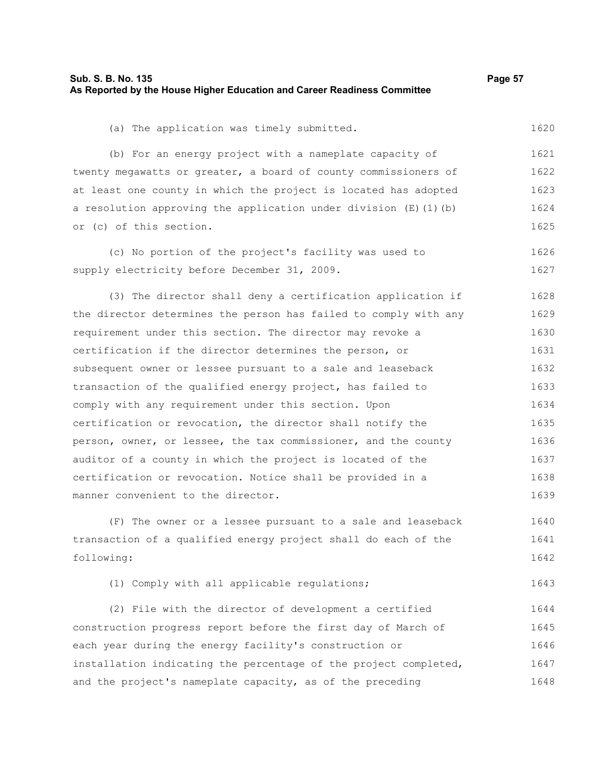| Sub. S. B. No. 135                                                       | Page 57 |
|--------------------------------------------------------------------------|---------|
| As Reported by the House Higher Education and Career Readiness Committee |         |

(a) The application was timely submitted.

(b) For an energy project with a nameplate capacity of twenty megawatts or greater, a board of county commissioners of at least one county in which the project is located has adopted a resolution approving the application under division (E)(1)(b) or (c) of this section. 1621 1622 1623 1624 1625

(c) No portion of the project's facility was used to supply electricity before December 31, 2009. 1626 1627

(3) The director shall deny a certification application if the director determines the person has failed to comply with any requirement under this section. The director may revoke a certification if the director determines the person, or subsequent owner or lessee pursuant to a sale and leaseback transaction of the qualified energy project, has failed to comply with any requirement under this section. Upon certification or revocation, the director shall notify the person, owner, or lessee, the tax commissioner, and the county auditor of a county in which the project is located of the certification or revocation. Notice shall be provided in a manner convenient to the director. 1628 1629 1630 1631 1632 1633 1634 1635 1636 1637 1638 1639

(F) The owner or a lessee pursuant to a sale and leaseback transaction of a qualified energy project shall do each of the following: 1640 1641 1642

(1) Comply with all applicable regulations; 1643

(2) File with the director of development a certified construction progress report before the first day of March of each year during the energy facility's construction or installation indicating the percentage of the project completed, and the project's nameplate capacity, as of the preceding 1644 1645 1646 1647 1648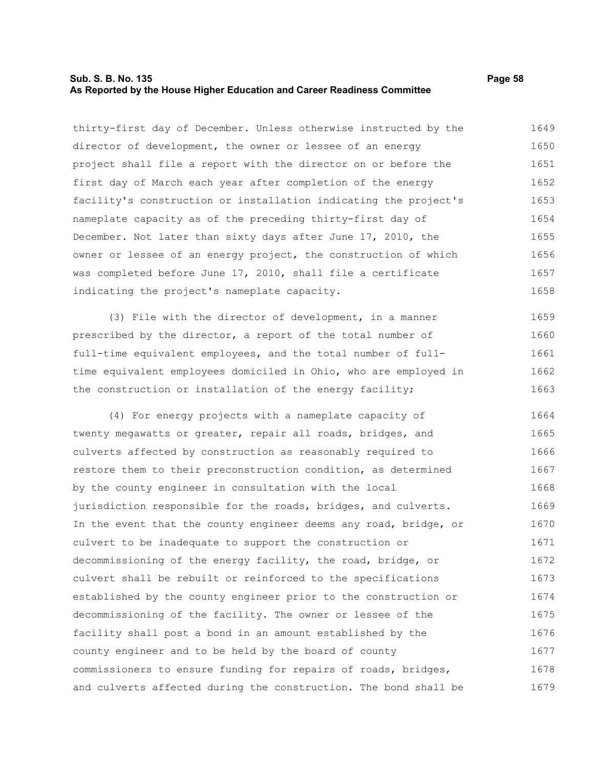#### **Sub. S. B. No. 135 Page 58 As Reported by the House Higher Education and Career Readiness Committee**

thirty-first day of December. Unless otherwise instructed by the director of development, the owner or lessee of an energy project shall file a report with the director on or before the first day of March each year after completion of the energy facility's construction or installation indicating the project's nameplate capacity as of the preceding thirty-first day of December. Not later than sixty days after June 17, 2010, the owner or lessee of an energy project, the construction of which was completed before June 17, 2010, shall file a certificate indicating the project's nameplate capacity. 1649 1650 1651 1652 1653 1654 1655 1656 1657 1658

(3) File with the director of development, in a manner prescribed by the director, a report of the total number of full-time equivalent employees, and the total number of fulltime equivalent employees domiciled in Ohio, who are employed in the construction or installation of the energy facility; 1659 1660 1661 1662 1663

(4) For energy projects with a nameplate capacity of twenty megawatts or greater, repair all roads, bridges, and culverts affected by construction as reasonably required to restore them to their preconstruction condition, as determined by the county engineer in consultation with the local jurisdiction responsible for the roads, bridges, and culverts. In the event that the county engineer deems any road, bridge, or culvert to be inadequate to support the construction or decommissioning of the energy facility, the road, bridge, or culvert shall be rebuilt or reinforced to the specifications established by the county engineer prior to the construction or decommissioning of the facility. The owner or lessee of the facility shall post a bond in an amount established by the county engineer and to be held by the board of county commissioners to ensure funding for repairs of roads, bridges, and culverts affected during the construction. The bond shall be 1664 1665 1666 1667 1668 1669 1670 1671 1672 1673 1674 1675 1676 1677 1678 1679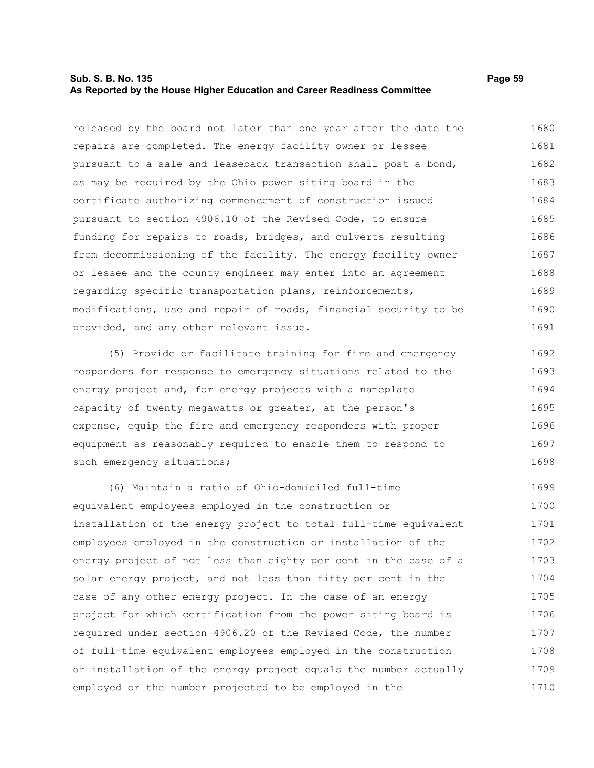#### **Sub. S. B. No. 135 Page 59 As Reported by the House Higher Education and Career Readiness Committee**

released by the board not later than one year after the date the repairs are completed. The energy facility owner or lessee pursuant to a sale and leaseback transaction shall post a bond, as may be required by the Ohio power siting board in the certificate authorizing commencement of construction issued pursuant to section 4906.10 of the Revised Code, to ensure funding for repairs to roads, bridges, and culverts resulting from decommissioning of the facility. The energy facility owner or lessee and the county engineer may enter into an agreement regarding specific transportation plans, reinforcements, modifications, use and repair of roads, financial security to be provided, and any other relevant issue. 1680 1681 1682 1683 1684 1685 1686 1687 1688 1689 1690 1691

(5) Provide or facilitate training for fire and emergency responders for response to emergency situations related to the energy project and, for energy projects with a nameplate capacity of twenty megawatts or greater, at the person's expense, equip the fire and emergency responders with proper equipment as reasonably required to enable them to respond to such emergency situations; 1692 1693 1694 1695 1696 1697 1698

(6) Maintain a ratio of Ohio-domiciled full-time equivalent employees employed in the construction or installation of the energy project to total full-time equivalent employees employed in the construction or installation of the energy project of not less than eighty per cent in the case of a solar energy project, and not less than fifty per cent in the case of any other energy project. In the case of an energy project for which certification from the power siting board is required under section 4906.20 of the Revised Code, the number of full-time equivalent employees employed in the construction or installation of the energy project equals the number actually employed or the number projected to be employed in the 1699 1700 1701 1702 1703 1704 1705 1706 1707 1708 1709 1710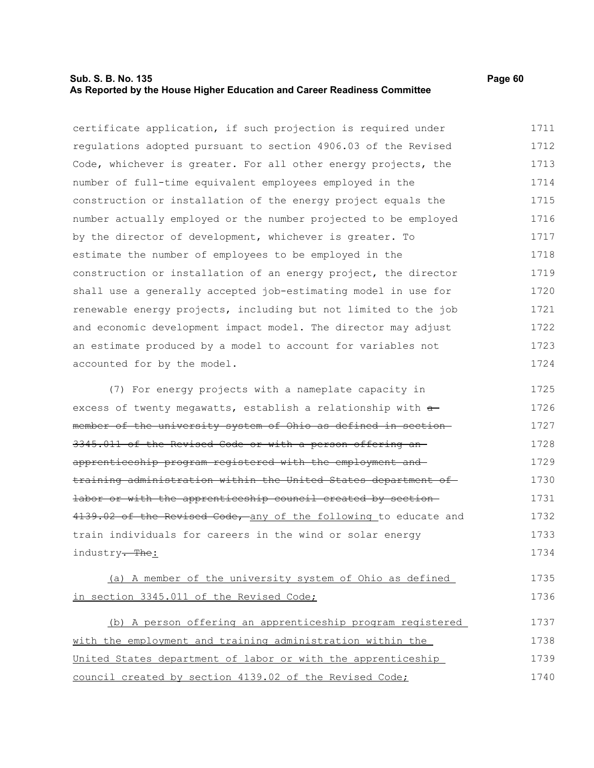### **Sub. S. B. No. 135 Page 60 As Reported by the House Higher Education and Career Readiness Committee**

certificate application, if such projection is required under regulations adopted pursuant to section 4906.03 of the Revised Code, whichever is greater. For all other energy projects, the number of full-time equivalent employees employed in the construction or installation of the energy project equals the number actually employed or the number projected to be employed by the director of development, whichever is greater. To estimate the number of employees to be employed in the construction or installation of an energy project, the director shall use a generally accepted job-estimating model in use for renewable energy projects, including but not limited to the job and economic development impact model. The director may adjust an estimate produced by a model to account for variables not accounted for by the model. 1711 1712 1713 1714 1715 1716 1717 1718 1719 1720 1721 1722 1723 1724

(7) For energy projects with a nameplate capacity in excess of twenty megawatts, establish a relationship with  $a$ member of the university system of Ohio as defined in section 3345.011 of the Revised Code or with a person offering an apprenticeship program registered with the employment and training administration within the United States department of labor or with the apprenticeship council created by section 4139.02 of the Revised Code, any of the following to educate and train individuals for careers in the wind or solar energy industry<del>. The</del>: 1725 1726 1727 1728 1729 1730 1731 1732 1733 1734

(a) A member of the university system of Ohio as defined in section 3345.011 of the Revised Code; 1735 1736

(b) A person offering an apprenticeship program registered with the employment and training administration within the United States department of labor or with the apprenticeship council created by section 4139.02 of the Revised Code; 1737 1738 1739 1740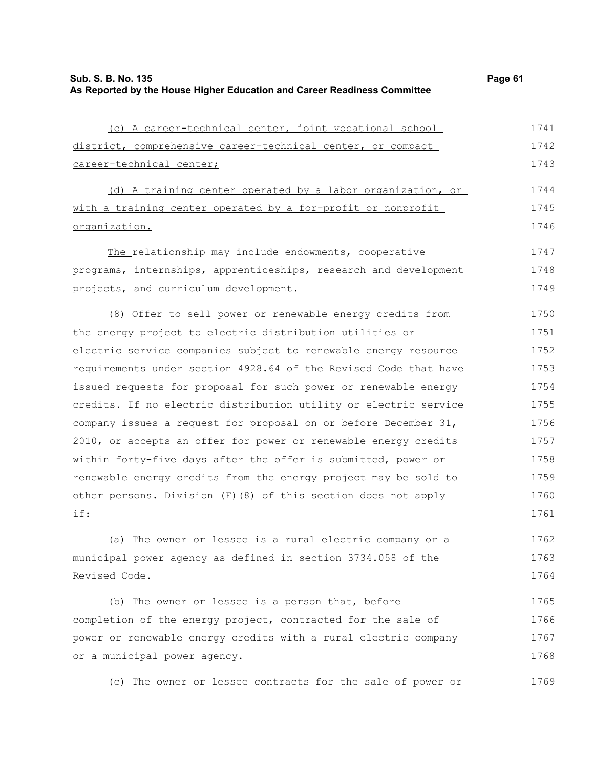| (c) A career-technical center, joint vocational school           | 1741 |
|------------------------------------------------------------------|------|
| district, comprehensive career-technical center, or compact      | 1742 |
| career-technical center;                                         | 1743 |
| (d) A training center operated by a labor organization, or       | 1744 |
| with a training center operated by a for-profit or nonprofit     | 1745 |
| organization.                                                    | 1746 |
| The relationship may include endowments, cooperative             | 1747 |
| programs, internships, apprenticeships, research and development | 1748 |
| projects, and curriculum development.                            | 1749 |
| (8) Offer to sell power or renewable energy credits from         | 1750 |
| the energy project to electric distribution utilities or         | 1751 |
| electric service companies subject to renewable energy resource  | 1752 |
| requirements under section 4928.64 of the Revised Code that have | 1753 |
| issued requests for proposal for such power or renewable energy  | 1754 |
| credits. If no electric distribution utility or electric service | 1755 |
| company issues a request for proposal on or before December 31,  | 1756 |
| 2010, or accepts an offer for power or renewable energy credits  | 1757 |
| within forty-five days after the offer is submitted, power or    | 1758 |
| renewable energy credits from the energy project may be sold to  | 1759 |
| other persons. Division (F) (8) of this section does not apply   | 1760 |
| if:                                                              | 1761 |
| (a) The owner or lessee is a rural electric company or a         | 1762 |
| municipal power agency as defined in section 3734.058 of the     | 1763 |
| Revised Code.                                                    | 1764 |

(b) The owner or lessee is a person that, before completion of the energy project, contracted for the sale of power or renewable energy credits with a rural electric company or a municipal power agency. 1765 1766 1767 1768

(c) The owner or lessee contracts for the sale of power or 1769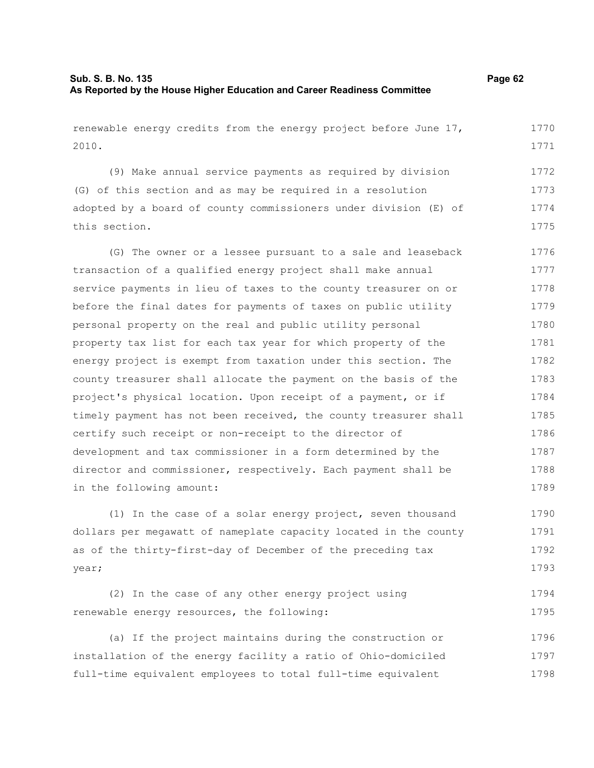| renewable energy credits from the energy project before June 17, | 1770 |
|------------------------------------------------------------------|------|
| 2010.                                                            | 1771 |
|                                                                  |      |
| (9) Make annual service payments as required by division         | 1772 |
| (G) of this section and as may be required in a resolution       | 1773 |
| adopted by a board of county commissioners under division (E) of | 1774 |
| this section.                                                    | 1775 |
| (G) The owner or a lessee pursuant to a sale and leaseback       | 1776 |
| transaction of a qualified energy project shall make annual      | 1777 |
| service payments in lieu of taxes to the county treasurer on or  | 1778 |
| before the final dates for payments of taxes on public utility   | 1779 |
| personal property on the real and public utility personal        | 1780 |
| property tax list for each tax year for which property of the    | 1781 |
| energy project is exempt from taxation under this section. The   | 1782 |
| county treasurer shall allocate the payment on the basis of the  | 1783 |
| project's physical location. Upon receipt of a payment, or if    | 1784 |
| timely payment has not been received, the county treasurer shall | 1785 |
| certify such receipt or non-receipt to the director of           | 1786 |
| development and tax commissioner in a form determined by the     | 1787 |
| director and commissioner, respectively. Each payment shall be   | 1788 |
| in the following amount:                                         | 1789 |
| (1) In the case of a solar energy project, seven thousand        | 1790 |
| dollars per megawatt of nameplate capacity located in the county | 1791 |
| as of the thirty-first-day of December of the preceding tax      | 1792 |
| year;                                                            | 1793 |
| (2) In the case of any other energy project using                | 1794 |
| renewable energy resources, the following:                       | 1795 |
|                                                                  |      |

(a) If the project maintains during the construction or installation of the energy facility a ratio of Ohio-domiciled full-time equivalent employees to total full-time equivalent 1796 1797 1798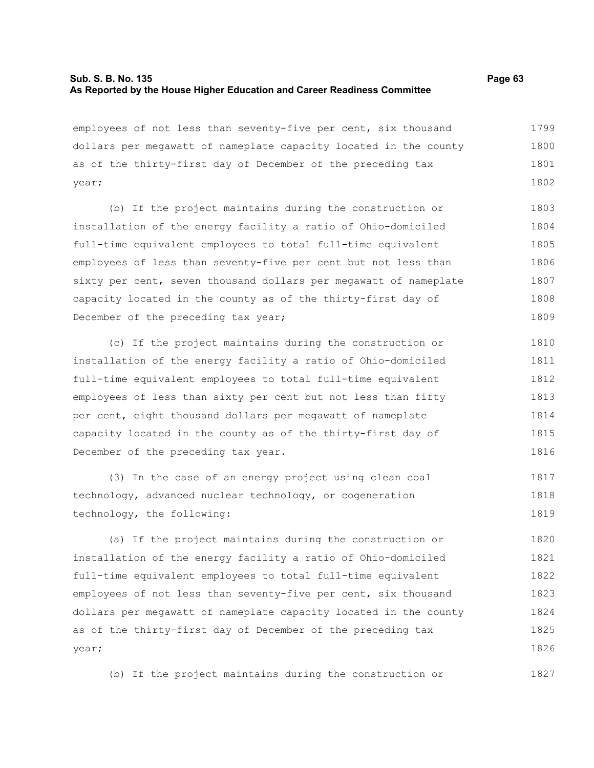### **Sub. S. B. No. 135 Page 63 As Reported by the House Higher Education and Career Readiness Committee**

employees of not less than seventy-five per cent, six thousand dollars per megawatt of nameplate capacity located in the county as of the thirty-first day of December of the preceding tax year; 1799 1800 1801 1802

(b) If the project maintains during the construction or installation of the energy facility a ratio of Ohio-domiciled full-time equivalent employees to total full-time equivalent employees of less than seventy-five per cent but not less than sixty per cent, seven thousand dollars per megawatt of nameplate capacity located in the county as of the thirty-first day of December of the preceding tax year; 1803 1804 1805 1806 1807 1808 1809

(c) If the project maintains during the construction or installation of the energy facility a ratio of Ohio-domiciled full-time equivalent employees to total full-time equivalent employees of less than sixty per cent but not less than fifty per cent, eight thousand dollars per megawatt of nameplate capacity located in the county as of the thirty-first day of December of the preceding tax year. 1810 1811 1812 1813 1814 1815 1816

(3) In the case of an energy project using clean coal technology, advanced nuclear technology, or cogeneration technology, the following: 1817 1818 1819

(a) If the project maintains during the construction or installation of the energy facility a ratio of Ohio-domiciled full-time equivalent employees to total full-time equivalent employees of not less than seventy-five per cent, six thousand dollars per megawatt of nameplate capacity located in the county as of the thirty-first day of December of the preceding tax year; 1820 1821 1822 1823 1824 1825 1826

(b) If the project maintains during the construction or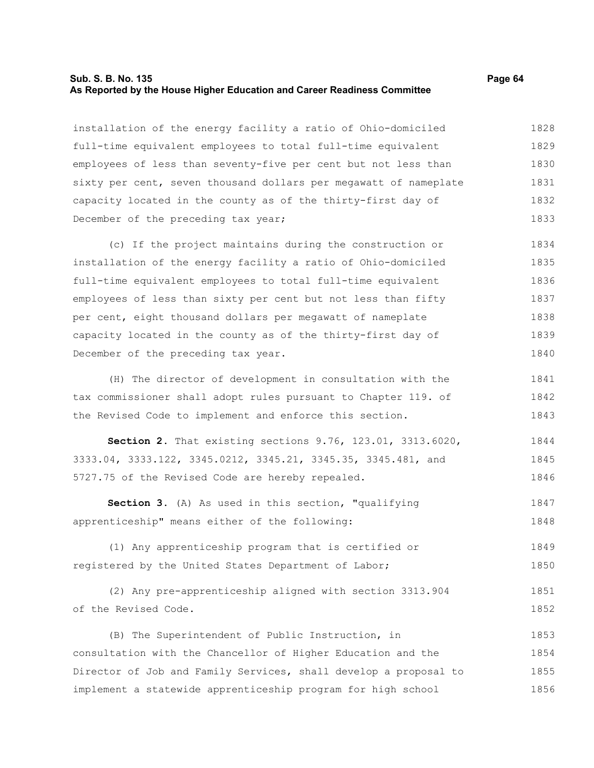#### **Sub. S. B. No. 135 Page 64 As Reported by the House Higher Education and Career Readiness Committee**

installation of the energy facility a ratio of Ohio-domiciled full-time equivalent employees to total full-time equivalent employees of less than seventy-five per cent but not less than sixty per cent, seven thousand dollars per megawatt of nameplate capacity located in the county as of the thirty-first day of December of the preceding tax year; 1828 1829 1830 1831 1832 1833

(c) If the project maintains during the construction or installation of the energy facility a ratio of Ohio-domiciled full-time equivalent employees to total full-time equivalent employees of less than sixty per cent but not less than fifty per cent, eight thousand dollars per megawatt of nameplate capacity located in the county as of the thirty-first day of December of the preceding tax year. 1834 1835 1836 1837 1838 1839 1840

(H) The director of development in consultation with the tax commissioner shall adopt rules pursuant to Chapter 119. of the Revised Code to implement and enforce this section. 1841 1842 1843

**Section 2.** That existing sections 9.76, 123.01, 3313.6020, 3333.04, 3333.122, 3345.0212, 3345.21, 3345.35, 3345.481, and 5727.75 of the Revised Code are hereby repealed. 1844 1845 1846

**Section 3.** (A) As used in this section, "qualifying apprenticeship" means either of the following: 1847 1848

(1) Any apprenticeship program that is certified or registered by the United States Department of Labor; 1849 1850

(2) Any pre-apprenticeship aligned with section 3313.904 of the Revised Code. 1851 1852

(B) The Superintendent of Public Instruction, in consultation with the Chancellor of Higher Education and the Director of Job and Family Services, shall develop a proposal to implement a statewide apprenticeship program for high school 1853 1854 1855 1856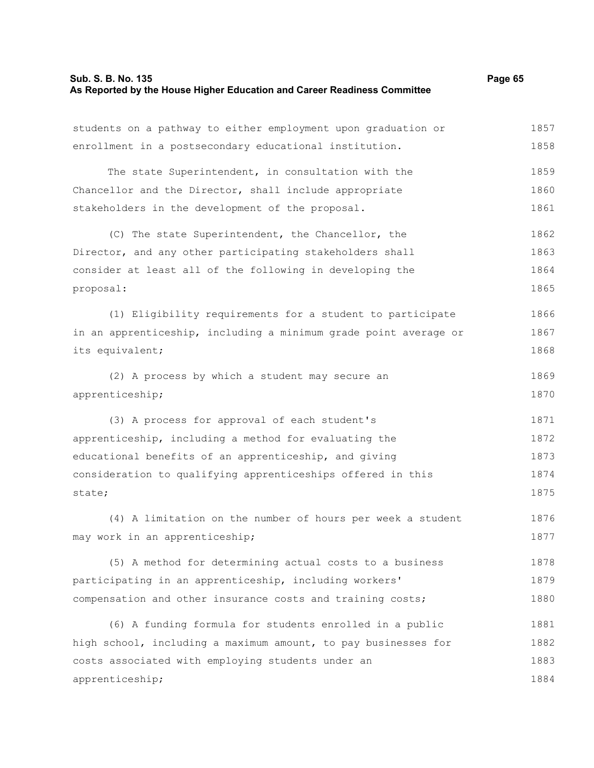# **Sub. S. B. No. 135** Page 65 **As Reported by the House Higher Education and Career Readiness Committee**

| students on a pathway to either employment upon graduation or    | 1857 |
|------------------------------------------------------------------|------|
| enrollment in a postsecondary educational institution.           | 1858 |
| The state Superintendent, in consultation with the               | 1859 |
| Chancellor and the Director, shall include appropriate           | 1860 |
| stakeholders in the development of the proposal.                 | 1861 |
| (C) The state Superintendent, the Chancellor, the                | 1862 |
| Director, and any other participating stakeholders shall         | 1863 |
| consider at least all of the following in developing the         | 1864 |
| proposal:                                                        | 1865 |
| (1) Eligibility requirements for a student to participate        | 1866 |
| in an apprenticeship, including a minimum grade point average or | 1867 |
| its equivalent;                                                  | 1868 |
| (2) A process by which a student may secure an                   | 1869 |
| apprenticeship;                                                  | 1870 |
| (3) A process for approval of each student's                     | 1871 |
| apprenticeship, including a method for evaluating the            | 1872 |
| educational benefits of an apprenticeship, and giving            | 1873 |
| consideration to qualifying apprenticeships offered in this      | 1874 |
| state;                                                           | 1875 |
| (4) A limitation on the number of hours per week a student       | 1876 |
| may work in an apprenticeship;                                   | 1877 |
| (5) A method for determining actual costs to a business          | 1878 |
| participating in an apprenticeship, including workers'           | 1879 |
| compensation and other insurance costs and training costs;       | 1880 |
| (6) A funding formula for students enrolled in a public          | 1881 |
| high school, including a maximum amount, to pay businesses for   | 1882 |
| costs associated with employing students under an                | 1883 |
| apprenticeship;                                                  | 1884 |
|                                                                  |      |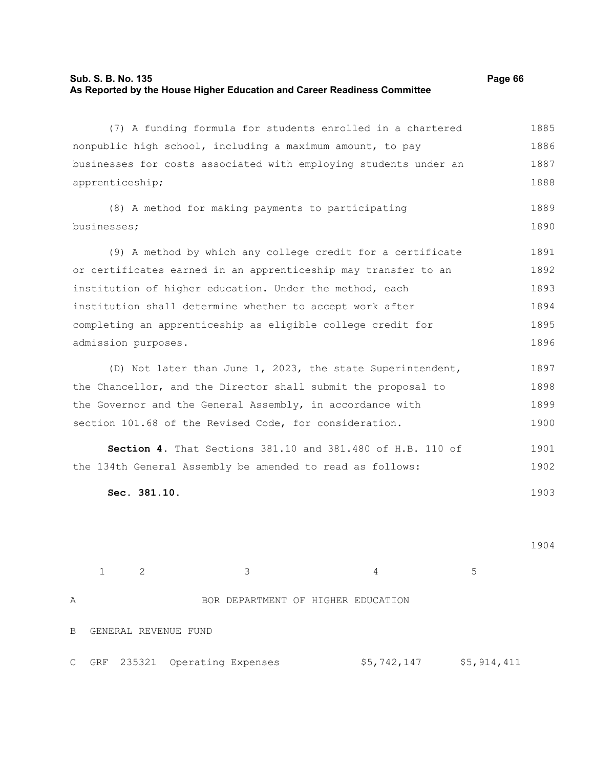# **Sub. S. B. No. 135** Page 66 **As Reported by the House Higher Education and Career Readiness Committee**

|                                                                  | (7) A funding formula for students enrolled in a chartered     |             |             | 1885 |  |
|------------------------------------------------------------------|----------------------------------------------------------------|-------------|-------------|------|--|
|                                                                  | nonpublic high school, including a maximum amount, to pay      |             |             | 1886 |  |
| businesses for costs associated with employing students under an |                                                                |             |             |      |  |
| apprenticeship;                                                  |                                                                |             |             | 1888 |  |
|                                                                  | (8) A method for making payments to participating              |             |             | 1889 |  |
| businesses;                                                      |                                                                |             |             | 1890 |  |
|                                                                  |                                                                |             |             |      |  |
|                                                                  | (9) A method by which any college credit for a certificate     |             |             | 1891 |  |
|                                                                  | or certificates earned in an apprenticeship may transfer to an |             |             | 1892 |  |
|                                                                  | institution of higher education. Under the method, each        |             |             | 1893 |  |
|                                                                  | institution shall determine whether to accept work after       |             |             | 1894 |  |
|                                                                  | completing an apprenticeship as eligible college credit for    |             |             | 1895 |  |
| admission purposes.                                              |                                                                |             |             | 1896 |  |
|                                                                  | (D) Not later than June 1, 2023, the state Superintendent,     |             |             | 1897 |  |
|                                                                  | the Chancellor, and the Director shall submit the proposal to  |             |             | 1898 |  |
| the Governor and the General Assembly, in accordance with        |                                                                |             |             |      |  |
|                                                                  | section 101.68 of the Revised Code, for consideration.         |             |             | 1900 |  |
|                                                                  | Section 4. That Sections 381.10 and 381.480 of H.B. 110 of     |             |             | 1901 |  |
|                                                                  | the 134th General Assembly be amended to read as follows:      |             |             | 1902 |  |
| Sec. 381.10.                                                     |                                                                |             |             | 1903 |  |
|                                                                  |                                                                |             |             |      |  |
|                                                                  |                                                                |             |             |      |  |
|                                                                  |                                                                |             |             | 1904 |  |
|                                                                  |                                                                |             |             |      |  |
| $\mathbf{2}$<br>$\mathbf 1$                                      | 3                                                              | 4           | 5           |      |  |
| Α                                                                | BOR DEPARTMENT OF HIGHER EDUCATION                             |             |             |      |  |
| GENERAL REVENUE FUND<br>$\, {\bf B}$                             |                                                                |             |             |      |  |
|                                                                  |                                                                |             |             |      |  |
| 235321<br>GRF<br>С                                               | Operating Expenses                                             | \$5,742,147 | \$5,914,411 |      |  |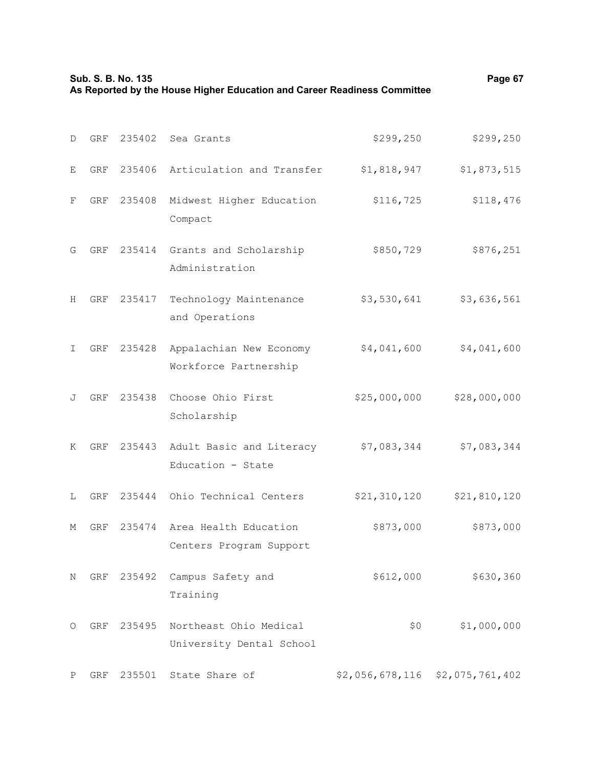|              | Sub. S. B. No. 135<br>As Reported by the House Higher Education and Career Readiness Committee |        |                                                         |                                 |              |
|--------------|------------------------------------------------------------------------------------------------|--------|---------------------------------------------------------|---------------------------------|--------------|
| D            | GRF                                                                                            | 235402 | Sea Grants                                              | \$299, 250                      | \$299, 250   |
| Е            | <b>GRF</b>                                                                                     | 235406 | Articulation and Transfer                               | \$1,818,947                     | \$1,873,515  |
| F            | GRF                                                                                            | 235408 | Midwest Higher Education<br>Compact                     | \$116,725                       | \$118,476    |
| G            | GRF                                                                                            |        | 235414 Grants and Scholarship<br>Administration         | \$850,729                       | \$876,251    |
| H            | GRF                                                                                            | 235417 | Technology Maintenance<br>and Operations                | \$3,530,641                     | \$3,636,561  |
| I.           | GRF                                                                                            | 235428 | Appalachian New Economy<br>Workforce Partnership        | \$4,041,600                     | \$4,041,600  |
| J            | GRF                                                                                            | 235438 | Choose Ohio First<br>Scholarship                        | \$25,000,000                    | \$28,000,000 |
| Κ            | GRF                                                                                            |        | 235443 Adult Basic and Literacy<br>Education - State    | \$7,083,344                     | \$7,083,344  |
| L            | GRF                                                                                            | 235444 | Ohio Technical Centers                                  | \$21, 310, 120                  | \$21,810,120 |
| М            | GRF                                                                                            |        | 235474 Area Health Education<br>Centers Program Support | \$873,000                       | \$873,000    |
| Ν            | GRF                                                                                            | 235492 | Campus Safety and<br>Training                           | \$612,000                       | \$630,360    |
| O            | GRF                                                                                            | 235495 | Northeast Ohio Medical<br>University Dental School      | \$0                             | \$1,000,000  |
| $\, {\bf P}$ | GRF                                                                                            | 235501 | State Share of                                          | \$2,056,678,116 \$2,075,761,402 |              |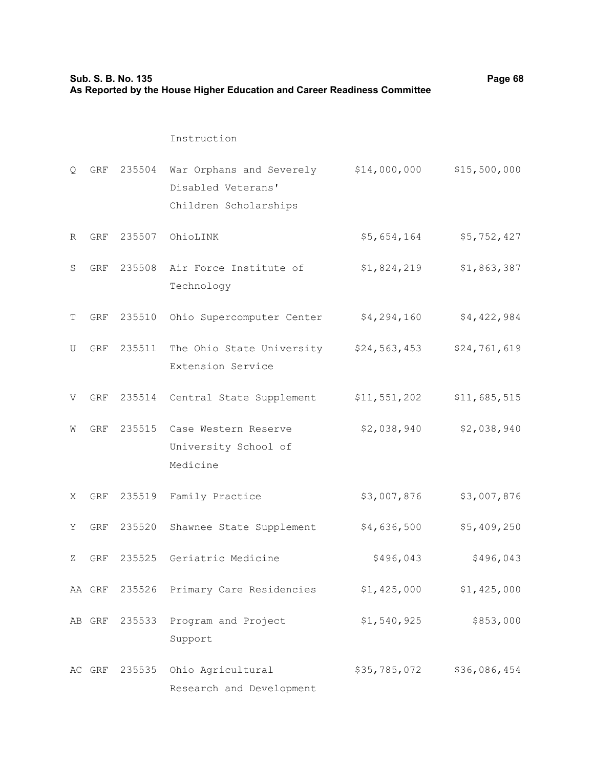| Sub. S. B. No. 135<br>As Reported by the House Higher Education and Career Readiness Committee |            |               |                                                                         |              | Page 68      |
|------------------------------------------------------------------------------------------------|------------|---------------|-------------------------------------------------------------------------|--------------|--------------|
|                                                                                                |            |               | Instruction                                                             |              |              |
| Q.                                                                                             | GRF        | 235504        | War Orphans and Severely<br>Disabled Veterans'<br>Children Scholarships | \$14,000,000 | \$15,500,000 |
| R                                                                                              | GRF        | 235507        | OhioLINK                                                                | \$5,654,164  | \$5,752,427  |
| S                                                                                              | <b>GRF</b> | 235508        | Air Force Institute of<br>Technology                                    | \$1,824,219  | \$1,863,387  |
| Т                                                                                              | GRF        | 235510        | Ohio Supercomputer Center                                               | \$4,294,160  | \$4,422,984  |
| U                                                                                              | GRF        | 235511        | The Ohio State University \$24,563,453<br>Extension Service             |              | \$24,761,619 |
| V                                                                                              | GRF        | 235514        | Central State Supplement                                                | \$11,551,202 | \$11,685,515 |
| W                                                                                              | GRF        | 235515        | Case Western Reserve<br>University School of<br>Medicine                | \$2,038,940  | \$2,038,940  |
| Χ                                                                                              | GRF        | 235519        | Family Practice                                                         | \$3,007,876  | \$3,007,876  |
| Y                                                                                              | GRF        | 235520        | Shawnee State Supplement                                                | \$4,636,500  | \$5,409,250  |
| Ζ                                                                                              | GRF        |               | 235525 Geriatric Medicine                                               | \$496,043    | \$496,043    |
|                                                                                                |            |               | AA GRF 235526 Primary Care Residencies                                  | \$1,425,000  | \$1,425,000  |
|                                                                                                |            | AB GRF 235533 | Program and Project<br>Support                                          | \$1,540,925  | \$853,000    |
|                                                                                                |            |               | AC GRF 235535 Ohio Agricultural<br>Research and Development             | \$35,785,072 | \$36,086,454 |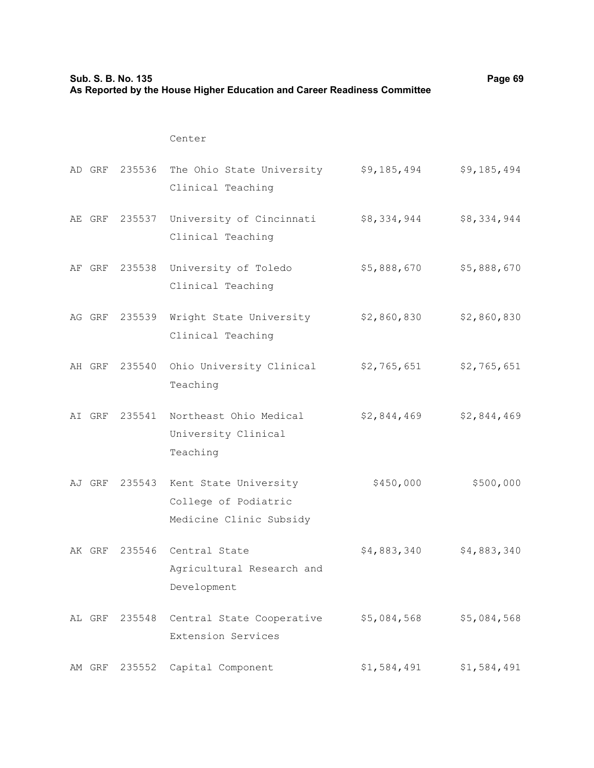| Sub. S. B. No. 135<br>As Reported by the House Higher Education and Career Readiness Committee |        |               |                                                                          |             | Page 69     |
|------------------------------------------------------------------------------------------------|--------|---------------|--------------------------------------------------------------------------|-------------|-------------|
|                                                                                                |        |               | Center                                                                   |             |             |
|                                                                                                |        |               | AD GRF 235536 The Ohio State University<br>Clinical Teaching             | \$9,185,494 | \$9,185,494 |
|                                                                                                | AE GRF |               | 235537 University of Cincinnati<br>Clinical Teaching                     | \$8,334,944 | \$8,334,944 |
|                                                                                                |        | AF GRF 235538 | University of Toledo<br>Clinical Teaching                                | \$5,888,670 | \$5,888,670 |
|                                                                                                |        |               | AG GRF 235539 Wright State University<br>Clinical Teaching               | \$2,860,830 | \$2,860,830 |
|                                                                                                | AH GRF | 235540        | Ohio University Clinical<br>Teaching                                     | \$2,765,651 | \$2,765,651 |
|                                                                                                | AI GRF | 235541        | Northeast Ohio Medical<br>University Clinical<br>Teaching                | \$2,844,469 | \$2,844,469 |
|                                                                                                | AJ GRF | 235543        | Kent State University<br>College of Podiatric<br>Medicine Clinic Subsidy | \$450,000   | \$500,000   |
|                                                                                                |        |               | AK GRF 235546 Central State<br>Agricultural Research and<br>Development  | \$4,883,340 | \$4,883,340 |
|                                                                                                |        | AL GRF 235548 | Central State Cooperative<br>Extension Services                          | \$5,084,568 | \$5,084,568 |
|                                                                                                | AM GRF | 235552        | Capital Component                                                        | \$1,584,491 | \$1,584,491 |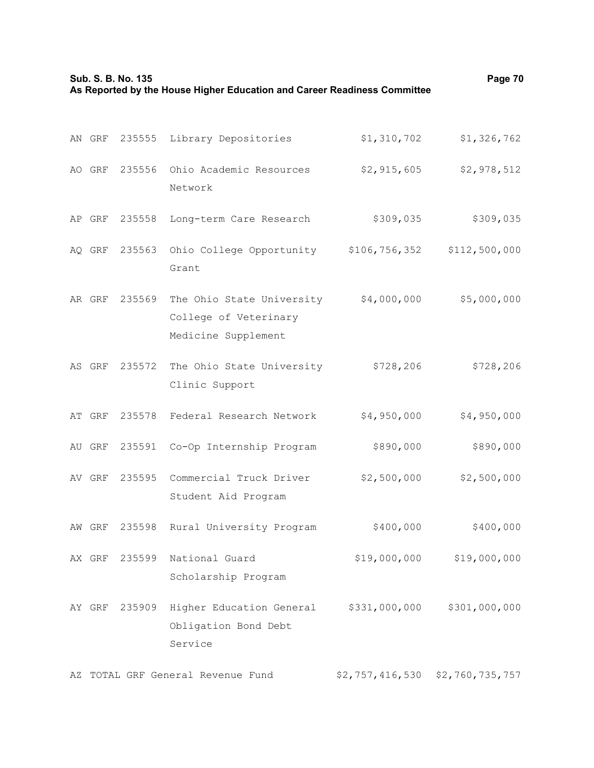|    | Sub. S. B. No. 135<br>As Reported by the House Higher Education and Career Readiness Committee | Page 70       |                                                                           |                                 |               |
|----|------------------------------------------------------------------------------------------------|---------------|---------------------------------------------------------------------------|---------------------------------|---------------|
|    | AN GRF                                                                                         | 235555        | Library Depositories                                                      | \$1,310,702                     | \$1,326,762   |
|    | AO GRF                                                                                         | 235556        | Ohio Academic Resources<br>Network                                        | \$2,915,605                     | \$2,978,512   |
|    | AP GRF                                                                                         | 235558        | Long-term Care Research                                                   | \$309,035                       | \$309,035     |
|    | AQ GRF                                                                                         | 235563        | Ohio College Opportunity<br>Grant                                         | \$106, 756, 352                 | \$112,500,000 |
|    | AR GRF                                                                                         | 235569        | The Ohio State University<br>College of Veterinary<br>Medicine Supplement | \$4,000,000                     | \$5,000,000   |
|    | AS GRF                                                                                         | 235572        | The Ohio State University<br>Clinic Support                               | \$728, 206                      | \$728, 206    |
|    | AT GRF                                                                                         | 235578        | Federal Research Network                                                  | \$4,950,000                     | \$4,950,000   |
|    | AU GRF                                                                                         | 235591        | Co-Op Internship Program                                                  | \$890,000                       | \$890,000     |
|    | AV GRF                                                                                         | 235595        | Commercial Truck Driver<br>Student Aid Program                            | \$2,500,000                     | \$2,500,000   |
|    |                                                                                                | AW GRF 235598 | Rural University Program                                                  | \$400,000                       | \$400,000     |
|    | AX GRF                                                                                         | 235599        | National Guard<br>Scholarship Program                                     | \$19,000,000                    | \$19,000,000  |
|    |                                                                                                | AY GRF 235909 | Higher Education General<br>Obligation Bond Debt<br>Service               | \$331,000,000                   | \$301,000,000 |
| AZ |                                                                                                |               | TOTAL GRF General Revenue Fund                                            | \$2,757,416,530 \$2,760,735,757 |               |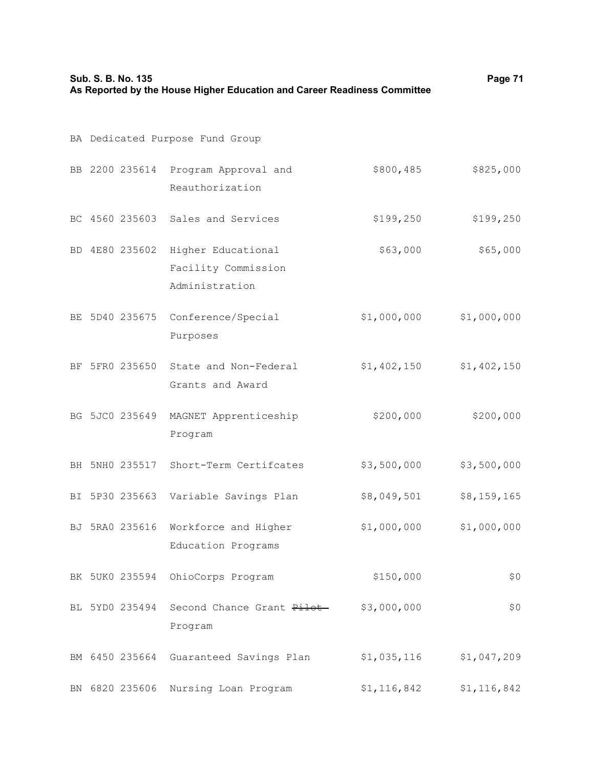| Sub. S. B. No. 135<br>As Reported by the House Higher Education and Career Readiness Committee | Page 71                         |                                                             |             |             |
|------------------------------------------------------------------------------------------------|---------------------------------|-------------------------------------------------------------|-------------|-------------|
|                                                                                                | BA Dedicated Purpose Fund Group |                                                             |             |             |
|                                                                                                |                                 | BB 2200 235614 Program Approval and<br>Reauthorization      | \$800,485   | \$825,000   |
|                                                                                                |                                 | BC 4560 235603 Sales and Services                           | \$199, 250  | \$199, 250  |
|                                                                                                | BD 4E80 235602                  | Higher Educational<br>Facility Commission<br>Administration | \$63,000    | \$65,000    |
|                                                                                                | BE 5D40 235675                  | Conference/Special<br>Purposes                              | \$1,000,000 | \$1,000,000 |
|                                                                                                | BF 5FR0 235650                  | State and Non-Federal<br>Grants and Award                   | \$1,402,150 | \$1,402,150 |
|                                                                                                | BG 5JC0 235649                  | MAGNET Apprenticeship<br>Program                            | \$200,000   | \$200,000   |
|                                                                                                | BH 5NH0 235517                  | Short-Term Certifcates                                      | \$3,500,000 | \$3,500,000 |
|                                                                                                | BI 5P30 235663                  | Variable Savings Plan                                       | \$8,049,501 | \$8,159,165 |
|                                                                                                |                                 | BJ 5RA0 235616 Workforce and Higher<br>Education Programs   | \$1,000,000 | \$1,000,000 |
|                                                                                                | BK 5UK0 235594                  | OhioCorps Program                                           | \$150,000   | \$0         |
|                                                                                                | BL 5YD0 235494                  | Second Chance Grant <del>Pilot</del><br>Program             | \$3,000,000 | \$0         |
|                                                                                                | BM 6450 235664                  | Guaranteed Savings Plan                                     | \$1,035,116 | \$1,047,209 |
|                                                                                                | BN 6820 235606                  | Nursing Loan Program                                        | \$1,116,842 | \$1,116,842 |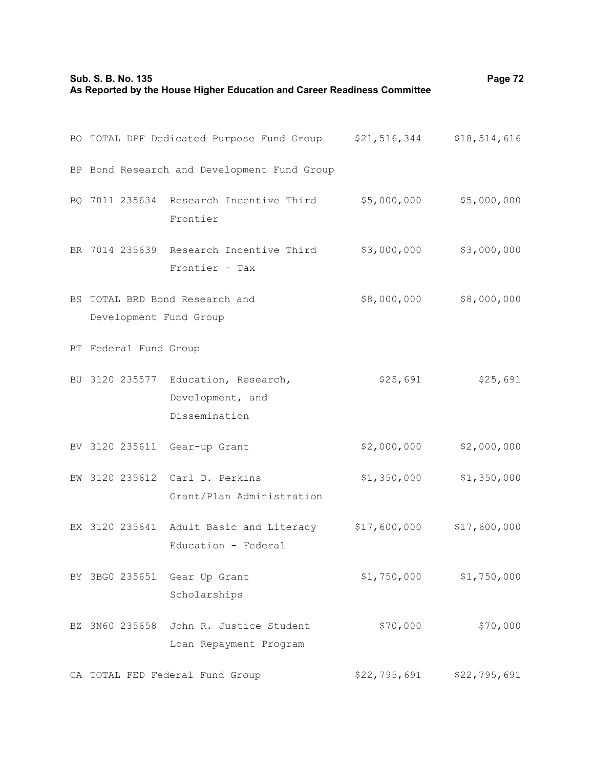| Sub. S. B. No. 135<br>As Reported by the House Higher Education and Career Readiness Committee | Page 72                                                                 |                                                                             |              |              |
|------------------------------------------------------------------------------------------------|-------------------------------------------------------------------------|-----------------------------------------------------------------------------|--------------|--------------|
|                                                                                                |                                                                         | BO TOTAL DPF Dedicated Purpose Fund Group \$21,516,344                      |              | \$18,514,616 |
|                                                                                                |                                                                         | BP Bond Research and Development Fund Group                                 |              |              |
|                                                                                                |                                                                         | BQ 7011 235634 Research Incentive Third<br>Frontier                         | \$5,000,000  | \$5,000,000  |
|                                                                                                |                                                                         | BR 7014 235639 Research Incentive Third<br>Frontier - Tax                   | \$3,000,000  | \$3,000,000  |
|                                                                                                | \$8,000,000<br>BS TOTAL BRD Bond Research and<br>Development Fund Group |                                                                             |              | \$8,000,000  |
|                                                                                                | BT Federal Fund Group                                                   |                                                                             |              |              |
|                                                                                                |                                                                         | BU 3120 235577 Education, Research,<br>Development, and<br>Dissemination    | \$25,691     | \$25,691     |
|                                                                                                | BV 3120 235611                                                          | Gear-up Grant                                                               | \$2,000,000  | \$2,000,000  |
| BW                                                                                             |                                                                         | 3120 235612 Carl D. Perkins<br>Grant/Plan Administration                    | \$1,350,000  | \$1,350,000  |
|                                                                                                |                                                                         | BX 3120 235641 Adult Basic and Literacy \$17,600,000<br>Education - Federal |              | \$17,600,000 |
|                                                                                                |                                                                         | BY 3BG0 235651 Gear Up Grant<br>Scholarships                                | \$1,750,000  | \$1,750,000  |
|                                                                                                |                                                                         | BZ 3N60 235658 John R. Justice Student<br>Loan Repayment Program            | \$70,000     | \$70,000     |
|                                                                                                |                                                                         | CA TOTAL FED Federal Fund Group                                             | \$22,795,691 | \$22,795,691 |